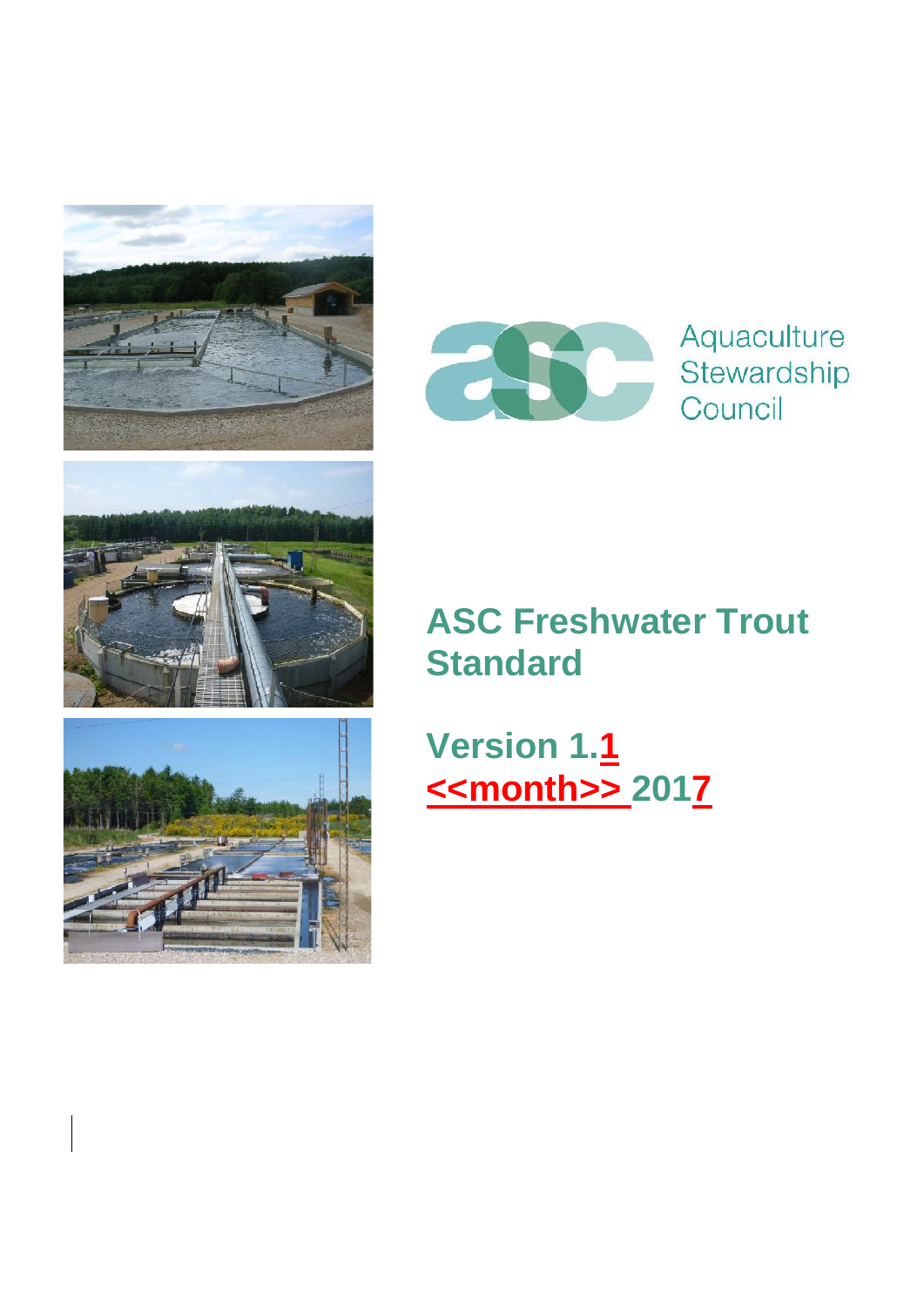



Aquaculture Stewardship Council



# **ASC Freshwater Trout Standard**



**Version 1.1 <<month>> 2017**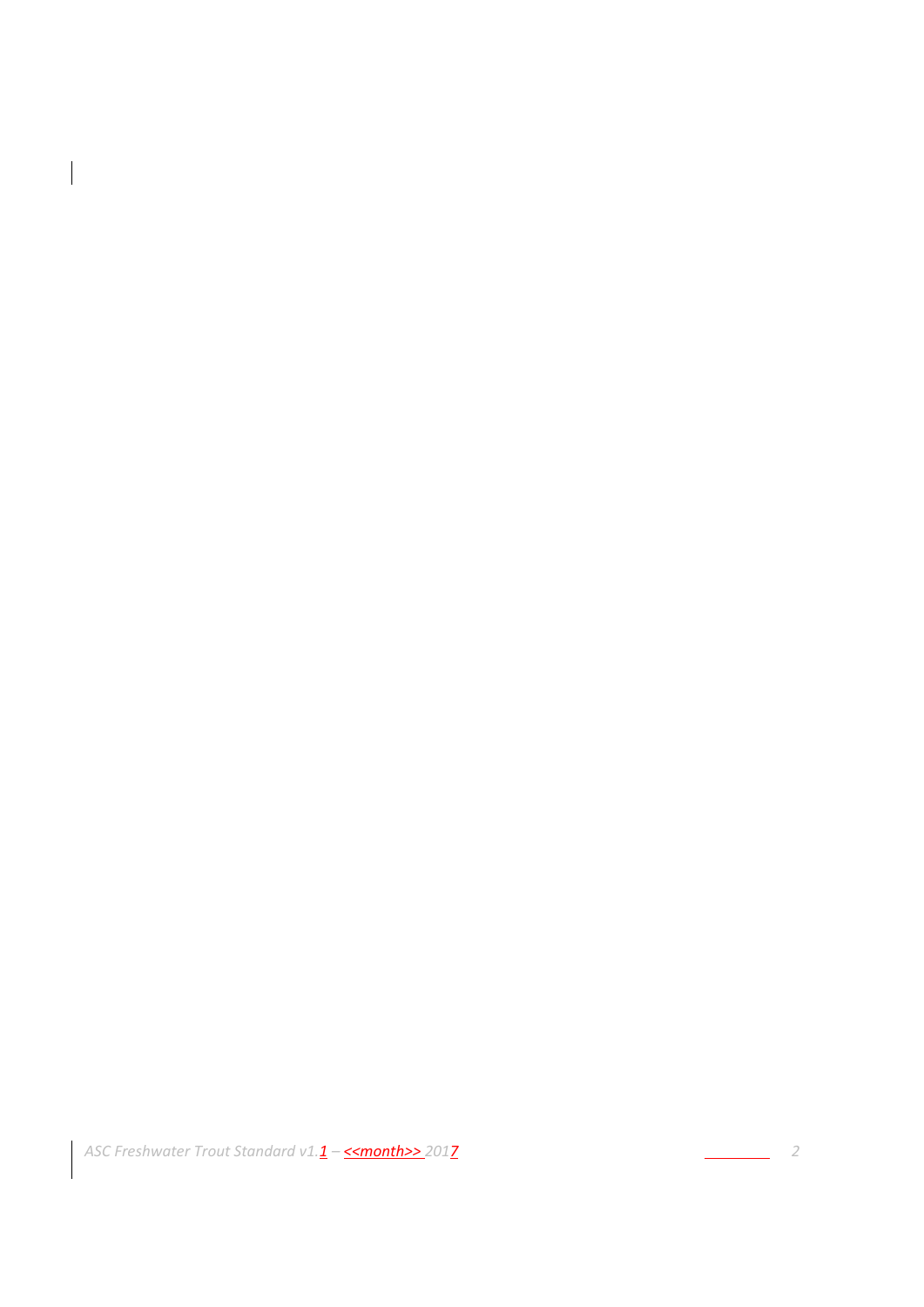*ASC Freshwater Trout Standard v1.1 – <<month>> 2017 2*

 $\overline{\phantom{a}}$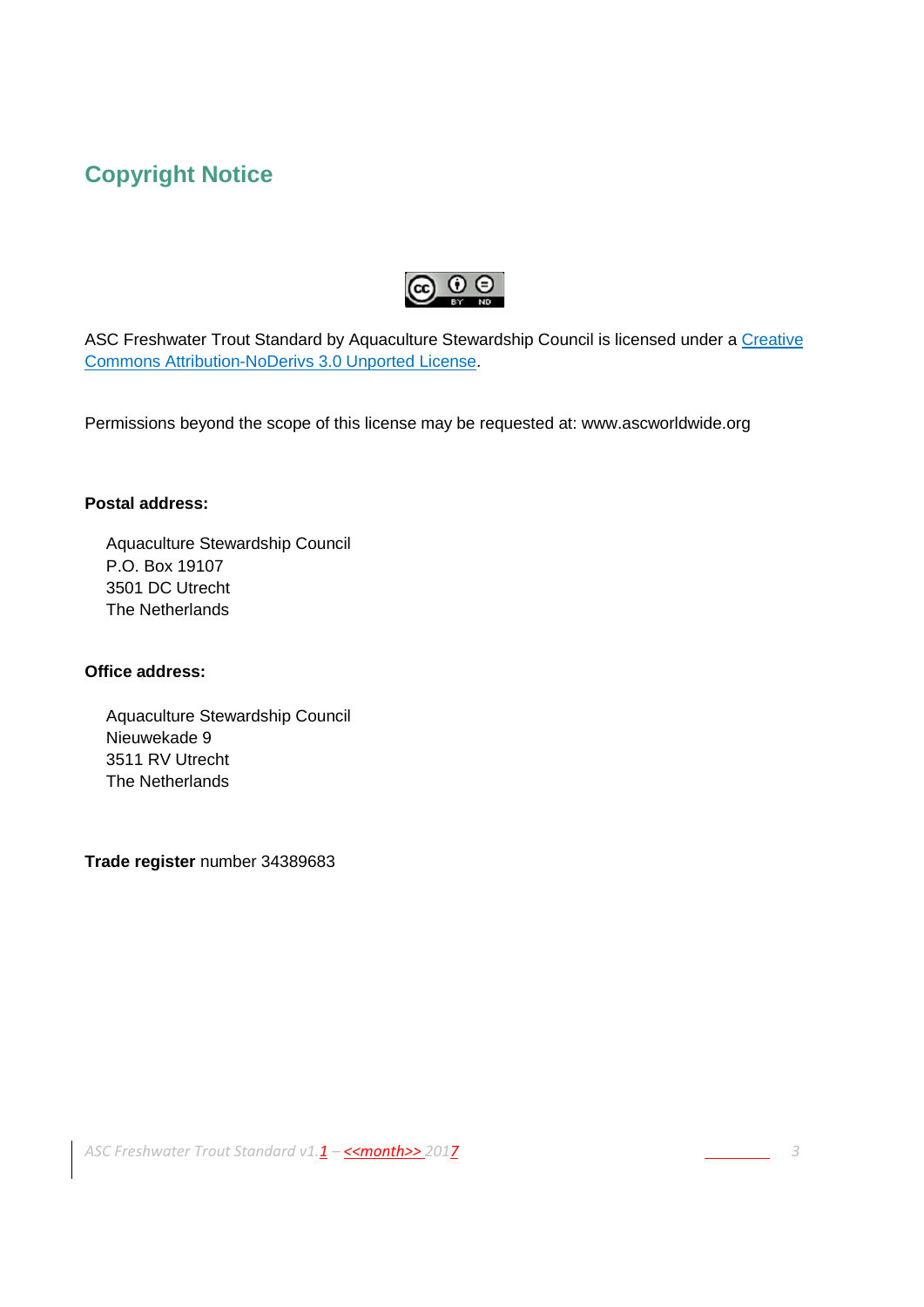## **Copyright Notice**



ASC Freshwater Trout Standard by Aquaculture Stewardship Council is licensed under a Creative Commons Attribution-NoDerivs 3.0 Unported License.

Permissions beyond the scope of this license may be requested at: www.ascworldwide.org

### **Postal address:**

Aquaculture Stewardship Council P.O. Box 19107 3501 DC Utrecht The Netherlands

### **Office address:**

Aquaculture Stewardship Council Nieuwekade 9 3511 RV Utrecht The Netherlands

**Trade register** number 34389683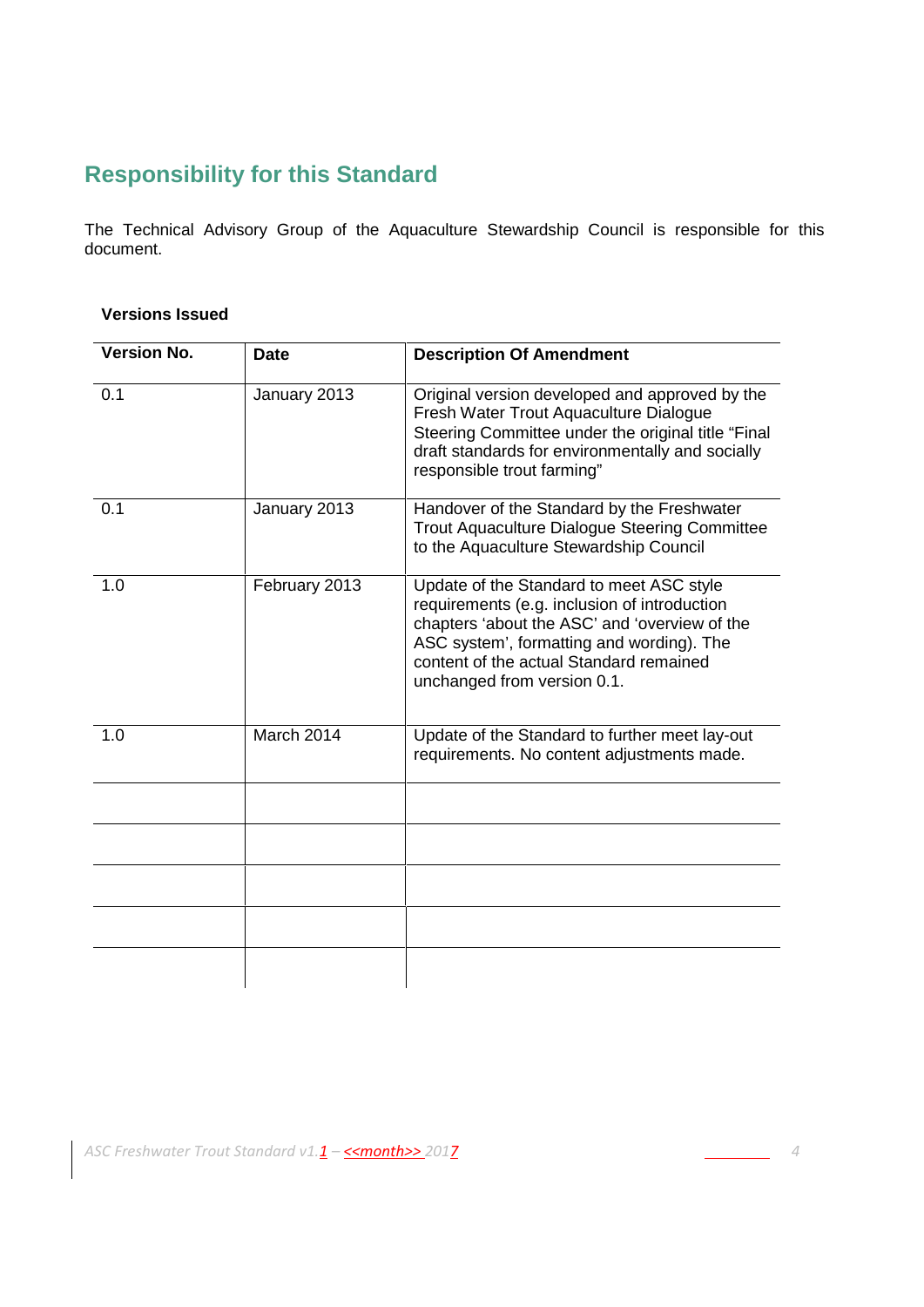## **Responsibility for this Standard**

The Technical Advisory Group of the Aquaculture Stewardship Council is responsible for this document.

### **Versions Issued**

| <b>Version No.</b> | <b>Date</b>   | <b>Description Of Amendment</b>                                                                                                                                                                                                                                  |
|--------------------|---------------|------------------------------------------------------------------------------------------------------------------------------------------------------------------------------------------------------------------------------------------------------------------|
| 0.1                | January 2013  | Original version developed and approved by the<br>Fresh Water Trout Aquaculture Dialogue<br>Steering Committee under the original title "Final<br>draft standards for environmentally and socially<br>responsible trout farming"                                 |
| 0.1                | January 2013  | Handover of the Standard by the Freshwater<br><b>Trout Aquaculture Dialogue Steering Committee</b><br>to the Aquaculture Stewardship Council                                                                                                                     |
| 1.0                | February 2013 | Update of the Standard to meet ASC style<br>requirements (e.g. inclusion of introduction<br>chapters 'about the ASC' and 'overview of the<br>ASC system', formatting and wording). The<br>content of the actual Standard remained<br>unchanged from version 0.1. |
| 1.0                | March 2014    | Update of the Standard to further meet lay-out<br>requirements. No content adjustments made.                                                                                                                                                                     |
|                    |               |                                                                                                                                                                                                                                                                  |
|                    |               |                                                                                                                                                                                                                                                                  |
|                    |               |                                                                                                                                                                                                                                                                  |
|                    |               |                                                                                                                                                                                                                                                                  |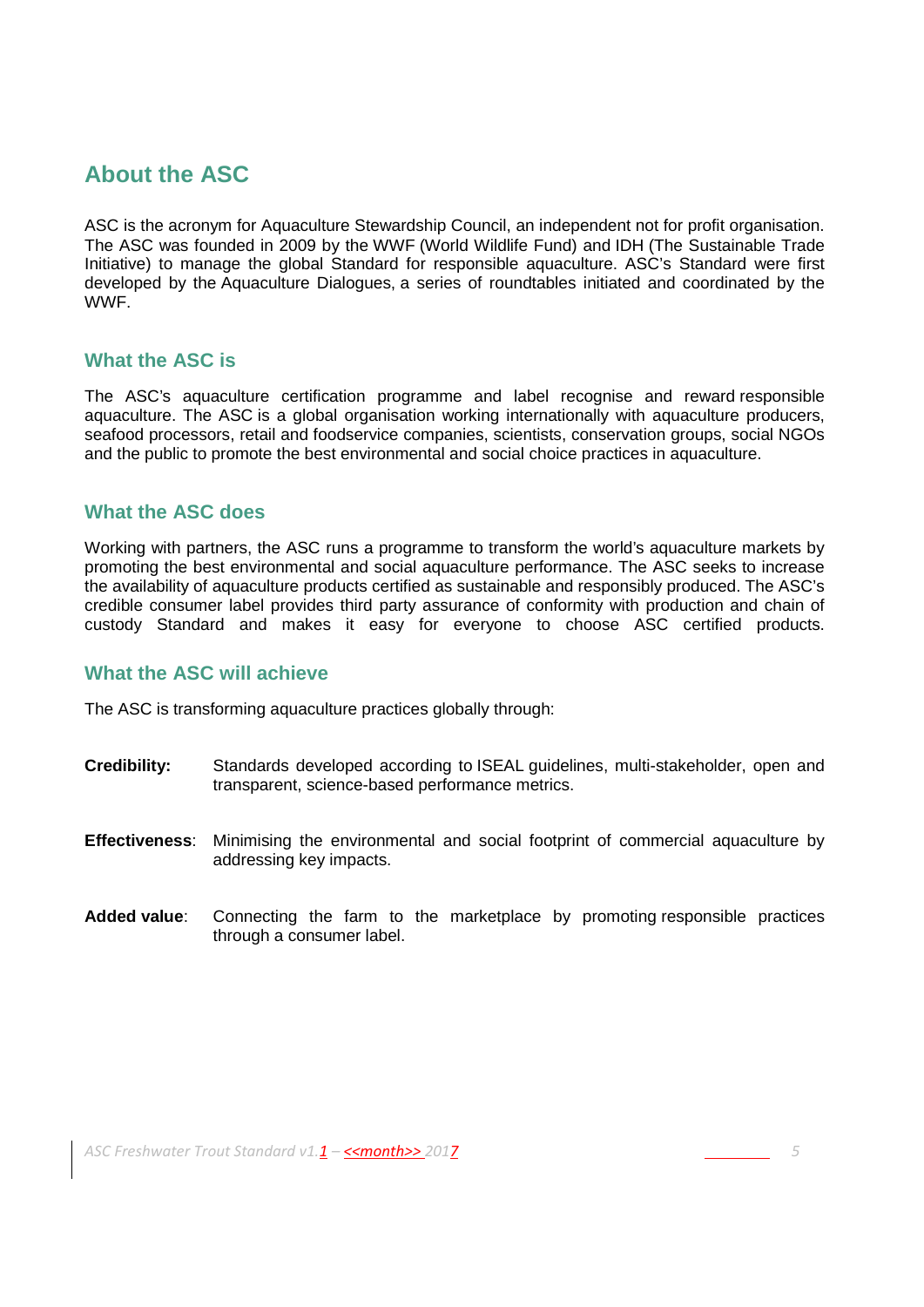## **About the ASC**

ASC is the acronym for Aquaculture Stewardship Council, an independent not for profit organisation. The ASC was founded in 2009 by the WWF (World Wildlife Fund) and IDH (The Sustainable Trade Initiative) to manage the global Standard for responsible aquaculture. ASC's Standard were first developed by the Aquaculture Dialogues, a series of roundtables initiated and coordinated by the WWF.

### **What the ASC is**

The ASC's aquaculture certification programme and label recognise and reward responsible aquaculture. The ASC is a global organisation working internationally with aquaculture producers, seafood processors, retail and foodservice companies, scientists, conservation groups, social NGOs and the public to promote the best environmental and social choice practices in aquaculture.

### **What the ASC does**

Working with partners, the ASC runs a programme to transform the world's aquaculture markets by promoting the best environmental and social aquaculture performance. The ASC seeks to increase the availability of aquaculture products certified as sustainable and responsibly produced. The ASC's credible consumer label provides third party assurance of conformity with production and chain of custody Standard and makes it easy for everyone to choose ASC certified products.

### **What the ASC will achieve**

The ASC is transforming aquaculture practices globally through:

- **Credibility:** Standards developed according to ISEAL guidelines, multi-stakeholder, open and transparent, science-based performance metrics.
- **Effectiveness**: Minimising the environmental and social footprint of commercial aquaculture by addressing key impacts.
- **Added value**: Connecting the farm to the marketplace by promoting responsible practices through a consumer label.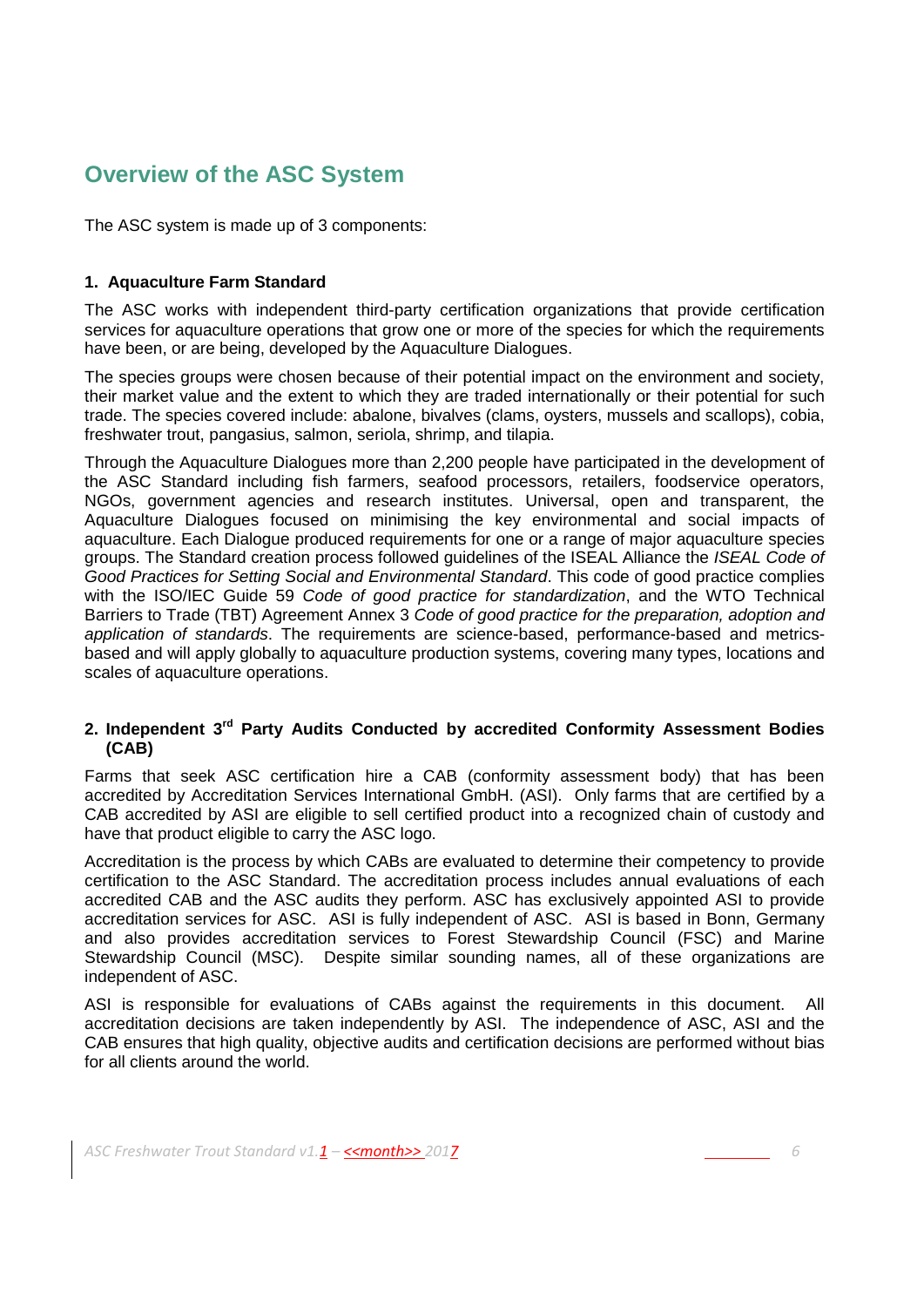## **Overview of the ASC System**

The ASC system is made up of 3 components:

### **1. Aquaculture Farm Standard**

The ASC works with independent third-party certification organizations that provide certification services for aquaculture operations that grow one or more of the species for which the requirements have been, or are being, developed by the Aquaculture Dialogues.

The species groups were chosen because of their potential impact on the environment and society, their market value and the extent to which they are traded internationally or their potential for such trade. The species covered include: abalone, bivalves (clams, oysters, mussels and scallops), cobia, freshwater trout, pangasius, salmon, seriola, shrimp, and tilapia.

Through the Aquaculture Dialogues more than 2,200 people have participated in the development of the ASC Standard including fish farmers, seafood processors, retailers, foodservice operators, NGOs, government agencies and research institutes. Universal, open and transparent, the Aquaculture Dialogues focused on minimising the key environmental and social impacts of aquaculture. Each Dialogue produced requirements for one or a range of major aquaculture species groups. The Standard creation process followed guidelines of the ISEAL Alliance the *ISEAL Code of Good Practices for Setting Social and Environmental Standard*. This code of good practice complies with the ISO/IEC Guide 59 *Code of good practice for standardization*, and the WTO Technical Barriers to Trade (TBT) Agreement Annex 3 *Code of good practice for the preparation, adoption and application of standards*. The requirements are science-based, performance-based and metrics based and will apply globally to aquaculture production systems, covering many types, locations and scales of aquaculture operations.

### **2. Independent 3rd Party Audits Conducted by accredited Conformity Assessment Bodies (CAB)**

Farms that seek ASC certification hire a CAB (conformity assessment body) that has been accredited by Accreditation Services International GmbH. (ASI). Only farms that are certified by a CAB accredited by ASI are eligible to sell certified product into a recognized chain of custody and have that product eligible to carry the ASC logo.

Accreditation is the process by which CABs are evaluated to determine their competency to provide certification to the ASC Standard. The accreditation process includes annual evaluations of each accredited CAB and the ASC audits they perform. ASC has exclusively appointed ASI to provide accreditation services for ASC. ASI is fully independent of ASC. ASI is based in Bonn, Germany and also provides accreditation services to Forest Stewardship Council (FSC) and Marine Stewardship Council (MSC). Despite similar sounding names, all of these organizations are independent of ASC.

ASI is responsible for evaluations of CABs against the requirements in this document. All accreditation decisions are taken independently by ASI. The independence of ASC, ASI and the CAB ensures that high quality, objective audits and certification decisions are performed without bias for all clients around the world.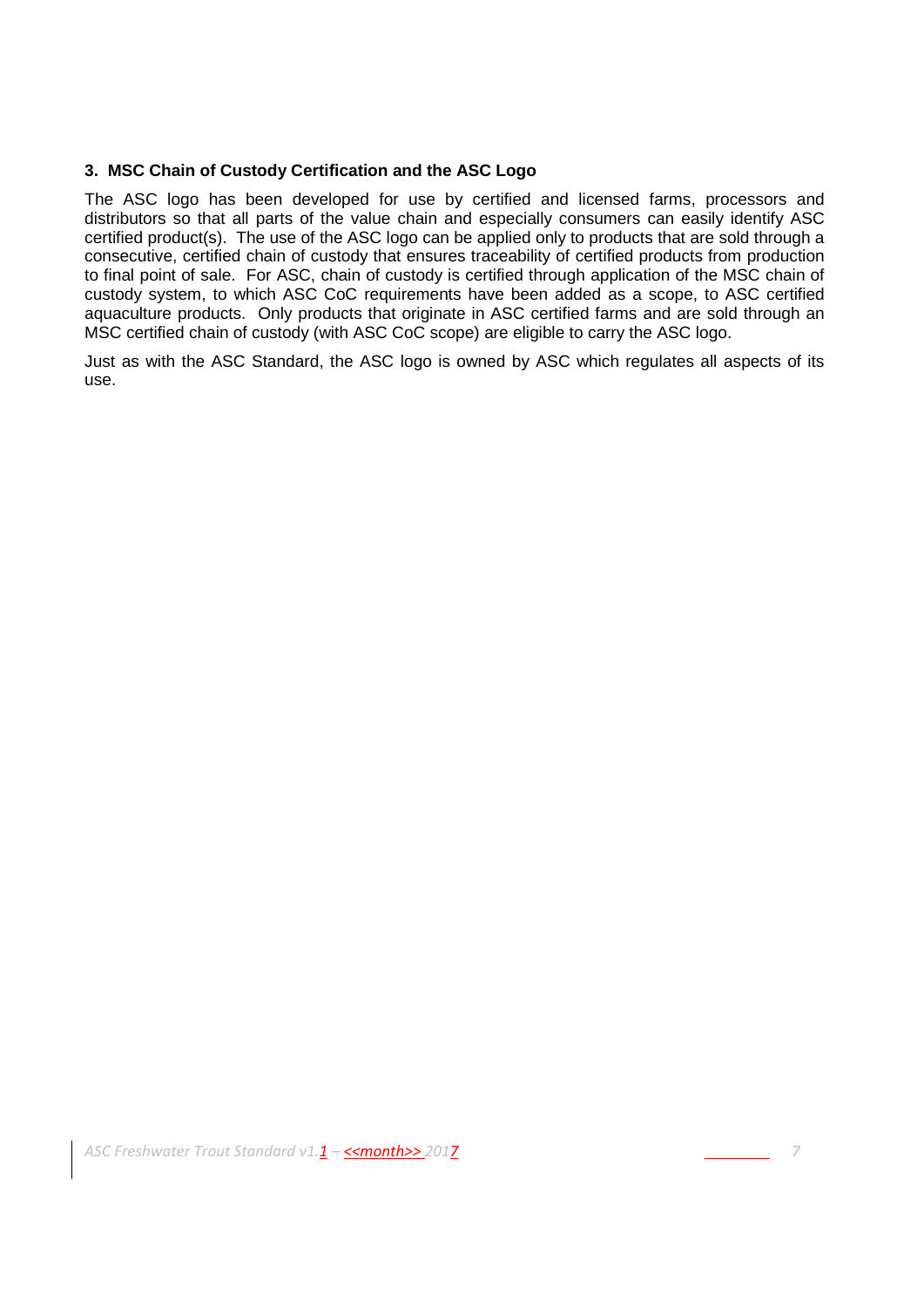### **3. MSC Chain of Custody Certification and the ASC Logo**

The ASC logo has been developed for use by certified and licensed farms, processors and distributors so that all parts of the value chain and especially consumers can easily identify ASC certified product(s). The use of the ASC logo can be applied only to products that are sold through a consecutive, certified chain of custody that ensures traceability of certified products from production to final point of sale. For ASC, chain of custody is certified through application of the MSC chain of custody system, to which ASC CoC requirements have been added as a scope, to ASC certified aquaculture products. Only products that originate in ASC certified farms and are sold through an MSC certified chain of custody (with ASC CoC scope) are eligible to carry the ASC logo.

Just as with the ASC Standard, the ASC logo is owned by ASC which regulates all aspects of its use.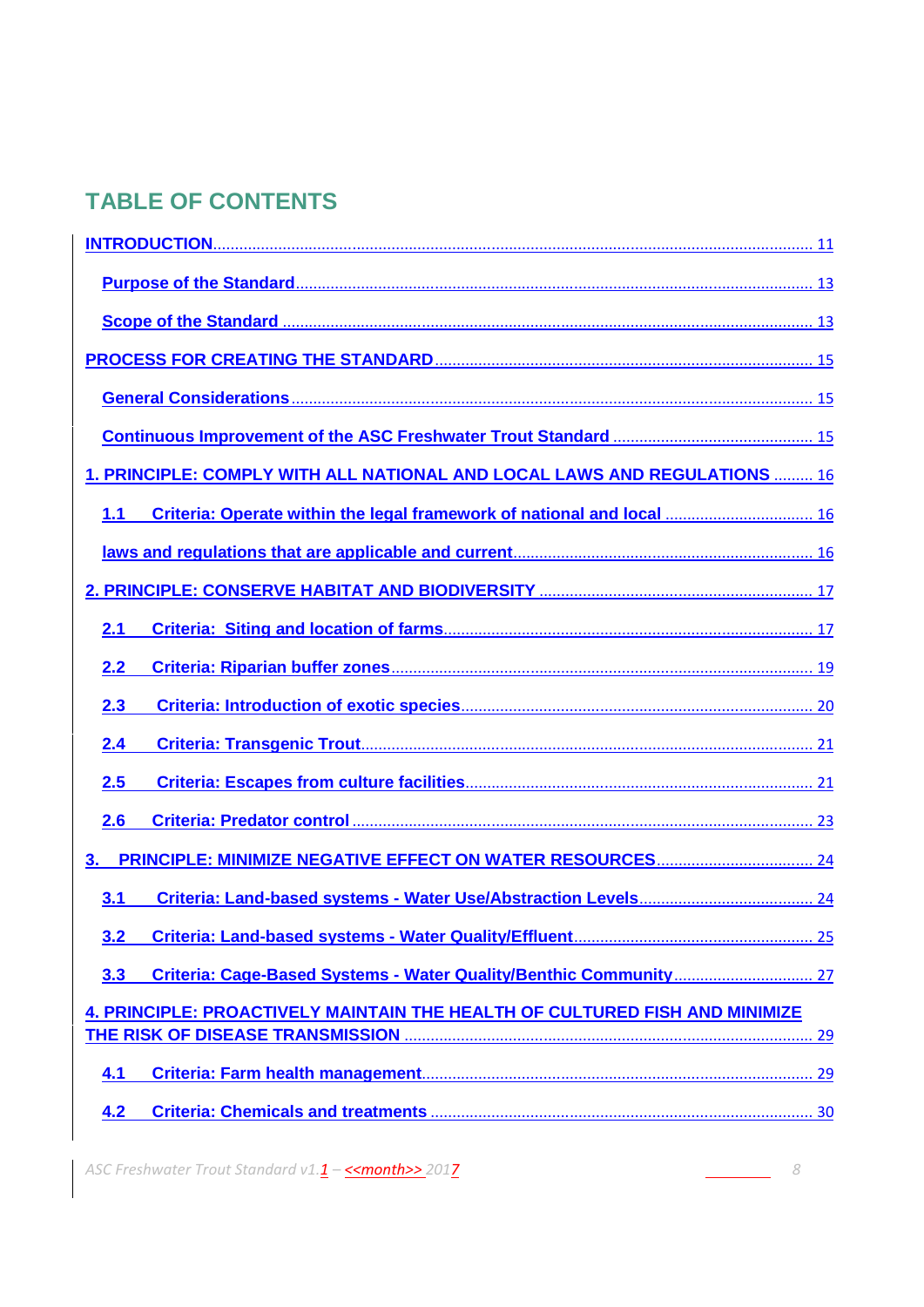## **TABLE OF CONTENTS**

| 1. PRINCIPLE: COMPLY WITH ALL NATIONAL AND LOCAL LAWS AND REGULATIONS  16          |  |  |
|------------------------------------------------------------------------------------|--|--|
| Criteria: Operate within the legal framework of national and local  16<br>1.1      |  |  |
|                                                                                    |  |  |
|                                                                                    |  |  |
| 2.1                                                                                |  |  |
| 2.2                                                                                |  |  |
| 2.3                                                                                |  |  |
| 2.4                                                                                |  |  |
| 2.5                                                                                |  |  |
| 2.6                                                                                |  |  |
| 3.                                                                                 |  |  |
| 3.1                                                                                |  |  |
| 3.2                                                                                |  |  |
| 3.3                                                                                |  |  |
| <b>4. PRINCIPLE: PROACTIVELY MAINTAIN THE HEALTH OF CULTURED FISH AND MINIMIZE</b> |  |  |
|                                                                                    |  |  |
| 4.1                                                                                |  |  |
| 4.2                                                                                |  |  |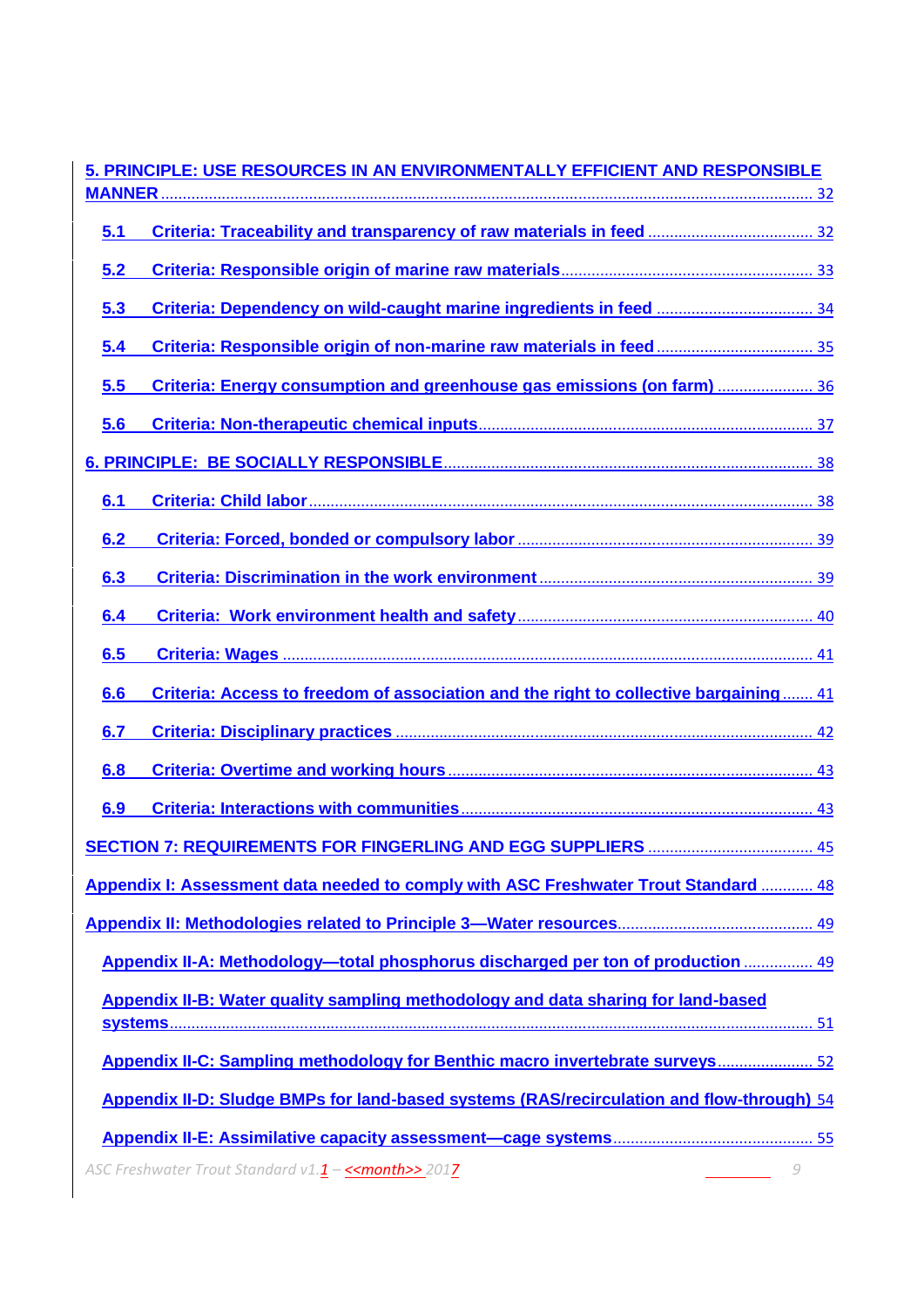|     | 5. PRINCIPLE: USE RESOURCES IN AN ENVIRONMENTALLY EFFICIENT AND RESPONSIBLE               |  |
|-----|-------------------------------------------------------------------------------------------|--|
|     |                                                                                           |  |
| 5.1 |                                                                                           |  |
| 5.2 |                                                                                           |  |
| 5.3 |                                                                                           |  |
| 5.4 |                                                                                           |  |
| 5.5 | Criteria: Energy consumption and greenhouse gas emissions (on farm)  36                   |  |
| 5.6 |                                                                                           |  |
|     |                                                                                           |  |
| 6.1 |                                                                                           |  |
| 6.2 |                                                                                           |  |
| 6.3 |                                                                                           |  |
| 6.4 |                                                                                           |  |
| 6.5 |                                                                                           |  |
| 6.6 | Criteria: Access to freedom of association and the right to collective bargaining 41      |  |
| 6.7 |                                                                                           |  |
| 6.8 |                                                                                           |  |
| 6.9 |                                                                                           |  |
|     |                                                                                           |  |
|     | Appendix I: Assessment data needed to comply with ASC Freshwater Trout Standard  48       |  |
|     |                                                                                           |  |
|     | Appendix II-A: Methodology—total phosphorus discharged per ton of production  49          |  |
|     | Appendix II-B: Water quality sampling methodology and data sharing for land-based         |  |
|     |                                                                                           |  |
|     | Appendix II-C: Sampling methodology for Benthic macro invertebrate surveys 52             |  |
|     | Appendix II-D: Sludge BMPs for land-based systems (RAS/recirculation and flow-through) 54 |  |
|     |                                                                                           |  |
|     | ASC Freshwater Trout Standard v1.1 - << month>> 2017                                      |  |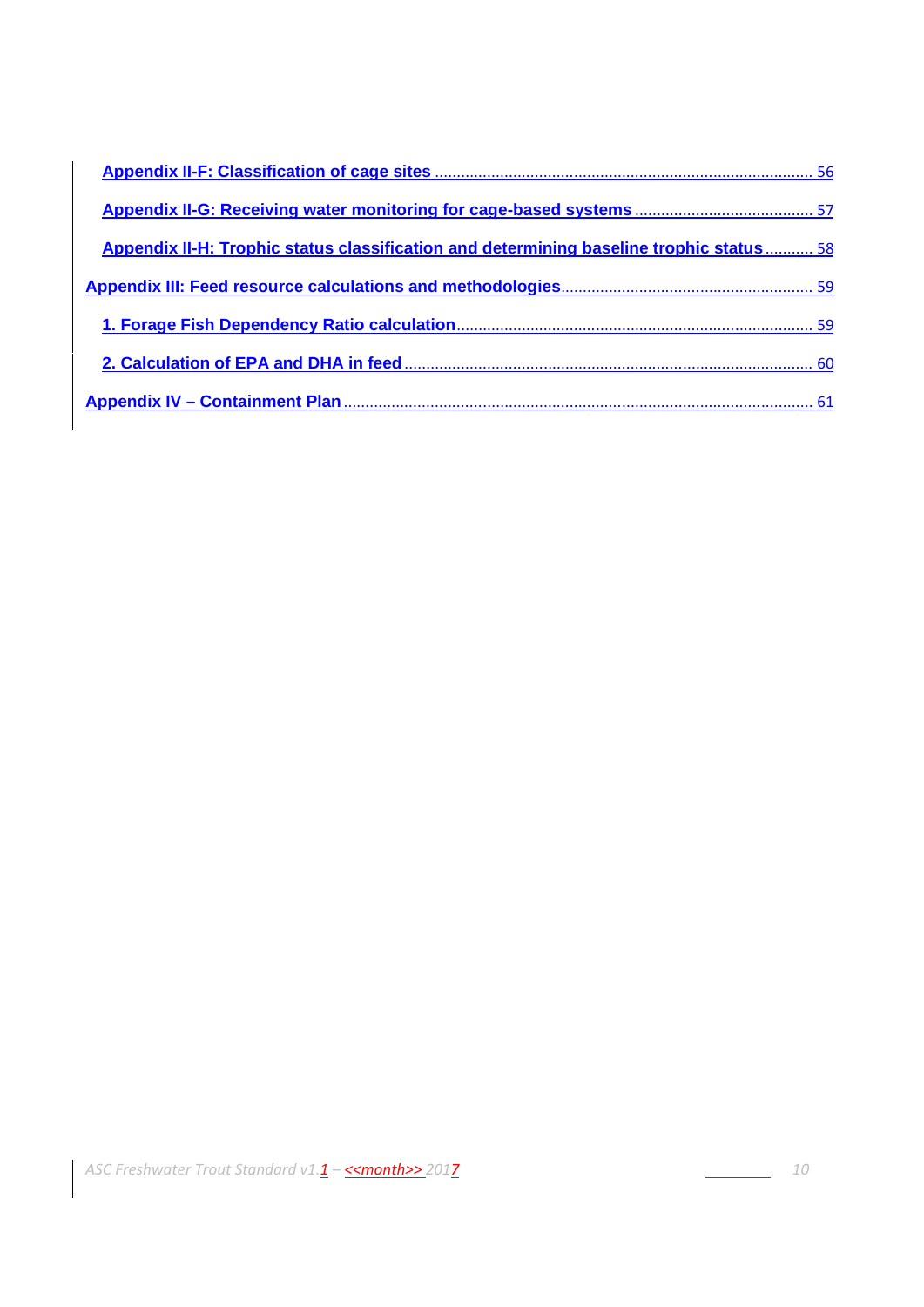| Appendix II-H: Trophic status classification and determining baseline trophic status  58 |  |
|------------------------------------------------------------------------------------------|--|
|                                                                                          |  |
|                                                                                          |  |
|                                                                                          |  |
|                                                                                          |  |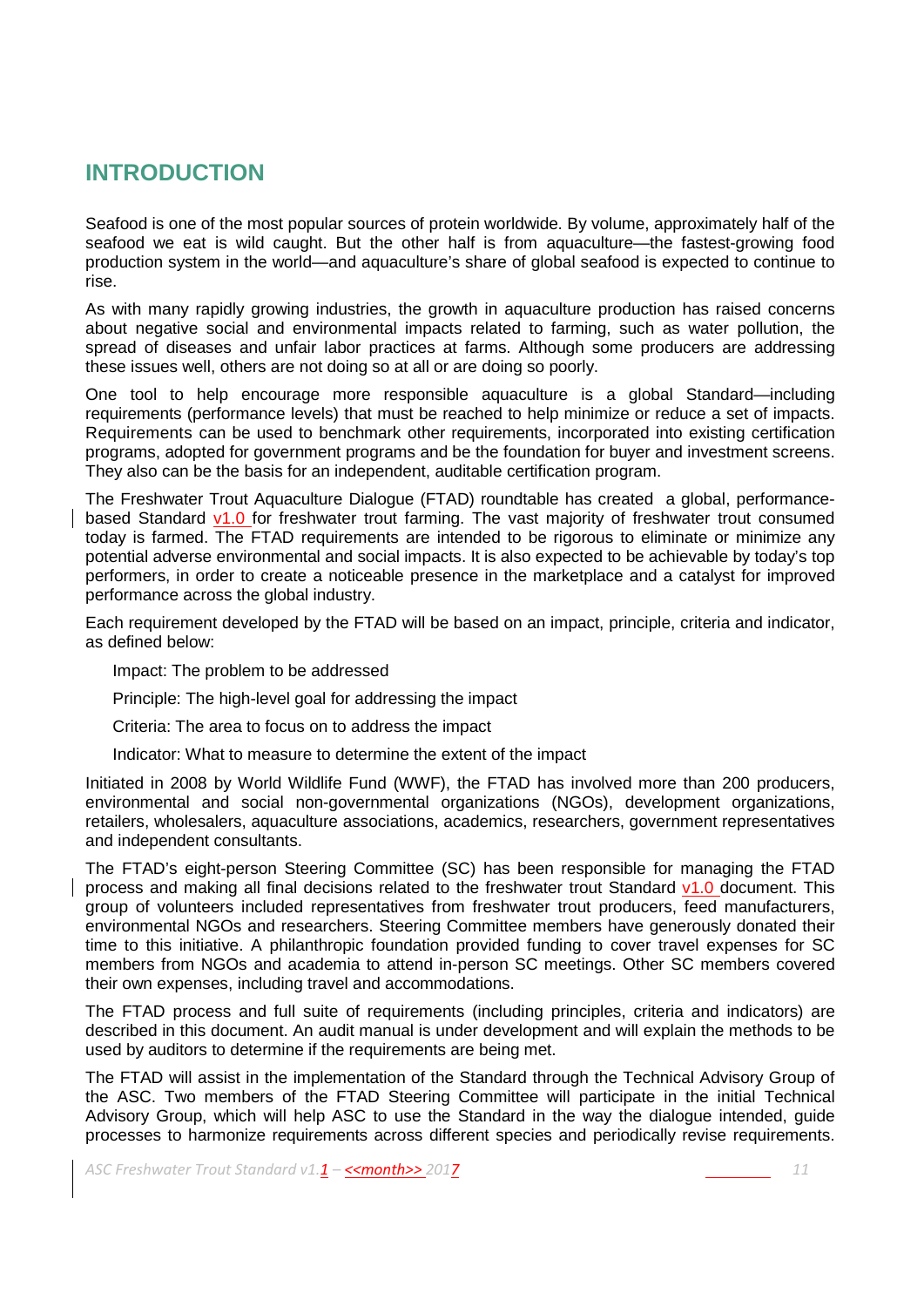## **INTRODUCTION**

Seafood is one of the most popular sources of protein worldwide. By volume, approximately half of the seafood we eat is wild caught. But the other half is from aquaculture—the fastest-growing food production system in the world—and aquaculture's share of global seafood is expected to continue to rise.

As with many rapidly growing industries, the growth in aquaculture production has raised concerns about negative social and environmental impacts related to farming, such as water pollution, the spread of diseases and unfair labor practices at farms. Although some producers are addressing these issues well, others are not doing so at all or are doing so poorly.

One tool to help encourage more responsible aquaculture is a global Standard—including requirements (performance levels) that must be reached to help minimize or reduce a set of impacts. Requirements can be used to benchmark other requirements, incorporated into existing certification programs, adopted for government programs and be the foundation for buyer and investment screens. They also can be the basis for an independent, auditable certification program.

The Freshwater Trout Aquaculture Dialogue (FTAD) roundtable has created a global, performance based Standard v1.0 for freshwater trout farming. The vast majority of freshwater trout consumed today is farmed. The FTAD requirements are intended to be rigorous to eliminate or minimize any potential adverse environmental and social impacts. It is also expected to be achievable by today's top performers, in order to create a noticeable presence in the marketplace and a catalyst for improved performance across the global industry.

Each requirement developed by the FTAD will be based on an impact, principle, criteria and indicator, as defined below:

Impact: The problem to be addressed

Principle: The high-level goal for addressing the impact

Criteria: The area to focus on to address the impact

Indicator: What to measure to determine the extent of the impact

Initiated in 2008 by World Wildlife Fund (WWF), the FTAD has involved more than 200 producers, environmental and social non-governmental organizations (NGOs), development organizations, retailers, wholesalers, aquaculture associations, academics, researchers, government representatives and independent consultants.

The FTAD's eight-person Steering Committee (SC) has been responsible for managing the FTAD process and making all final decisions related to the freshwater trout Standard v1.0 document. This group of volunteers included representatives from freshwater trout producers, feed manufacturers, environmental NGOs and researchers. Steering Committee members have generously donated their time to this initiative. A philanthropic foundation provided funding to cover travel expenses for SC members from NGOs and academia to attend in-person SC meetings. Other SC members covered their own expenses, including travel and accommodations.

The FTAD process and full suite of requirements (including principles, criteria and indicators) are described in this document. An audit manual is under development and will explain the methods to be used by auditors to determine if the requirements are being met.

The FTAD will assist in the implementation of the Standard through the Technical Advisory Group of the ASC. Two members of the FTAD Steering Committee will participate in the initial Technical Advisory Group, which will help ASC to use the Standard in the way the dialogue intended, quide processes to harmonize requirements across different species and periodically revise requirements.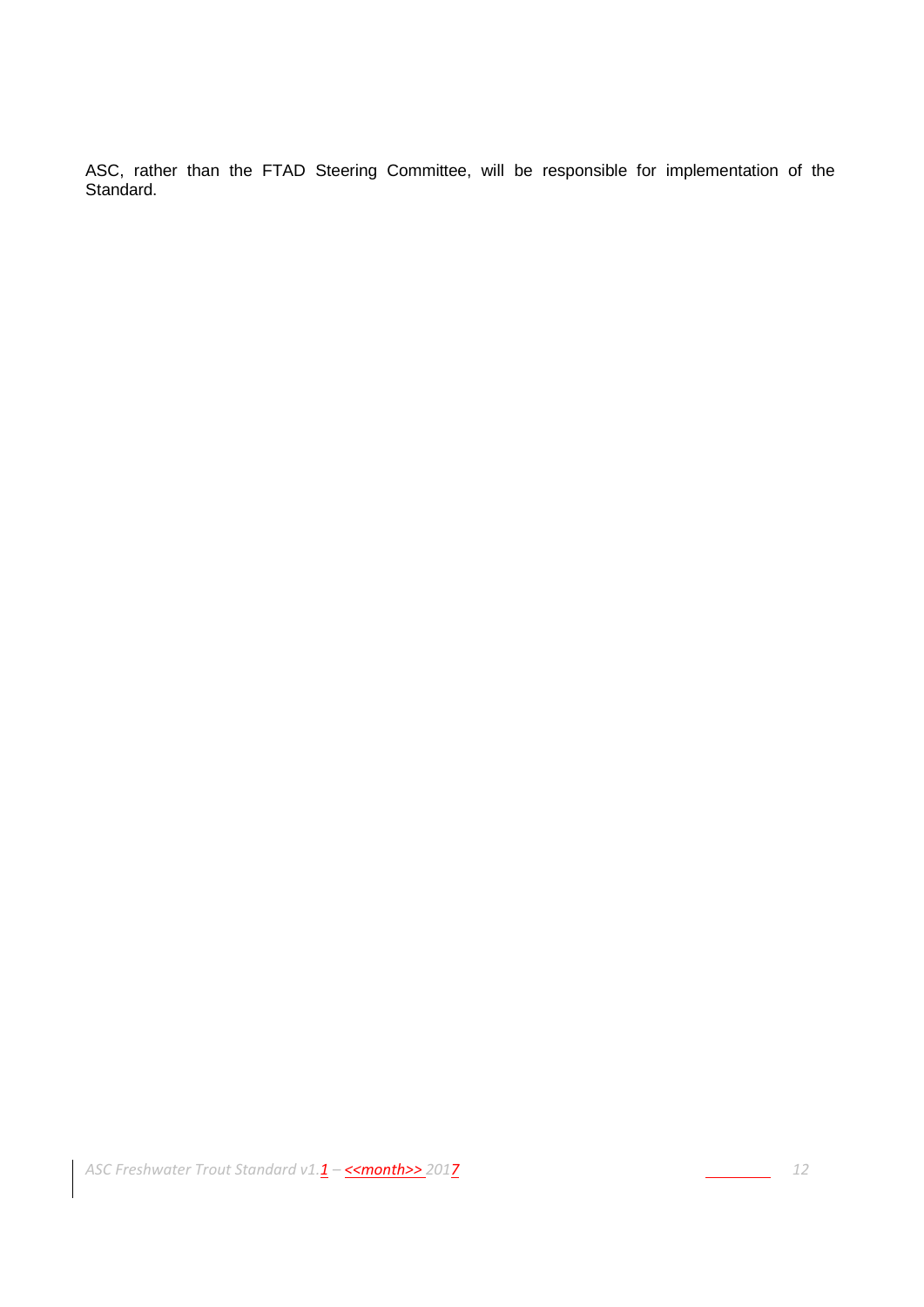ASC, rather than the FTAD Steering Committee, will be responsible for implementation of the Standard.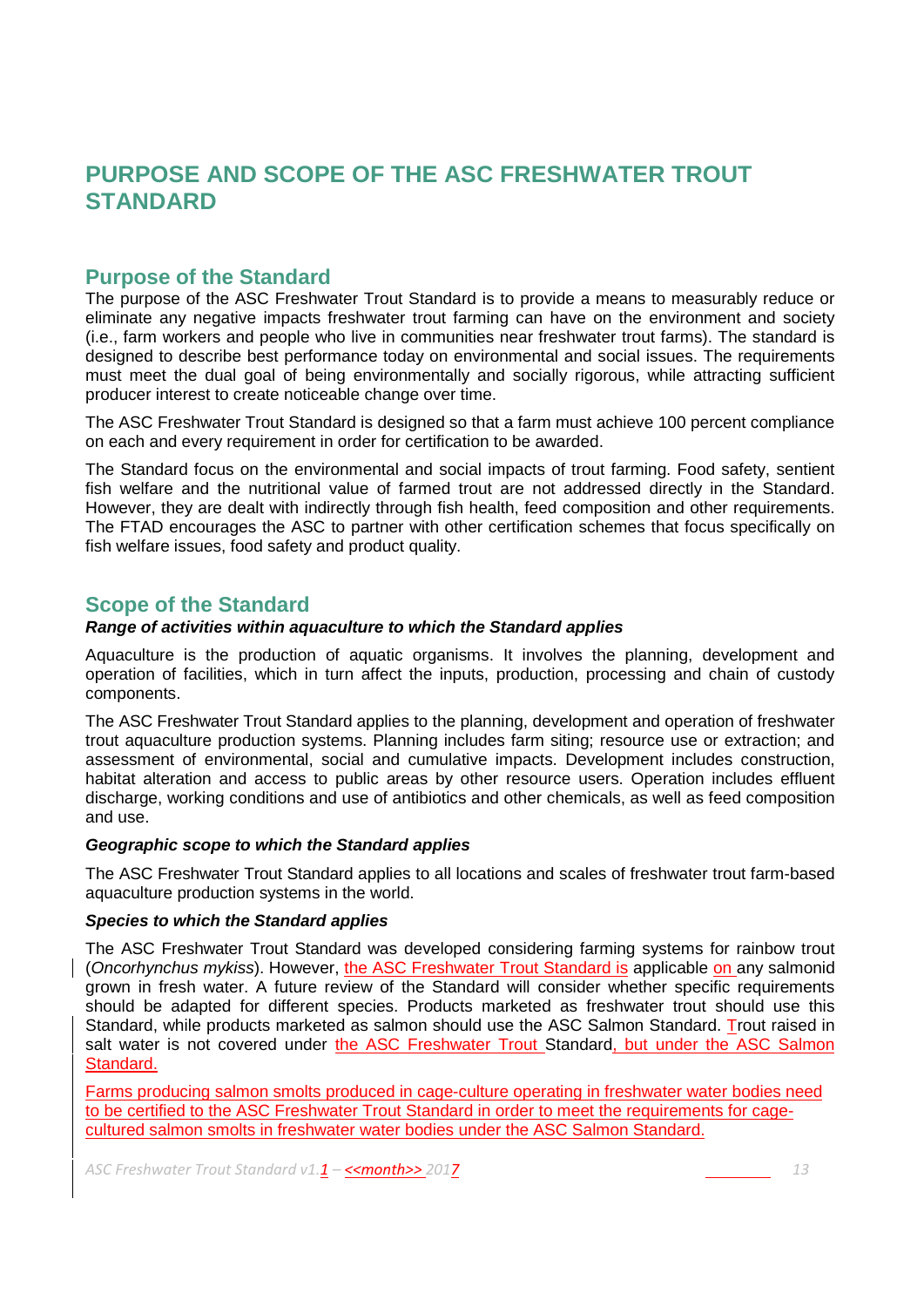## **PURPOSE AND SCOPE OF THE ASC FRESHWATER TROUT STANDARD**

### **Purpose of the Standard**

The purpose of the ASC Freshwater Trout Standard is to provide a means to measurably reduce or eliminate any negative impacts freshwater trout farming can have on the environment and society (i.e., farm workers and people who live in communities near freshwater trout farms). The standard is designed to describe best performance today on environmental and social issues. The requirements must meet the dual goal of being environmentally and socially rigorous, while attracting sufficient producer interest to create noticeable change over time.

The ASC Freshwater Trout Standard is designed so that a farm must achieve 100 percent compliance on each and every requirement in order for certification to be awarded.

The Standard focus on the environmental and social impacts of trout farming. Food safety, sentient fish welfare and the nutritional value of farmed trout are not addressed directly in the Standard. However, they are dealt with indirectly through fish health, feed composition and other requirements. The FTAD encourages the ASC to partner with other certification schemes that focus specifically on fish welfare issues, food safety and product quality.

## **Scope of the Standard**

### *Range of activities within aquaculture to which the Standard applies*

Aquaculture is the production of aquatic organisms. It involves the planning, development and operation of facilities, which in turn affect the inputs, production, processing and chain of custody components.

The ASC Freshwater Trout Standard applies to the planning, development and operation of freshwater trout aquaculture production systems. Planning includes farm siting; resource use or extraction; and assessment of environmental, social and cumulative impacts. Development includes construction, habitat alteration and access to public areas by other resource users. Operation includes effluent discharge, working conditions and use of antibiotics and other chemicals, as well as feed composition and use.

### *Geographic scope to which the Standard applies*

The ASC Freshwater Trout Standard applies to all locations and scales of freshwater trout farm-based aquaculture production systems in the world.

### *Species to which the Standard applies*

The ASC Freshwater Trout Standard was developed considering farming systems for rainbow trout (*Oncorhynchus mykiss*). However, the ASC Freshwater Trout Standard is applicable on any salmonid grown in fresh water. A future review of the Standard will consider whether specific requirements should be adapted for different species. Products marketed as freshwater trout should use this Standard, while products marketed as salmon should use the ASC Salmon Standard. Trout raised in salt water is not covered under the ASC Freshwater Trout Standard, but under the ASC Salmon Standard.

Farms producing salmon smolts produced in cage-culture operating in freshwater water bodies need to be certified to the ASC Freshwater Trout Standard in order to meet the requirements for cage cultured salmon smolts in freshwater water bodies under the ASC Salmon Standard.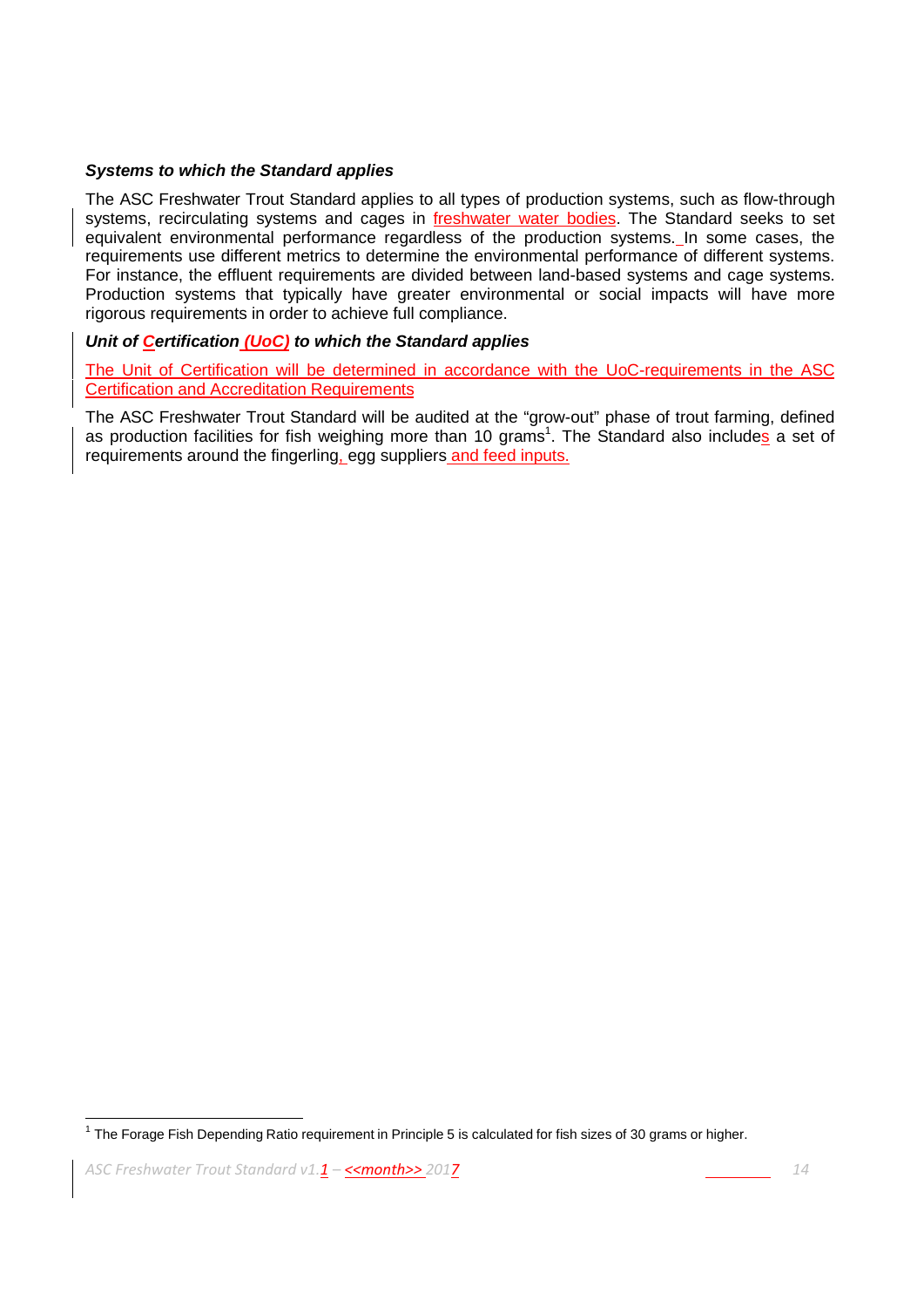### *Systems to which the Standard applies*

The ASC Freshwater Trout Standard applies to all types of production systems, such as flow-through systems, recirculating systems and cages in freshwater water bodies. The Standard seeks to set equivalent environmental performance regardless of the production systems. In some cases, the requirements use different metrics to determine the environmental performance of different systems. For instance, the effluent requirements are divided between land-based systems and cage systems. Production systems that typically have greater environmental or social impacts will have more rigorous requirements in order to achieve full compliance.

### *Unit of Certification (UoC) to which the Standard applies*

The Unit of Certification will be determined in accordance with the UoC-requirements in the ASC Certification and Accreditation Requirements

The ASC Freshwater Trout Standard will be audited at the "grow-out" phase of trout farming, defined as production facilities for fish weighing more than 10 grams<sup>1</sup>. The Standard also includes a set of requirements around the fingerling, egg suppliers and feed inputs.

 $1$  The Forage Fish Depending Ratio requirement in Principle 5 is calculated for fish sizes of 30 grams or higher.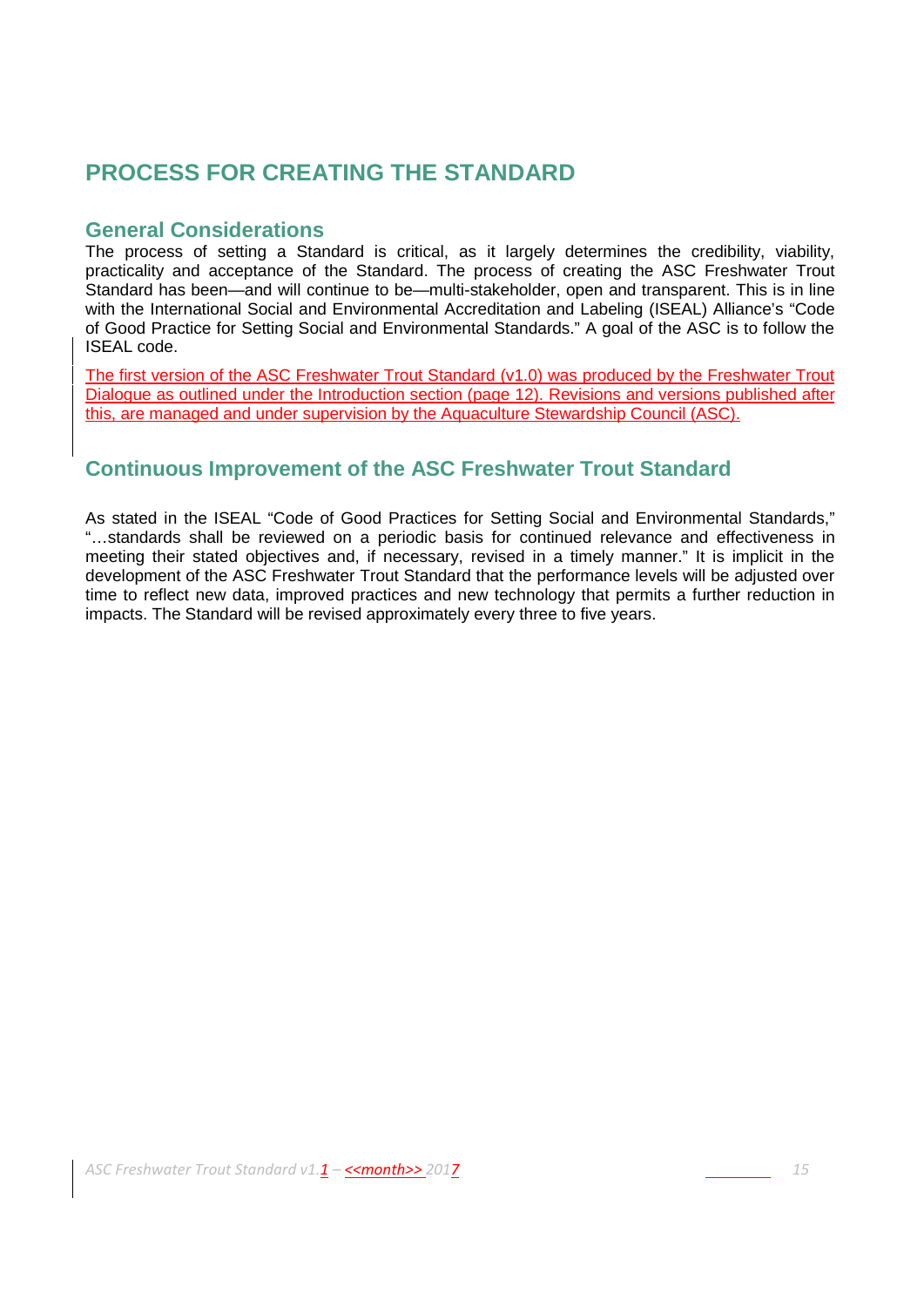## **PROCESS FOR CREATING THE STANDARD**

### **General Considerations**

The process of setting a Standard is critical, as it largely determines the credibility, viability, practicality and acceptance of the Standard. The process of creating the ASC Freshwater Trout Standard has been—and will continue to be—multi-stakeholder, open and transparent. This is in line with the International Social and Environmental Accreditation and Labeling (ISEAL) Alliance's "Code of Good Practice for Setting Social and Environmental Standards." A goal of the ASC is to follow the ISEAL code.

The first version of the ASC Freshwater Trout Standard (v1.0) was produced by the Freshwater Trout Dialogue as outlined under the Introduction section (page 12). Revisions and versions published after this, are managed and under supervision by the Aquaculture Stewardship Council (ASC).

## **Continuous Improvement of the ASC Freshwater Trout Standard**

As stated in the ISEAL "Code of Good Practices for Setting Social and Environmental Standards," "…standards shall be reviewed on a periodic basis for continued relevance and effectiveness in meeting their stated objectives and, if necessary, revised in a timely manner." It is implicit in the development of the ASC Freshwater Trout Standard that the performance levels will be adjusted over time to reflect new data, improved practices and new technology that permits a further reduction in impacts. The Standard will be revised approximately every three to five years.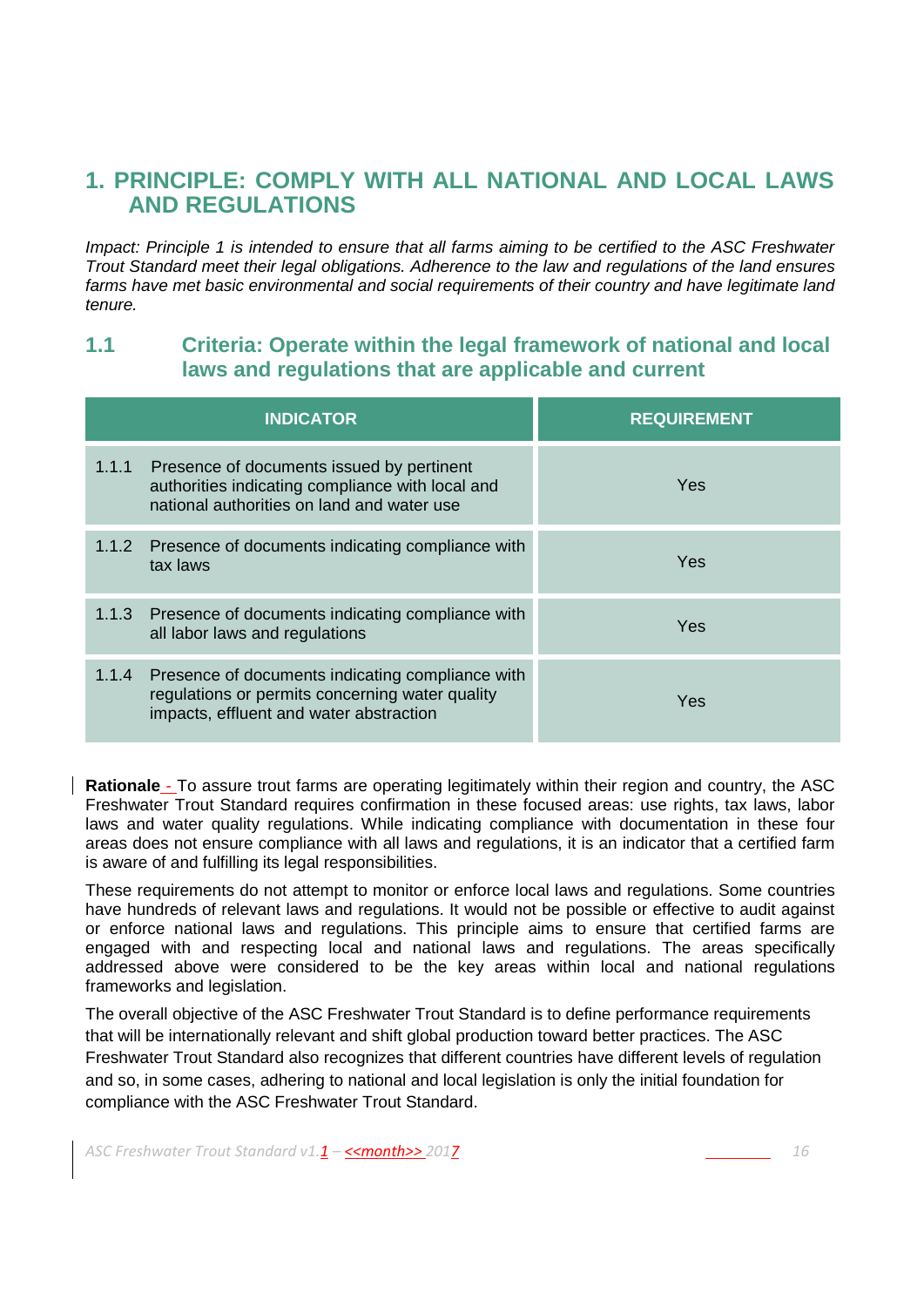## **1. PRINCIPLE: COMPLY WITH ALL NATIONAL AND LOCAL LAWS AND REGULATIONS**

*Impact: Principle 1 is intended to ensure that all farms aiming to be certified to the ASC Freshwater Trout Standard meet their legal obligations. Adherence to the law and regulations of the land ensures farms have met basic environmental and social requirements of their country and have legitimate land tenure.*

### **1.1 Criteria: Operate within the legal framework of national and local laws and regulations that are applicable and current**

| <b>INDICATOR</b> |                                                                                                                                                | <b>REQUIREMENT</b> |
|------------------|------------------------------------------------------------------------------------------------------------------------------------------------|--------------------|
| 1.1.1            | Presence of documents issued by pertinent<br>authorities indicating compliance with local and<br>national authorities on land and water use    | Yes                |
| 1.1.2            | Presence of documents indicating compliance with<br>tax laws                                                                                   | Yes                |
|                  | 1.1.3 Presence of documents indicating compliance with<br>all labor laws and regulations                                                       | Yes                |
| 1.1.4            | Presence of documents indicating compliance with<br>regulations or permits concerning water quality<br>impacts, effluent and water abstraction | Yes                |

**Rationale** - To assure trout farms are operating legitimately within their region and country, the ASC Freshwater Trout Standard requires confirmation in these focused areas: use rights, tax laws, labor laws and water quality regulations. While indicating compliance with documentation in these four areas does not ensure compliance with all laws and regulations, it is an indicator that a certified farm is aware of and fulfilling its legal responsibilities.

These requirements do not attempt to monitor or enforce local laws and regulations. Some countries have hundreds of relevant laws and regulations. It would not be possible or effective to audit against or enforce national laws and regulations. This principle aims to ensure that certified farms are engaged with and respecting local and national laws and regulations. The areas specifically addressed above were considered to be the key areas within local and national regulations frameworks and legislation.

The overall objective of the ASC Freshwater Trout Standard is to define performance requirements that will be internationally relevant and shift global production toward better practices. The ASC Freshwater Trout Standard also recognizes that different countries have different levels of regulation and so, in some cases, adhering to national and local legislation is only the initial foundation for compliance with the ASC Freshwater Trout Standard.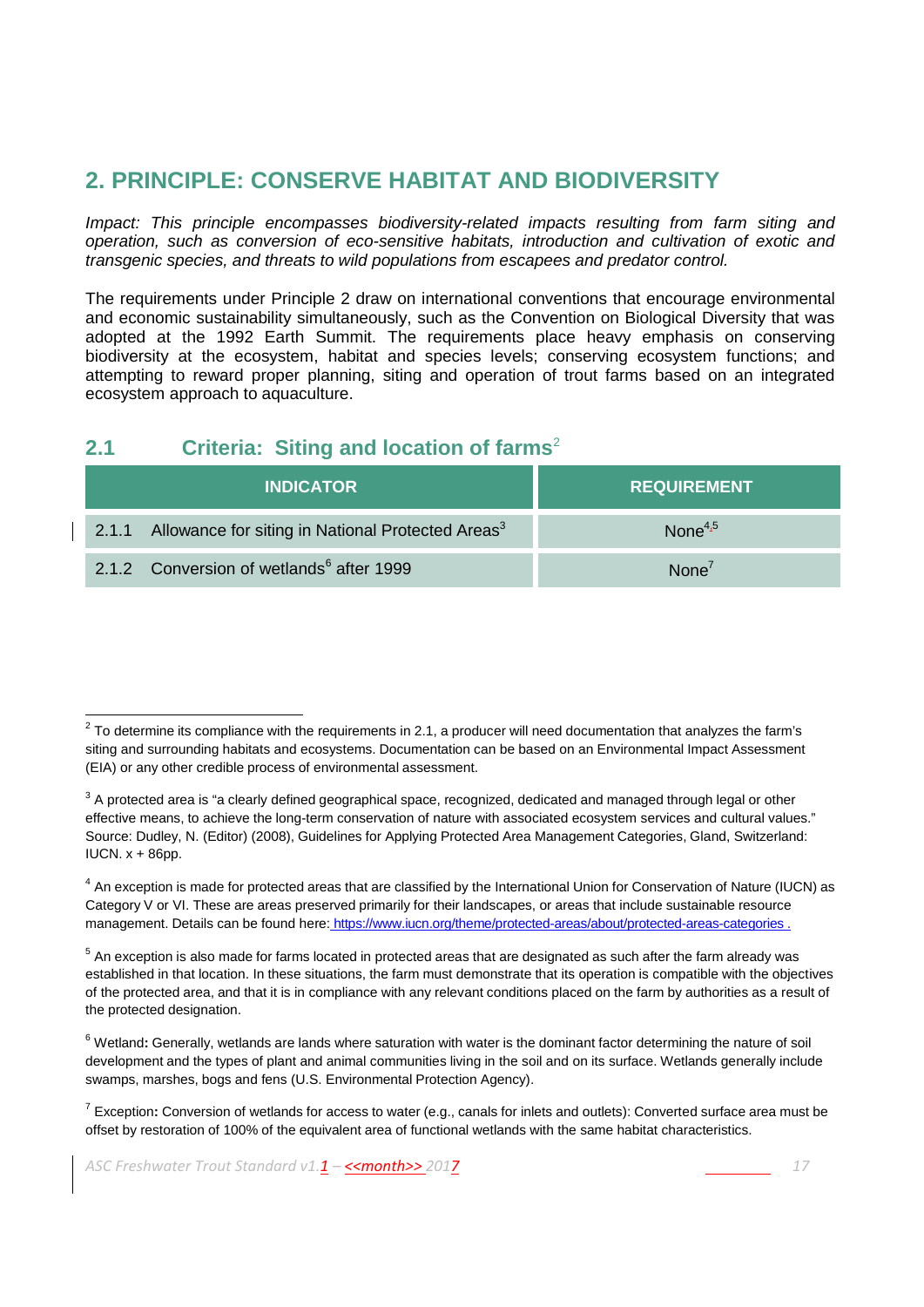## **2. PRINCIPLE: CONSERVE HABITAT AND BIODIVERSITY**

*Impact: This principle encompasses biodiversity-related impacts resulting from farm siting and operation, such as conversion of eco-sensitive habitats, introduction and cultivation of exotic and transgenic species, and threats to wild populations from escapees and predator control.*

The requirements under Principle 2 draw on international conventions that encourage environmental and economic sustainability simultaneously, such as the Convention on Biological Diversity that was adopted at the 1992 Earth Summit. The requirements place heavy emphasis on conserving biodiversity at the ecosystem, habitat and species levels; conserving ecosystem functions; and attempting to reward proper planning, siting and operation of trout farms based on an integrated ecosystem approach to aquaculture.

## **2.1 Criteria: Siting and location of farms**<sup>2</sup>

| <b>INDICATOR</b>                                                    | <b>REQUIREMENT</b> |
|---------------------------------------------------------------------|--------------------|
| 2.1.1 Allowance for siting in National Protected Areas <sup>3</sup> | None $4.5$         |
| 2.1.2 Conversion of wetlands <sup>6</sup> after 1999                | None'              |

 $2$  To determine its compliance with the requirements in 2.1, a producer will need documentation that analyzes the farm's siting and surrounding habitats and ecosystems. Documentation can be based on an Environmental Impact Assessment (EIA) or any other credible process of environmental assessment.

 $3$  A protected area is "a clearly defined geographical space, recognized, dedicated and managed through legal or other effective means, to achieve the long-term conservation of nature with associated ecosystem services and cultural values." Source: Dudley, N. (Editor) (2008), Guidelines for Applying Protected Area Management Categories, Gland, Switzerland: IUCN.  $x + 86$ pp.

 $4$  An exception is made for protected areas that are classified by the International Union for Conservation of Nature (IUCN) as Category V or VI. These are areas preserved primarily for their landscapes, or areas that include sustainable resource management. Details can be found here: https://www.iucn.org/theme/protected-areas/about/protected-areas-categories .

<sup>&</sup>lt;sup>5</sup> An exception is also made for farms located in protected areas that are designated as such after the farm already was established in that location. In these situations, the farm must demonstrate that its operation is compatible with the objectives of the protected area, and that it is in compliance with any relevant conditions placed on the farm by authorities as a result of the protected designation.

<sup>6</sup> Wetland**:** Generally, wetlands are lands where saturation with water is the dominant factor determining the nature of soil development and the types of plant and animal communities living in the soil and on its surface. Wetlands generally include swamps, marshes, bogs and fens (U.S. Environmental Protection Agency).

<sup>7</sup> Exception**:** Conversion of wetlands for access to water (e.g., canals for inlets and outlets): Converted surface area must be offset by restoration of 100% of the equivalent area of functional wetlands with the same habitat characteristics.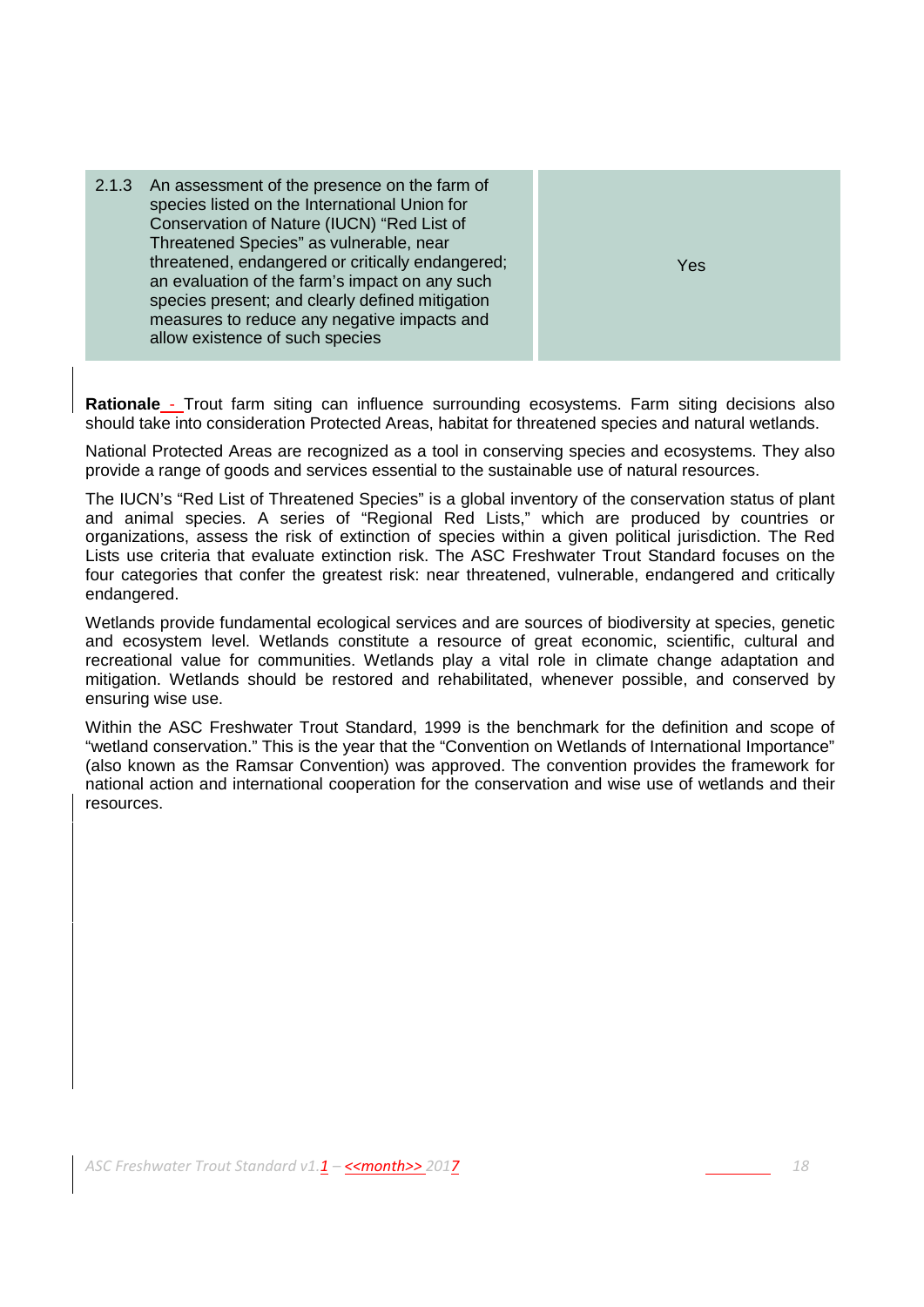|  | 2.1.3 An assessment of the presence on the farm of<br>species listed on the International Union for<br>Conservation of Nature (IUCN) "Red List of<br>Threatened Species" as vulnerable, near<br>threatened, endangered or critically endangered;<br>an evaluation of the farm's impact on any such<br>species present; and clearly defined mitigation<br>measures to reduce any negative impacts and<br>allow existence of such species |  | Yes |
|--|-----------------------------------------------------------------------------------------------------------------------------------------------------------------------------------------------------------------------------------------------------------------------------------------------------------------------------------------------------------------------------------------------------------------------------------------|--|-----|
|--|-----------------------------------------------------------------------------------------------------------------------------------------------------------------------------------------------------------------------------------------------------------------------------------------------------------------------------------------------------------------------------------------------------------------------------------------|--|-----|

**Rationale** - Trout farm siting can influence surrounding ecosystems. Farm siting decisions also should take into consideration Protected Areas, habitat for threatened species and natural wetlands.

National Protected Areas are recognized as a tool in conserving species and ecosystems. They also provide a range of goods and services essential to the sustainable use of natural resources.

The IUCN's "Red List of Threatened Species" is a global inventory of the conservation status of plant and animal species. A series of "Regional Red Lists," which are produced by countries or organizations, assess the risk of extinction of species within a given political jurisdiction. The Red Lists use criteria that evaluate extinction risk. The ASC Freshwater Trout Standard focuses on the four categories that confer the greatest risk: near threatened, vulnerable, endangered and critically endangered.

Wetlands provide fundamental ecological services and are sources of biodiversity at species, genetic and ecosystem level. Wetlands constitute a resource of great economic, scientific, cultural and recreational value for communities. Wetlands play a vital role in climate change adaptation and mitigation. Wetlands should be restored and rehabilitated, whenever possible, and conserved by ensuring wise use.

Within the ASC Freshwater Trout Standard, 1999 is the benchmark for the definition and scope of "wetland conservation." This is the year that the "Convention on Wetlands of International Importance" (also known as the Ramsar Convention) was approved. The convention provides the framework for national action and international cooperation for the conservation and wise use of wetlands and their resources.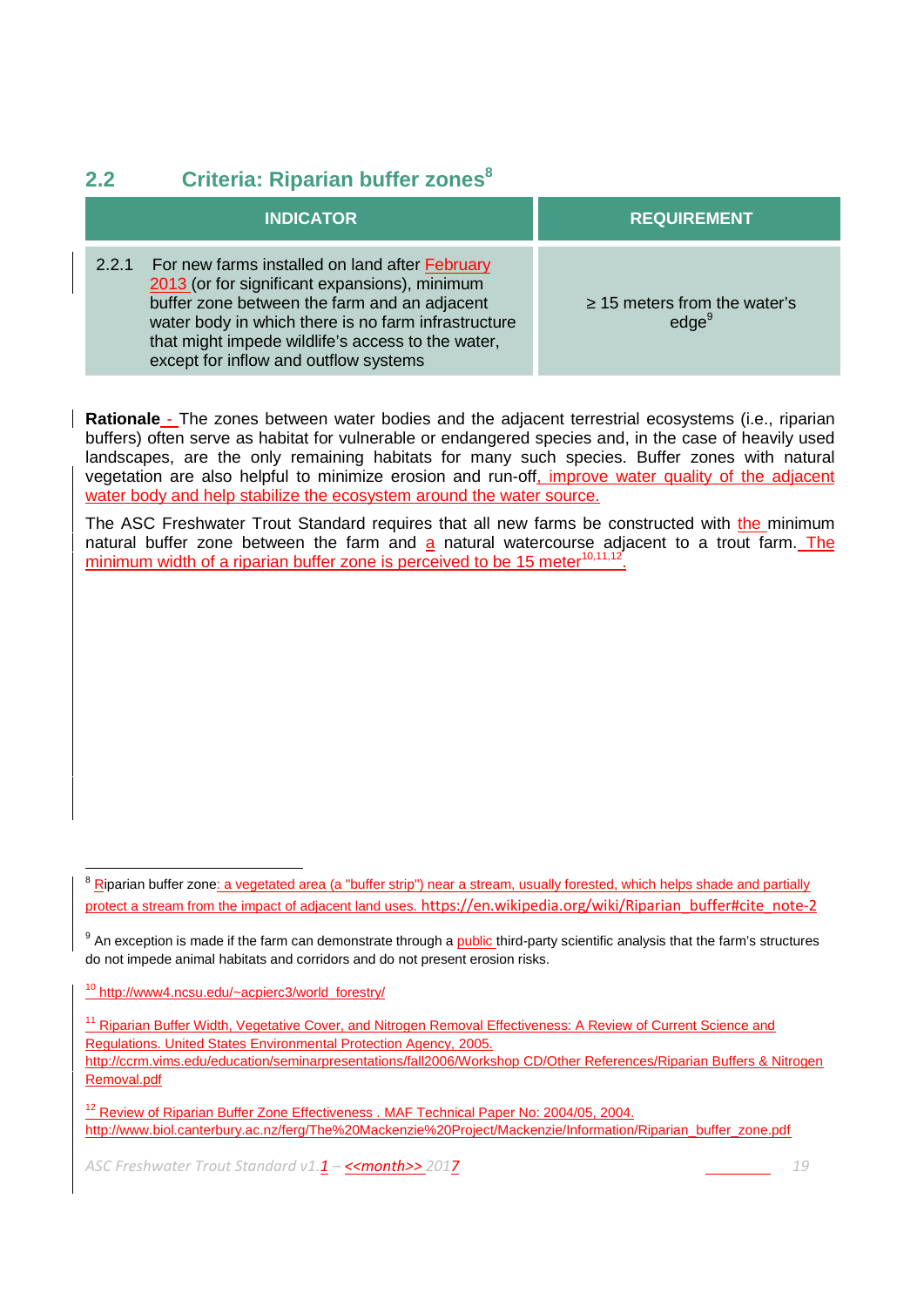## **2.2 Criteria: Riparian buffer zones<sup>8</sup>**

| <b>INDICATOR</b>                                                                                                                                                                                                                                                                                              | <b>REQUIREMENT</b>                              |
|---------------------------------------------------------------------------------------------------------------------------------------------------------------------------------------------------------------------------------------------------------------------------------------------------------------|-------------------------------------------------|
| For new farms installed on land after February<br>2.2.1<br>2013 (or for significant expansions), minimum<br>buffer zone between the farm and an adjacent<br>water body in which there is no farm infrastructure<br>that might impede wildlife's access to the water,<br>except for inflow and outflow systems | 15 meters from the water's<br>edge <sup>9</sup> |

**Rationale** - The zones between water bodies and the adjacent terrestrial ecosystems (i.e., riparian buffers) often serve as habitat for vulnerable or endangered species and, in the case of heavily used landscapes, are the only remaining habitats for many such species. Buffer zones with natural vegetation are also helpful to minimize erosion and run-off, improve water quality of the adjacent water body and help stabilize the ecosystem around the water source.

The ASC Freshwater Trout Standard requires that all new farms be constructed with the minimum natural buffer zone between the farm and a natural watercourse adjacent to a trout farm. The minimum width of a riparian buffer zone is perceived to be 15 meter $10,11,12$ ր<br>1966 - Մարտա

<sup>8</sup> Riparian buffer zone: a vegetated area (a "buffer strip") near a stream, usually forested, which helps shade and partially protect a stream from the impact of adjacent land uses. https://en.wikipedia.org/wiki/Riparian\_buffer#cite\_note-2

<sup>9</sup> An exception is made if the farm can demonstrate through a *public* third-party scientific analysis that the farm's structures do not impede animal habitats and corridors and do not present erosion risks.

<sup>10</sup> http://www4.ncsu.edu/~acpierc3/world\_forestry/

<sup>11</sup> Riparian Buffer Width, Vegetative Cover, and Nitrogen Removal Effectiveness: A Review of Current Science and Regulations. United States Environmental Protection Agency, 2005.

http://ccrm.vims.edu/education/seminarpresentations/fall2006/Workshop CD/Other References/Riparian Buffers & Nitrogen Removal.pdf

<sup>12</sup> Review of Riparian Buffer Zone Effectiveness . MAF Technical Paper No: 2004/05, 2004. http://www.biol.canterbury.ac.nz/ferg/The%20Mackenzie%20Project/Mackenzie/Information/Riparian\_buffer\_zone.pdf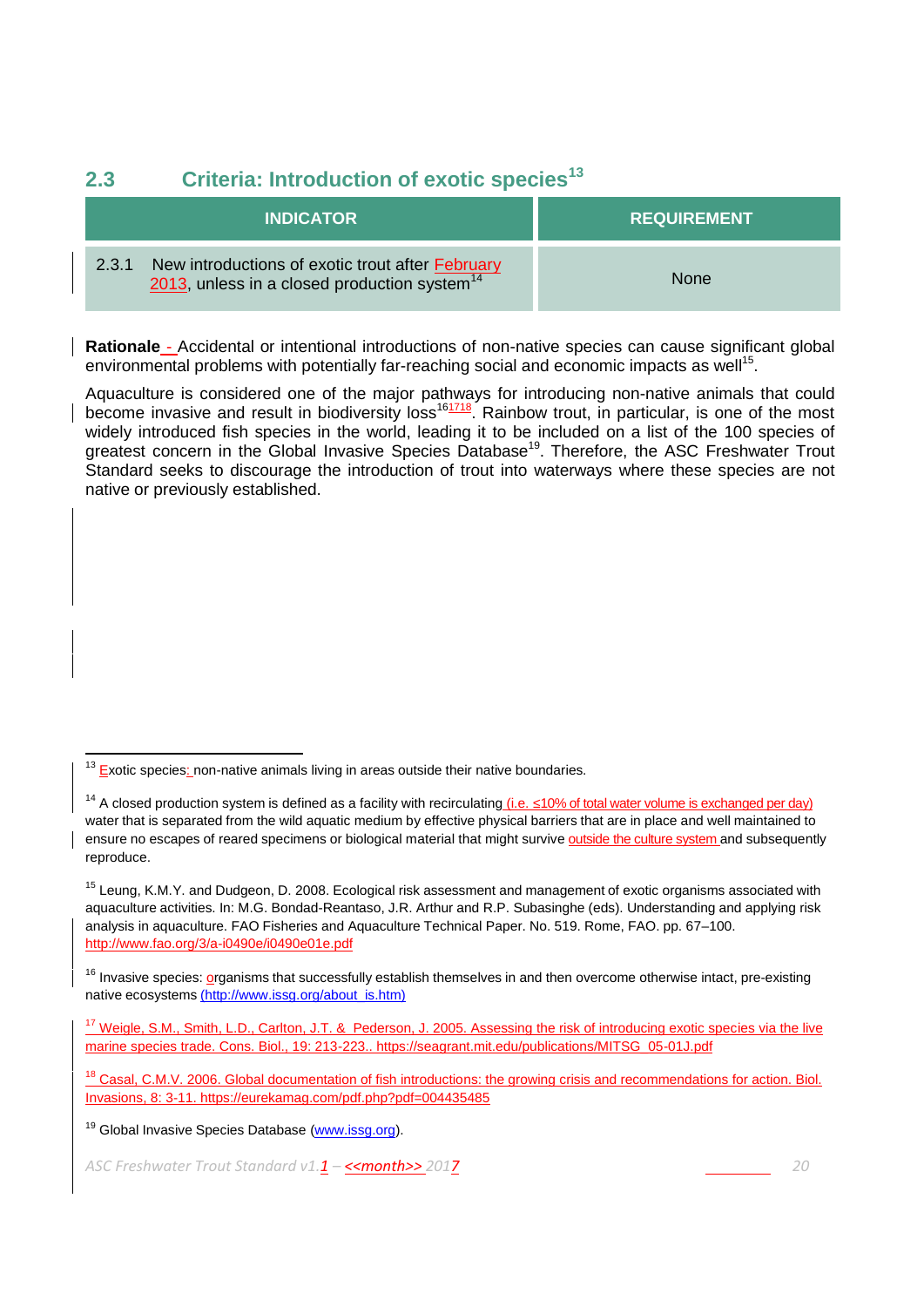## **2.3 Criteria: Introduction of exotic species<sup>13</sup>**

| <b>INDICATOR</b>                                                                                                             | <b>REQUIREMENT</b> |
|------------------------------------------------------------------------------------------------------------------------------|--------------------|
| New introductions of exotic trout after <b>February</b><br>2.3.1<br>2013, unless in a closed production system <sup>14</sup> | <b>None</b>        |

**Rationale** - Accidental or intentional introductions of non-native species can cause significant global environmental problems with potentially far-reaching social and economic impacts as well<sup>15</sup>.

Aquaculture is considered one of the major pathways for introducing non-native animals that could become invasive and result in biodiversity loss<sup>161718</sup>. Rainbow trout, in particular, is one of the most widely introduced fish species in the world, leading it to be included on a list of the 100 species of greatest concern in the Global Invasive Species Database<sup>19</sup>. Therefore, the ASC Freshwater Trout Standard seeks to discourage the introduction of trout into waterways where these species are not native or previously established.

<sup>16</sup> Invasive species: organisms that successfully establish themselves in and then overcome otherwise intact, pre-existing native ecosystems (http://www.issg.org/about\_is.htm)

<sup>17</sup> Weigle, S.M., Smith, L.D., Carlton, J.T. & Pederson, J. 2005. Assessing the risk of introducing exotic species via the live marine species trade. Cons. Biol., 19: 213-223.. https://seagrant.mit.edu/publications/MITSG\_05-01J.pdf

<sup>18</sup> Casal, C.M.V. 2006. Global documentation of fish introductions: the growing crisis and recommendations for action. Biol. Invasions, 8: 3-11. https://eurekamag.com/pdf.php?pdf=004435485

<sup>19</sup> Global Invasive Species Database (www.issg.org).

 $13$  Exotic species: non-native animals living in areas outside their native boundaries.

<sup>&</sup>lt;sup>14</sup> A closed production system is defined as a facility with recirculating  $(i.e. 10\%$  of total water volume is exchanged per day) water that is separated from the wild aquatic medium by effective physical barriers that are in place and well maintained to ensure no escapes of reared specimens or biological material that might survive outside the culture system and subsequently reproduce.

<sup>&</sup>lt;sup>15</sup> Leung, K.M.Y. and Dudgeon, D. 2008. Ecological risk assessment and management of exotic organisms associated with aquaculture activities. In: M.G. Bondad-Reantaso, J.R. Arthur and R.P. Subasinghe (eds). Understanding and applying risk analysis in aquaculture. FAO Fisheries and Aquaculture Technical Paper. No. 519. Rome, FAO. pp. 67–100. http://www.fao.org/3/a-i0490e/i0490e01e.pdf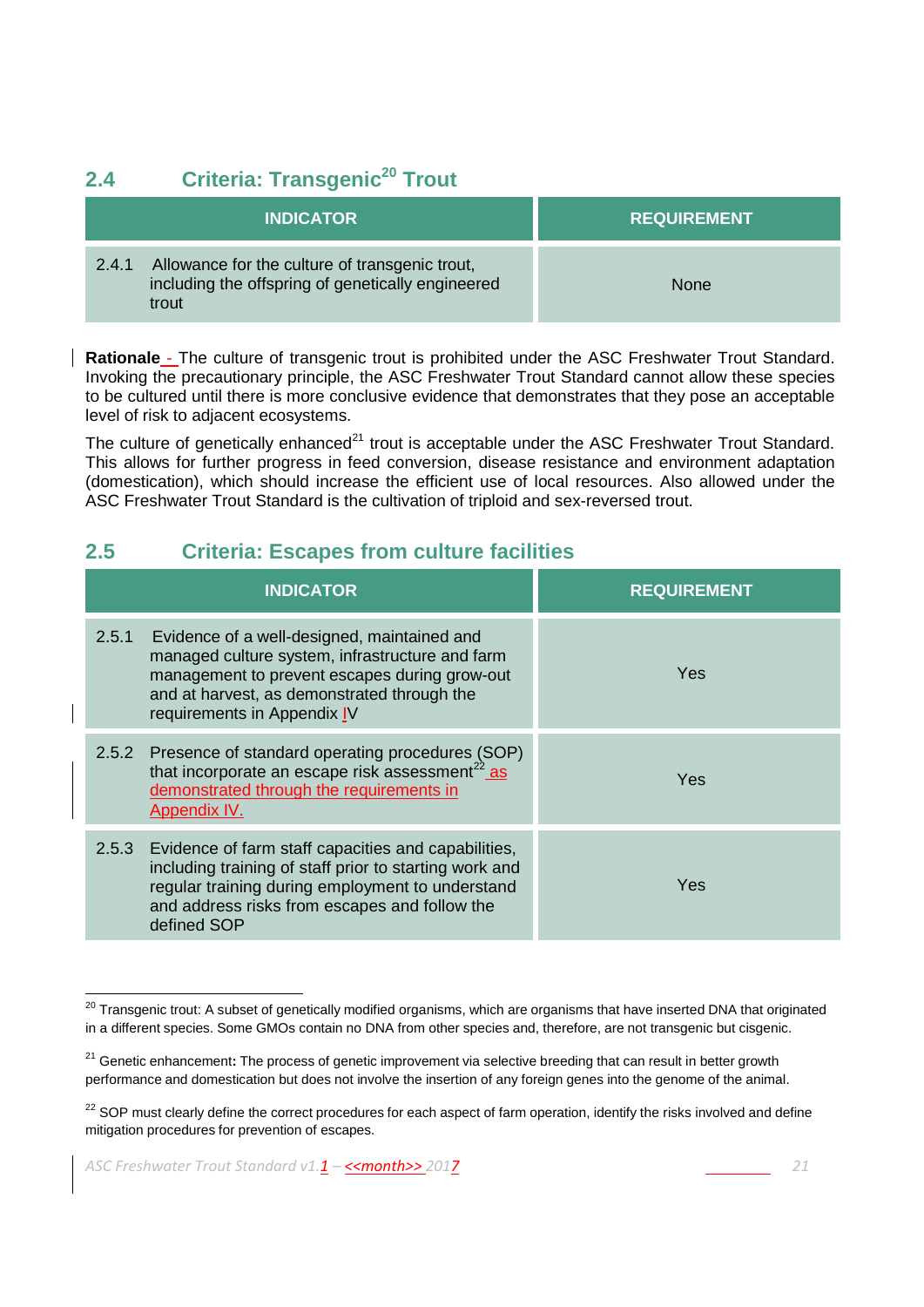## **2.4 Criteria: Transgenic<sup>20</sup> Trout**

| <b>INDICATOR</b>                                                                                                      | <b>REQUIREMENT</b> |
|-----------------------------------------------------------------------------------------------------------------------|--------------------|
| Allowance for the culture of transgenic trout,<br>2.4.1<br>including the offspring of genetically engineered<br>trout | <b>None</b>        |

**Rationale** - The culture of transgenic trout is prohibited under the ASC Freshwater Trout Standard. Invoking the precautionary principle, the ASC Freshwater Trout Standard cannot allow these species to be cultured until there is more conclusive evidence that demonstrates that they pose an acceptable level of risk to adjacent ecosystems.

The culture of genetically enhanced<sup>21</sup> trout is acceptable under the ASC Freshwater Trout Standard. This allows for further progress in feed conversion, disease resistance and environment adaptation (domestication), which should increase the efficient use of local resources. Also allowed under the ASC Freshwater Trout Standard is the cultivation of triploid and sex-reversed trout.

## **2.5 Criteria: Escapes from culture facilities**

| <b>INDICATOR</b>                                                                                                                                                                                                                           | <b>REQUIREMENT</b> |
|--------------------------------------------------------------------------------------------------------------------------------------------------------------------------------------------------------------------------------------------|--------------------|
| 2.5.1<br>Evidence of a well-designed, maintained and<br>managed culture system, infrastructure and farm<br>management to prevent escapes during grow-out<br>and at harvest, as demonstrated through the<br>requirements in Appendix IV     | Yes                |
| 2.5.2 Presence of standard operating procedures (SOP)<br>that incorporate an escape risk assessment <sup>22</sup> as<br>demonstrated through the requirements in<br>Appendix IV.                                                           | <b>Yes</b>         |
| Evidence of farm staff capacities and capabilities,<br>2.5.3<br>including training of staff prior to starting work and<br>regular training during employment to understand<br>and address risks from escapes and follow the<br>defined SOP | Yes                |

<sup>&</sup>lt;sup>20</sup> Transgenic trout: A subset of genetically modified organisms, which are organisms that have inserted DNA that originated in a different species. Some GMOs contain no DNA from other species and, therefore, are not transgenic but cisgenic.

<sup>&</sup>lt;sup>21</sup> Genetic enhancement: The process of genetic improvement via selective breeding that can result in better growth performance and domestication but does not involve the insertion of any foreign genes into the genome of the animal.

<sup>&</sup>lt;sup>22</sup> SOP must clearly define the correct procedures for each aspect of farm operation, identify the risks involved and define mitigation procedures for prevention of escapes.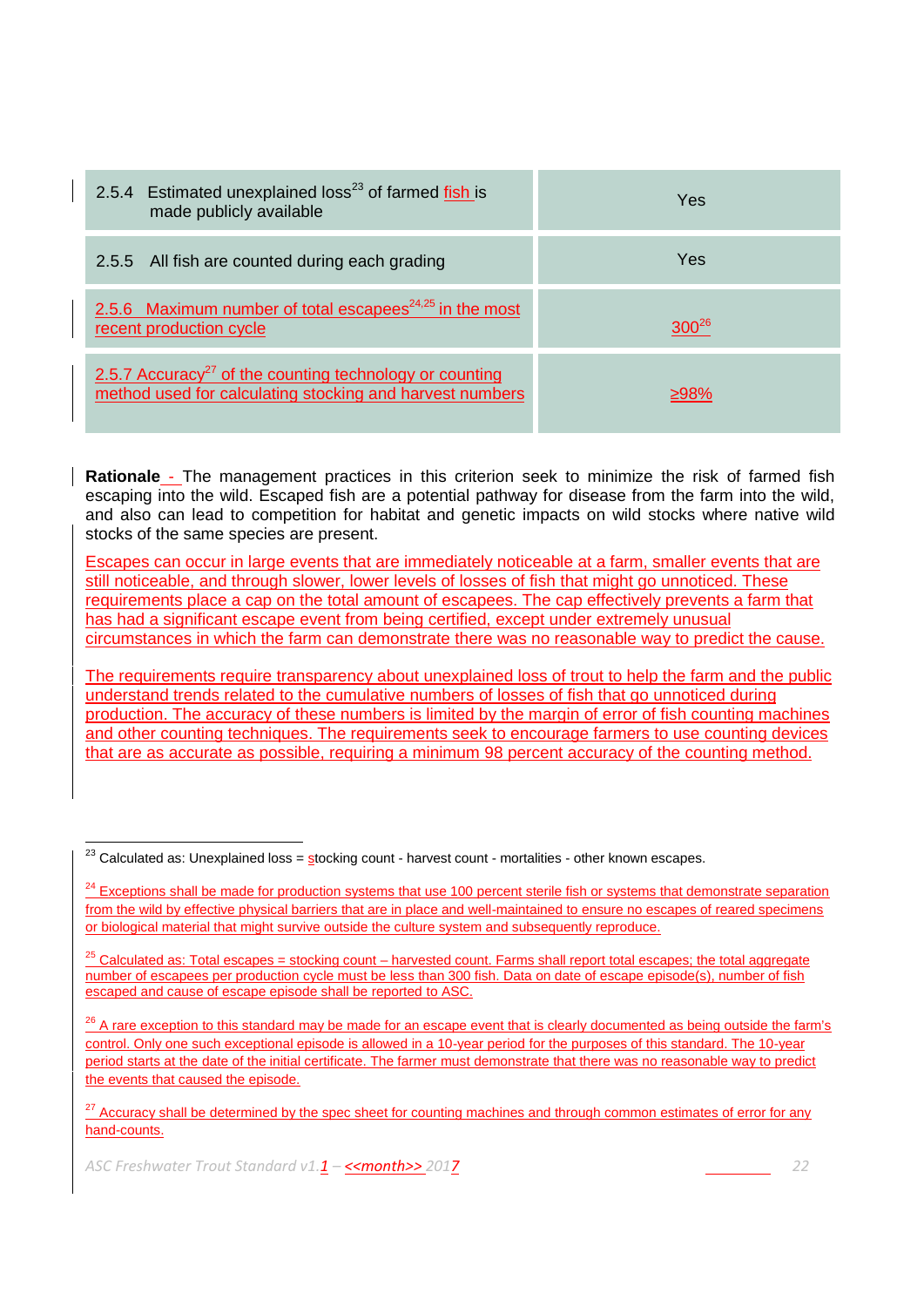| 2.5.4 Estimated unexplained loss <sup>23</sup> of farmed fish is<br>made publicly available                                     | Yes |
|---------------------------------------------------------------------------------------------------------------------------------|-----|
| 2.5.5 All fish are counted during each grading                                                                                  | Yes |
| 2.5.6 Maximum number of total escapees <sup>24,25</sup> in the most<br>recent production cycle                                  |     |
| 2.5.7 Accuracy <sup>27</sup> of the counting technology or counting<br>method used for calculating stocking and harvest numbers | 98% |

**Rationale** - The management practices in this criterion seek to minimize the risk of farmed fish escaping into the wild. Escaped fish are a potential pathway for disease from the farm into the wild, and also can lead to competition for habitat and genetic impacts on wild stocks where native wild stocks of the same species are present.

Escapes can occur in large events that are immediately noticeable at a farm, smaller events that are still noticeable, and through slower, lower levels of losses of fish that might go unnoticed. These requirements place a cap on the total amount of escapees. The cap effectively prevents a farm that has had a significant escape event from being certified, except under extremely unusual circumstances in which the farm can demonstrate there was no reasonable way to predict the cause.

The requirements require transparency about unexplained loss of trout to help the farm and the public understand trends related to the cumulative numbers of losses of fish that go unnoticed during production. The accuracy of these numbers is limited by the margin of error of fish counting machines and other counting techniques. The requirements seek to encourage farmers to use counting devices that are as accurate as possible, requiring a minimum 98 percent accuracy of the counting method.

<sup>&</sup>lt;sup>23</sup> Calculated as: Unexplained loss =  $s$ tocking count - harvest count - mortalities - other known escapes.

<sup>&</sup>lt;sup>24</sup> Exceptions shall be made for production systems that use 100 percent sterile fish or systems that demonstrate separation from the wild by effective physical barriers that are in place and well-maintained to ensure no escapes of reared specimens or biological material that might survive outside the culture system and subsequently reproduce.

 $25$  Calculated as: Total escapes = stocking count – harvested count. Farms shall report total escapes; the total aggregate number of escapees per production cycle must be less than 300 fish. Data on date of escape episode(s), number of fish escaped and cause of escape episode shall be reported to ASC.

<sup>&</sup>lt;sup>26</sup> A rare exception to this standard may be made for an escape event that is clearly documented as being outside the farm's control. Only one such exceptional episode is allowed in a 10-year period for the purposes of this standard. The 10-year period starts at the date of the initial certificate. The farmer must demonstrate that there was no reasonable way to predict the events that caused the episode.

<sup>&</sup>lt;sup>27</sup> Accuracy shall be determined by the spec sheet for counting machines and through common estimates of error for any hand-counts.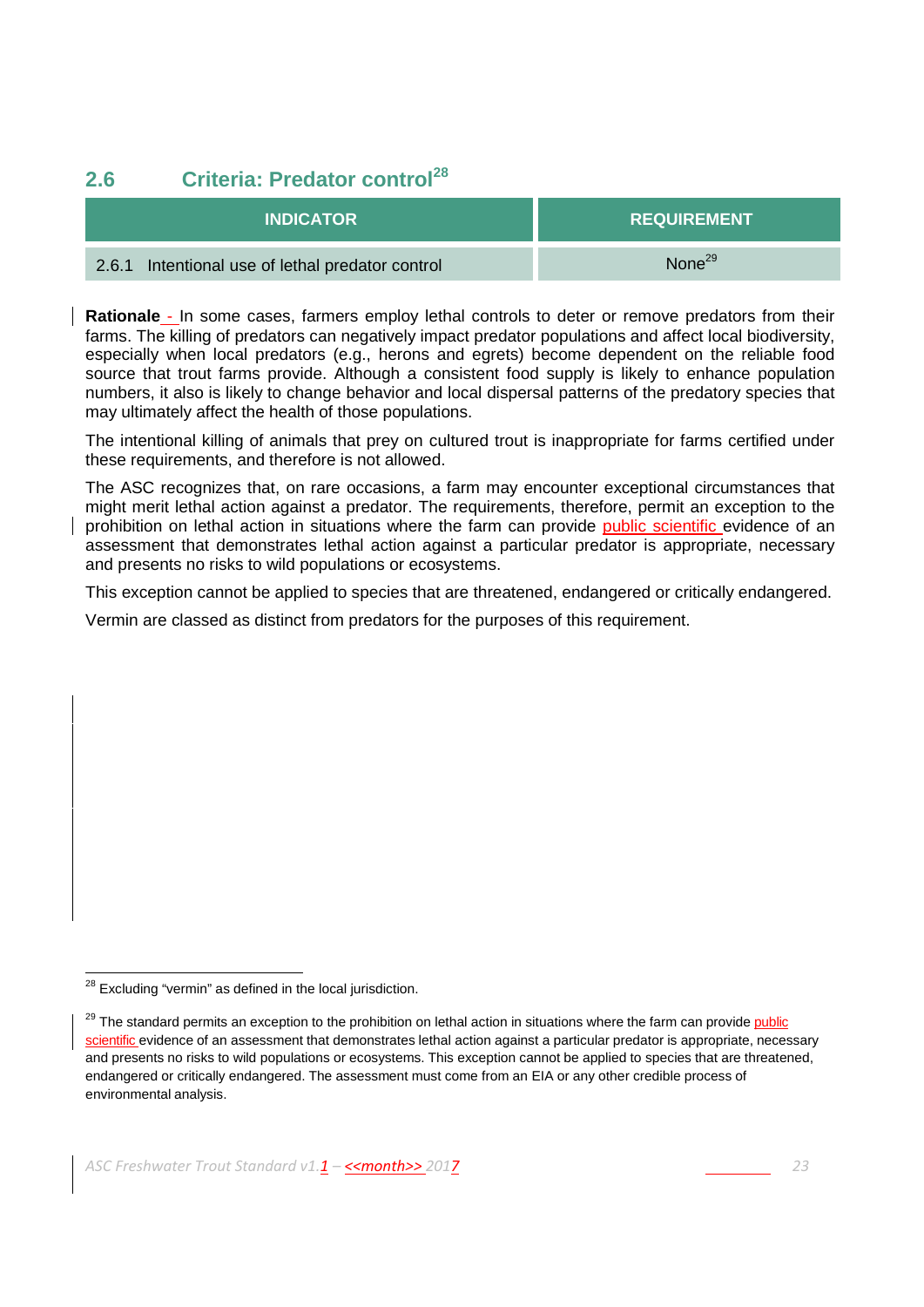## **2.6 Criteria: Predator control<sup>28</sup>**

| <b>INDICATOR</b>                                    | <b>REQUIREMENT</b> |
|-----------------------------------------------------|--------------------|
| Intentional use of lethal predator control<br>2.6.1 | None $^{29}$       |

**Rationale** - In some cases, farmers employ lethal controls to deter or remove predators from their farms. The killing of predators can negatively impact predator populations and affect local biodiversity, especially when local predators (e.g., herons and egrets) become dependent on the reliable food source that trout farms provide. Although a consistent food supply is likely to enhance population numbers, it also is likely to change behavior and local dispersal patterns of the predatory species that may ultimately affect the health of those populations.

The intentional killing of animals that prey on cultured trout is inappropriate for farms certified under these requirements, and therefore is not allowed.

The ASC recognizes that, on rare occasions, a farm may encounter exceptional circumstances that might merit lethal action against a predator. The requirements, therefore, permit an exception to the prohibition on lethal action in situations where the farm can provide public scientific evidence of an assessment that demonstrates lethal action against a particular predator is appropriate, necessary and presents no risks to wild populations or ecosystems.

This exception cannot be applied to species that are threatened, endangered or critically endangered.

Vermin are classed as distinct from predators for the purposes of this requirement.

<sup>&</sup>lt;sup>28</sup> Excluding "vermin" as defined in the local jurisdiction.

<sup>&</sup>lt;sup>29</sup> The standard permits an exception to the prohibition on lethal action in situations where the farm can provide public scientific evidence of an assessment that demonstrates lethal action against a particular predator is appropriate, necessary and presents no risks to wild populations or ecosystems. This exception cannot be applied to species that are threatened, endangered or critically endangered. The assessment must come from an EIA or any other credible process of environmental analysis.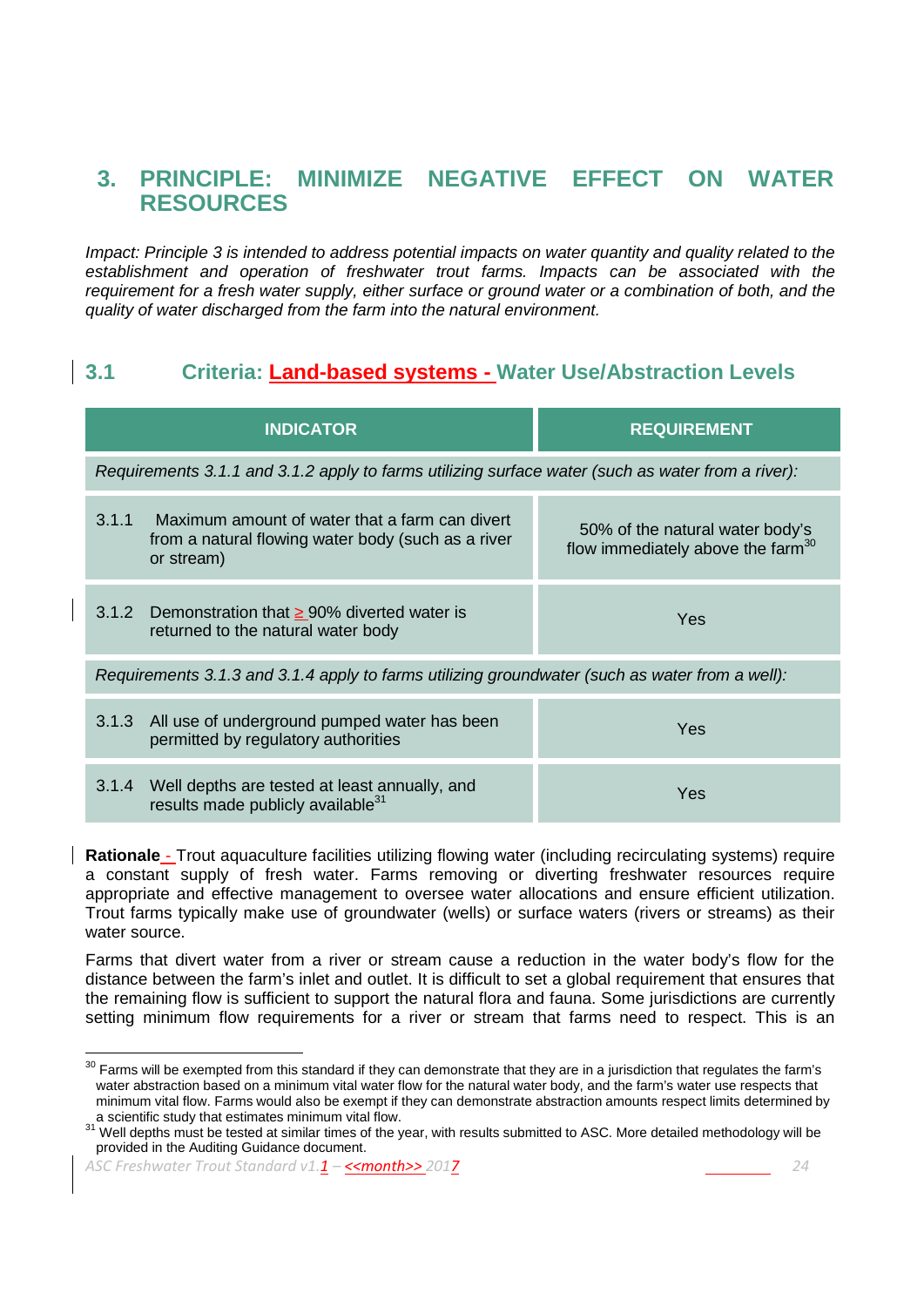## **3. PRINCIPLE: MINIMIZE NEGATIVE EFFECT ON WATER RESOURCES**

*Impact: Principle 3 is intended to address potential impacts on water quantity and quality related to the establishment and operation of freshwater trout farms. Impacts can be associated with the requirement for a fresh water supply, either surface or ground water or a combination of both, and the quality of water discharged from the farm into the natural environment.*

## **3.1 Criteria: Land-based systems - Water Use/Abstraction Levels**

| <b>INDICATOR</b>                                                                                                            | <b>REQUIREMENT</b>                                                               |
|-----------------------------------------------------------------------------------------------------------------------------|----------------------------------------------------------------------------------|
| Requirements 3.1.1 and 3.1.2 apply to farms utilizing surface water (such as water from a river):                           |                                                                                  |
| 3.1.1<br>Maximum amount of water that a farm can divert<br>from a natural flowing water body (such as a river<br>or stream) | 50% of the natural water body's<br>flow immediately above the farm <sup>30</sup> |
| 3.1.2 Demonstration that 90% diverted water is<br>returned to the natural water body                                        | <b>Yes</b>                                                                       |
| Requirements 3.1.3 and 3.1.4 apply to farms utilizing groundwater (such as water from a well):                              |                                                                                  |
| All use of underground pumped water has been<br>3.1.3<br>permitted by regulatory authorities                                | <b>Yes</b>                                                                       |
| Well depths are tested at least annually, and<br>3.1.4<br>results made publicly available <sup>31</sup>                     | Yes                                                                              |

**Rationale** - Trout aquaculture facilities utilizing flowing water (including recirculating systems) require a constant supply of fresh water. Farms removing or diverting freshwater resources require appropriate and effective management to oversee water allocations and ensure efficient utilization. Trout farms typically make use of groundwater (wells) or surface waters (rivers or streams) as their water source.

Farms that divert water from a river or stream cause a reduction in the water body's flow for the distance between the farm's inlet and outlet. It is difficult to set a global requirement that ensures that the remaining flow is sufficient to support the natural flora and fauna. Some jurisdictions are currently setting minimum flow requirements for a river or stream that farms need to respect. This is an

 $30$  Farms will be exempted from this standard if they can demonstrate that they are in a jurisdiction that regulates the farm's water abstraction based on a minimum vital water flow for the natural water body, and the farm's water use respects that minimum vital flow. Farms would also be exempt if they can demonstrate abstraction amounts respect limits determined by a scientific study that estimates minimum vital flow.

a scientific study that estimates minimum vital flow.<br><sup>31</sup> Well depths must be tested at similar times of the year, with results submitted to ASC. More detailed methodology will be provided in the Auditing Guidance document.

*ASC Freshwater Trout Standard v1.1 – <<month>> 2017 24*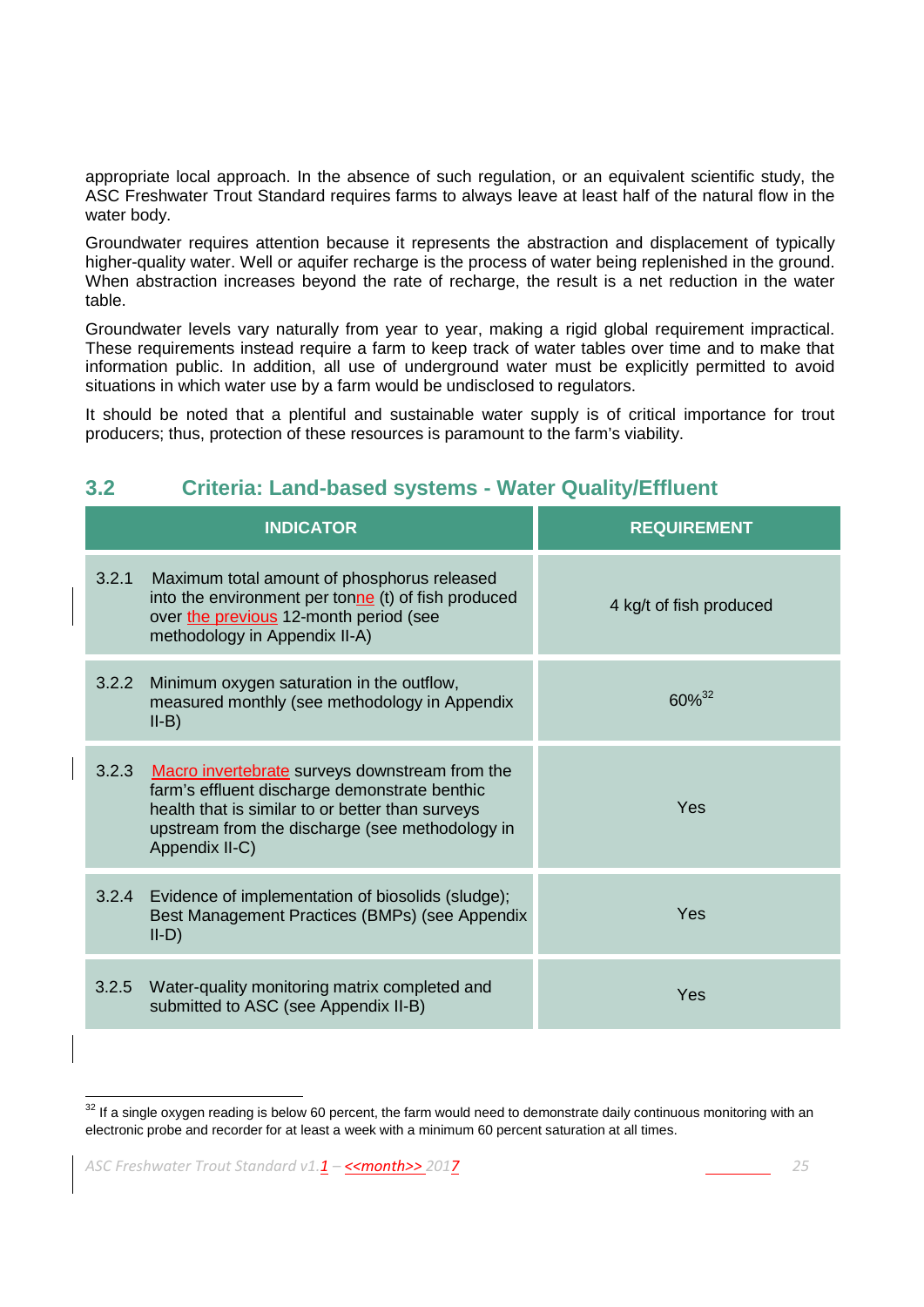appropriate local approach. In the absence of such regulation, or an equivalent scientific study, the ASC Freshwater Trout Standard requires farms to always leave at least half of the natural flow in the water body.

Groundwater requires attention because it represents the abstraction and displacement of typically higher-quality water. Well or aquifer recharge is the process of water being replenished in the ground. When abstraction increases beyond the rate of recharge, the result is a net reduction in the water table.

Groundwater levels vary naturally from year to year, making a rigid global requirement impractical. These requirements instead require a farm to keep track of water tables over time and to make that information public. In addition, all use of underground water must be explicitly permitted to avoid situations in which water use by a farm would be undisclosed to regulators.

It should be noted that a plentiful and sustainable water supply is of critical importance for trout producers; thus, protection of these resources is paramount to the farm's viability.

## **3.2 Criteria: Land-based systems - Water Quality/Effluent**

| <b>INDICATOR</b>                                                                                                                                                                                                                  | <b>REQUIREMENT</b>      |
|-----------------------------------------------------------------------------------------------------------------------------------------------------------------------------------------------------------------------------------|-------------------------|
| 3.2.1<br>Maximum total amount of phosphorus released<br>into the environment per tonne (t) of fish produced<br>over the previous 12-month period (see<br>methodology in Appendix II-A)                                            | 4 kg/t of fish produced |
| 3.2.2<br>Minimum oxygen saturation in the outflow,<br>measured monthly (see methodology in Appendix<br>$II-B)$                                                                                                                    | $60\%^{32}$             |
| 3.2.3<br>Macro invertebrate surveys downstream from the<br>farm's effluent discharge demonstrate benthic<br>health that is similar to or better than surveys<br>upstream from the discharge (see methodology in<br>Appendix II-C) | Yes                     |
| Evidence of implementation of biosolids (sludge);<br>3.2.4<br>Best Management Practices (BMPs) (see Appendix<br>$II-D)$                                                                                                           | Yes                     |
| Water-quality monitoring matrix completed and<br>3.2.5<br>submitted to ASC (see Appendix II-B)                                                                                                                                    | Yes                     |

<sup>&</sup>lt;sup>32</sup> If a single oxygen reading is below 60 percent, the farm would need to demonstrate daily continuous monitoring with an electronic probe and recorder for at least a week with a minimum 60 percent saturation at all times.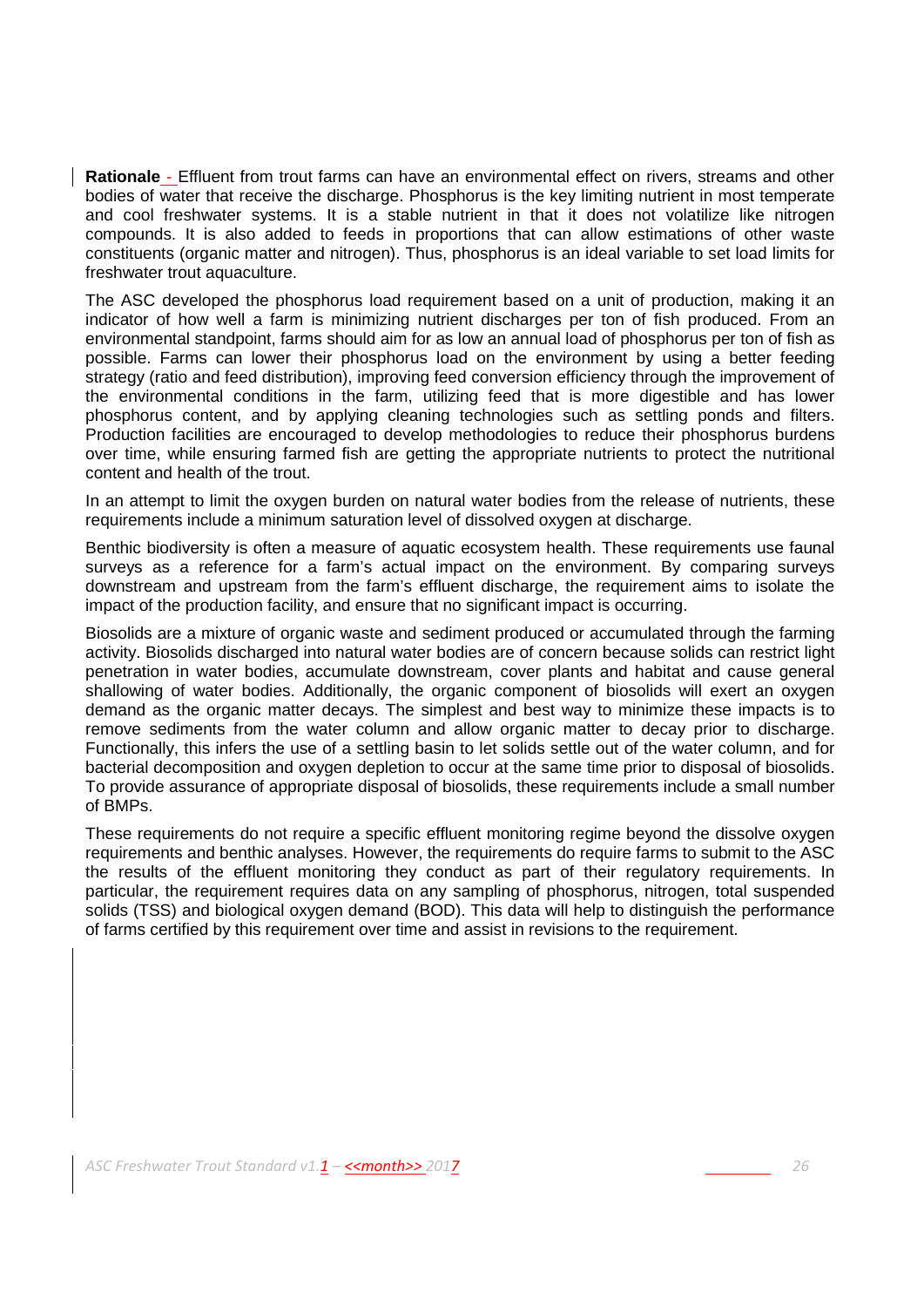**Rationale** - Effluent from trout farms can have an environmental effect on rivers, streams and other bodies of water that receive the discharge. Phosphorus is the key limiting nutrient in most temperate and cool freshwater systems. It is a stable nutrient in that it does not volatilize like nitrogen compounds. It is also added to feeds in proportions that can allow estimations of other waste constituents (organic matter and nitrogen). Thus, phosphorus is an ideal variable to set load limits for freshwater trout aquaculture.

The ASC developed the phosphorus load requirement based on a unit of production, making it an indicator of how well a farm is minimizing nutrient discharges per ton of fish produced. From an environmental standpoint, farms should aim for as low an annual load of phosphorus per ton of fish as possible. Farms can lower their phosphorus load on the environment by using a better feeding strategy (ratio and feed distribution), improving feed conversion efficiency through the improvement of the environmental conditions in the farm, utilizing feed that is more digestible and has lower phosphorus content, and by applying cleaning technologies such as settling ponds and filters. Production facilities are encouraged to develop methodologies to reduce their phosphorus burdens over time, while ensuring farmed fish are getting the appropriate nutrients to protect the nutritional content and health of the trout.

In an attempt to limit the oxygen burden on natural water bodies from the release of nutrients, these requirements include a minimum saturation level of dissolved oxygen at discharge.

Benthic biodiversity is often a measure of aquatic ecosystem health. These requirements use faunal surveys as a reference for a farm's actual impact on the environment. By comparing surveys downstream and upstream from the farm's effluent discharge, the requirement aims to isolate the impact of the production facility, and ensure that no significant impact is occurring.

Biosolids are a mixture of organic waste and sediment produced or accumulated through the farming activity. Biosolids discharged into natural water bodies are of concern because solids can restrict light penetration in water bodies, accumulate downstream, cover plants and habitat and cause general shallowing of water bodies. Additionally, the organic component of biosolids will exert an oxygen demand as the organic matter decays. The simplest and best way to minimize these impacts is to remove sediments from the water column and allow organic matter to decay prior to discharge. Functionally, this infers the use of a settling basin to let solids settle out of the water column, and for bacterial decomposition and oxygen depletion to occur at the same time prior to disposal of biosolids. To provide assurance of appropriate disposal of biosolids, these requirements include a small number of BMPs.

These requirements do not require a specific effluent monitoring regime beyond the dissolve oxygen requirements and benthic analyses. However, the requirements do require farms to submit to the ASC the results of the effluent monitoring they conduct as part of their regulatory requirements. In particular, the requirement requires data on any sampling of phosphorus, nitrogen, total suspended solids (TSS) and biological oxygen demand (BOD). This data will help to distinguish the performance of farms certified by this requirement over time and assist in revisions to the requirement.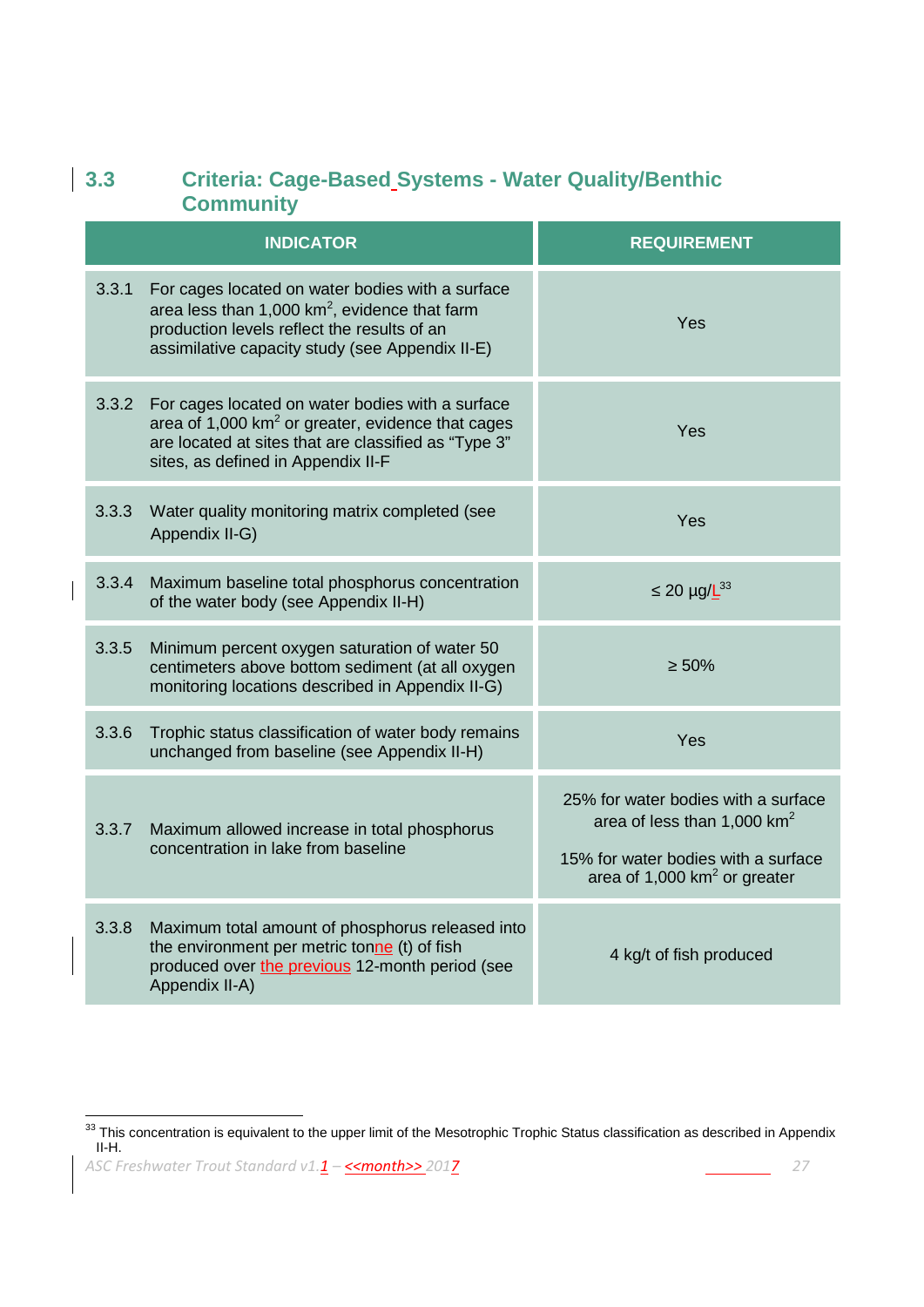## **3.3 Criteria: Cage-Based Systems - Water Quality/Benthic Community**

|       | <b>INDICATOR</b>                                                                                                                                                                                                | <b>REQUIREMENT</b>                                                                                                                                         |
|-------|-----------------------------------------------------------------------------------------------------------------------------------------------------------------------------------------------------------------|------------------------------------------------------------------------------------------------------------------------------------------------------------|
| 3.3.1 | For cages located on water bodies with a surface<br>area less than 1,000 $km^2$ , evidence that farm<br>production levels reflect the results of an<br>assimilative capacity study (see Appendix II-E)          | Yes                                                                                                                                                        |
| 3.3.2 | For cages located on water bodies with a surface<br>area of 1,000 km <sup>2</sup> or greater, evidence that cages<br>are located at sites that are classified as "Type 3"<br>sites, as defined in Appendix II-F | Yes                                                                                                                                                        |
| 3.3.3 | Water quality monitoring matrix completed (see<br>Appendix II-G)                                                                                                                                                | Yes                                                                                                                                                        |
| 3.3.4 | Maximum baseline total phosphorus concentration<br>of the water body (see Appendix II-H)                                                                                                                        | 20 $\mu$ g/ $L^{33}$                                                                                                                                       |
| 3.3.5 | Minimum percent oxygen saturation of water 50<br>centimeters above bottom sediment (at all oxygen<br>monitoring locations described in Appendix II-G)                                                           | 50%                                                                                                                                                        |
| 3.3.6 | Trophic status classification of water body remains<br>unchanged from baseline (see Appendix II-H)                                                                                                              | Yes                                                                                                                                                        |
| 3.3.7 | Maximum allowed increase in total phosphorus<br>concentration in lake from baseline                                                                                                                             | 25% for water bodies with a surface<br>area of less than $1,000$ km <sup>2</sup><br>15% for water bodies with a surface<br>area of 1,000 $km^2$ or greater |
| 3.3.8 | Maximum total amount of phosphorus released into<br>the environment per metric tonne (t) of fish<br>produced over the previous 12-month period (see<br>Appendix II-A)                                           | 4 kg/t of fish produced                                                                                                                                    |

*ASC Freshwater Trout Standard v1.1 – <<month>> 2017 27*

 $\overline{\phantom{a}}$ 

<sup>33</sup> This concentration is equivalent to the upper limit of the Mesotrophic Trophic Status classification as described in Appendix  $II-H.$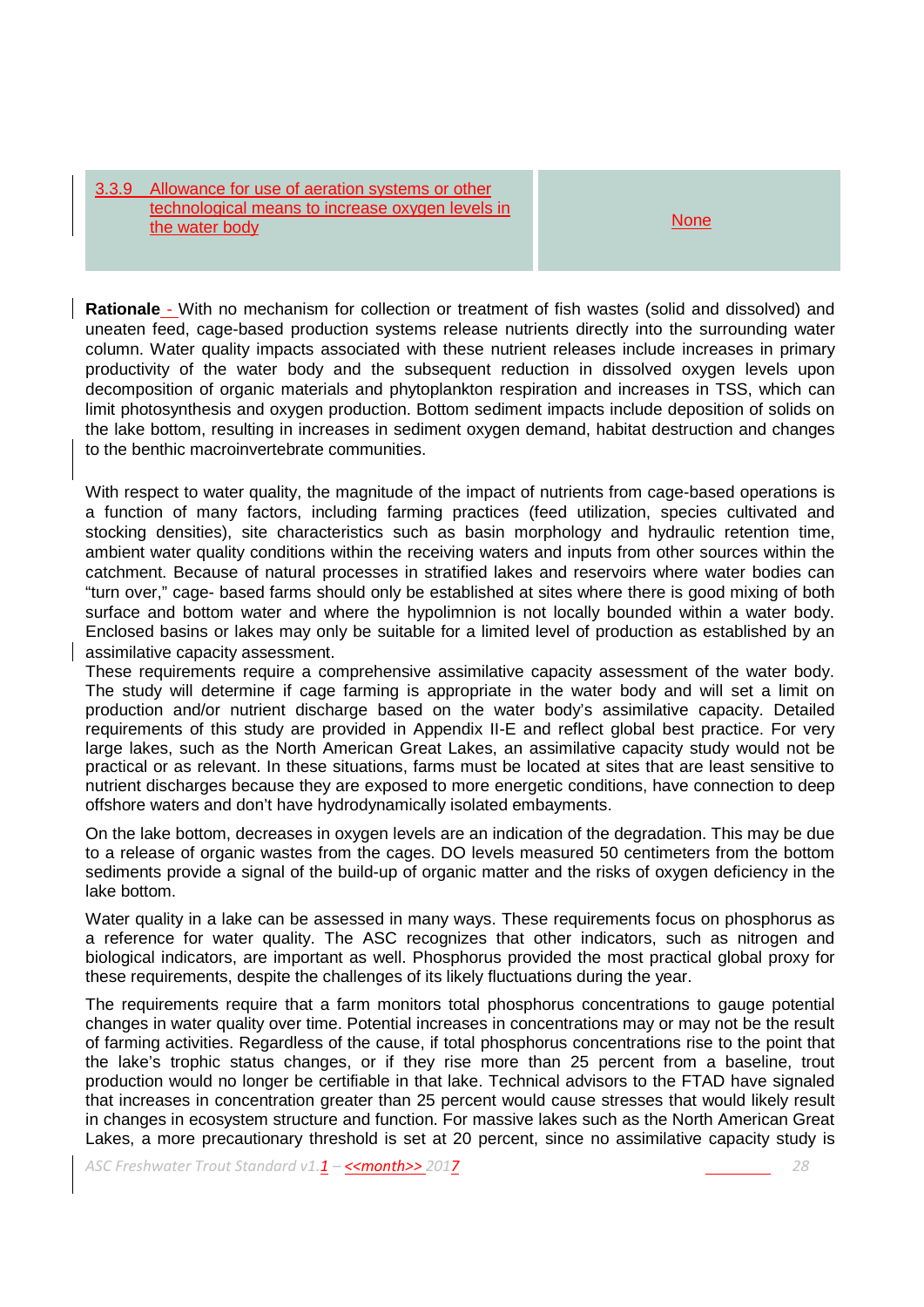#### 3.3.9 Allowance for use of aeration systems or other technological means to increase oxygen levels in the water body None

**Rationale** - With no mechanism for collection or treatment of fish wastes (solid and dissolved) and uneaten feed, cage-based production systems release nutrients directly into the surrounding water column. Water quality impacts associated with these nutrient releases include increases in primary productivity of the water body and the subsequent reduction in dissolved oxygen levels upon decomposition of organic materials and phytoplankton respiration and increases in TSS, which can limit photosynthesis and oxygen production. Bottom sediment impacts include deposition of solids on the lake bottom, resulting in increases in sediment oxygen demand, habitat destruction and changes to the benthic macroinvertebrate communities.

With respect to water quality, the magnitude of the impact of nutrients from cage-based operations is a function of many factors, including farming practices (feed utilization, species cultivated and stocking densities), site characteristics such as basin morphology and hydraulic retention time, ambient water quality conditions within the receiving waters and inputs from other sources within the catchment. Because of natural processes in stratified lakes and reservoirs where water bodies can "turn over," cage- based farms should only be established at sites where there is good mixing of both surface and bottom water and where the hypolimnion is not locally bounded within a water body. Enclosed basins or lakes may only be suitable for a limited level of production as established by an assimilative capacity assessment.

These requirements require a comprehensive assimilative capacity assessment of the water body. The study will determine if cage farming is appropriate in the water body and will set a limit on production and/or nutrient discharge based on the water body's assimilative capacity. Detailed requirements of this study are provided in Appendix II-E and reflect global best practice. For very large lakes, such as the North American Great Lakes, an assimilative capacity study would not be practical or as relevant. In these situations, farms must be located at sites that are least sensitive to nutrient discharges because they are exposed to more energetic conditions, have connection to deep offshore waters and don't have hydrodynamically isolated embayments.

On the lake bottom, decreases in oxygen levels are an indication of the degradation. This may be due to a release of organic wastes from the cages. DO levels measured 50 centimeters from the bottom sediments provide a signal of the build-up of organic matter and the risks of oxygen deficiency in the lake bottom.

Water quality in a lake can be assessed in many ways. These requirements focus on phosphorus as a reference for water quality. The ASC recognizes that other indicators, such as nitrogen and biological indicators, are important as well. Phosphorus provided the most practical global proxy for these requirements, despite the challenges of its likely fluctuations during the year.

The requirements require that a farm monitors total phosphorus concentrations to gauge potential changes in water quality over time. Potential increases in concentrations may or may not be the result of farming activities. Regardless of the cause, if total phosphorus concentrations rise to the point that the lake's trophic status changes, or if they rise more than 25 percent from a baseline, trout production would no longer be certifiable in that lake. Technical advisors to the FTAD have signaled that increases in concentration greater than 25 percent would cause stresses that would likely result in changes in ecosystem structure and function. For massive lakes such as the North American Great Lakes, a more precautionary threshold is set at 20 percent, since no assimilative capacity study is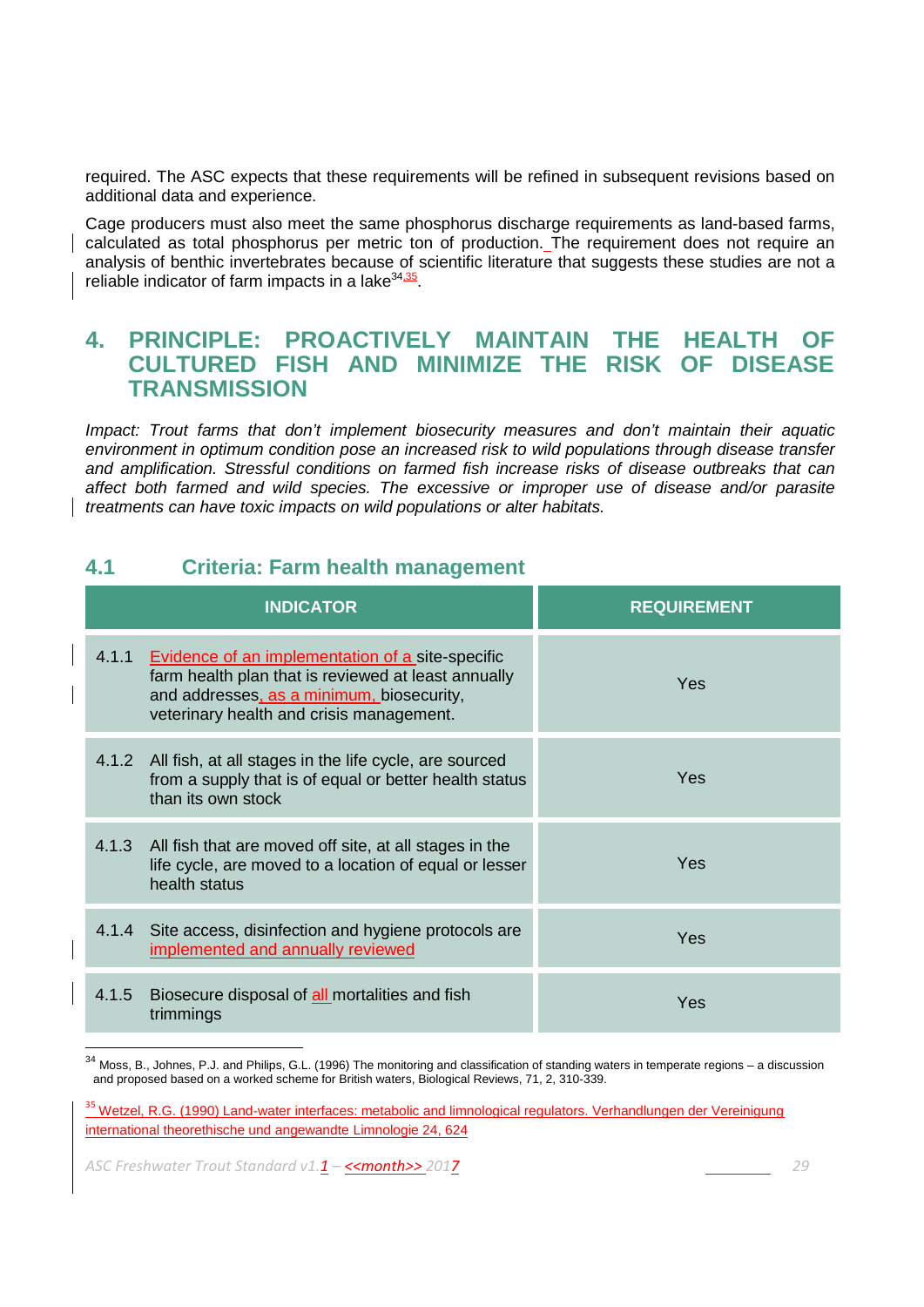required. The ASC expects that these requirements will be refined in subsequent revisions based on additional data and experience.

Cage producers must also meet the same phosphorus discharge requirements as land-based farms, calculated as total phosphorus per metric ton of production. The requirement does not require an analysis of benthic invertebrates because of scientific literature that suggests these studies are not a reliable indicator of farm impacts in a lake<sup>34,35</sup>.

## **4. PRINCIPLE: PROACTIVELY MAINTAIN THE HEALTH OF CULTURED FISH AND MINIMIZE THE RISK OF DISEASE TRANSMISSION**

*Impact: Trout farms that don't implement biosecurity measures and don't maintain their aquatic environment in optimum condition pose an increased risk to wild populations through disease transfer and amplification. Stressful conditions on farmed fish increase risks of disease outbreaks that can affect both farmed and wild species. The excessive or improper use of disease and/or parasite treatments can have toxic impacts on wild populations or alter habitats.*

### **4.1 Criteria: Farm health management**

| <b>INDICATOR</b>                                                                                                                                                                                       | <b>REQUIREMENT</b> |
|--------------------------------------------------------------------------------------------------------------------------------------------------------------------------------------------------------|--------------------|
| 4.1.1 Evidence of an implementation of a site-specific<br>farm health plan that is reviewed at least annually<br>and addresses, as a minimum, biosecurity,<br>veterinary health and crisis management. | Yes                |
| 4.1.2 All fish, at all stages in the life cycle, are sourced<br>from a supply that is of equal or better health status<br>than its own stock                                                           | Yes                |
| 4.1.3 All fish that are moved off site, at all stages in the<br>life cycle, are moved to a location of equal or lesser<br>health status                                                                | Yes                |
| Site access, disinfection and hygiene protocols are<br>4.1.4<br>implemented and annually reviewed                                                                                                      | Yes                |
| Biosecure disposal of all mortalities and fish<br>4.1.5<br>trimmings                                                                                                                                   | Yes                |

<sup>34</sup> Moss, B., Johnes, P.J. and Philips, G.L. (1996) The monitoring and classification of standing waters in temperate regions – a discussion and proposed based on a worked scheme for British waters, Biological Reviews, 71, 2, 310-339.

<sup>&</sup>lt;sup>35</sup> Wetzel. R.G. (1990) Land-water interfaces: metabolic and limnological regulators. Verhandlungen der Vereinigung international theorethische und angewandte Limnologie 24, 624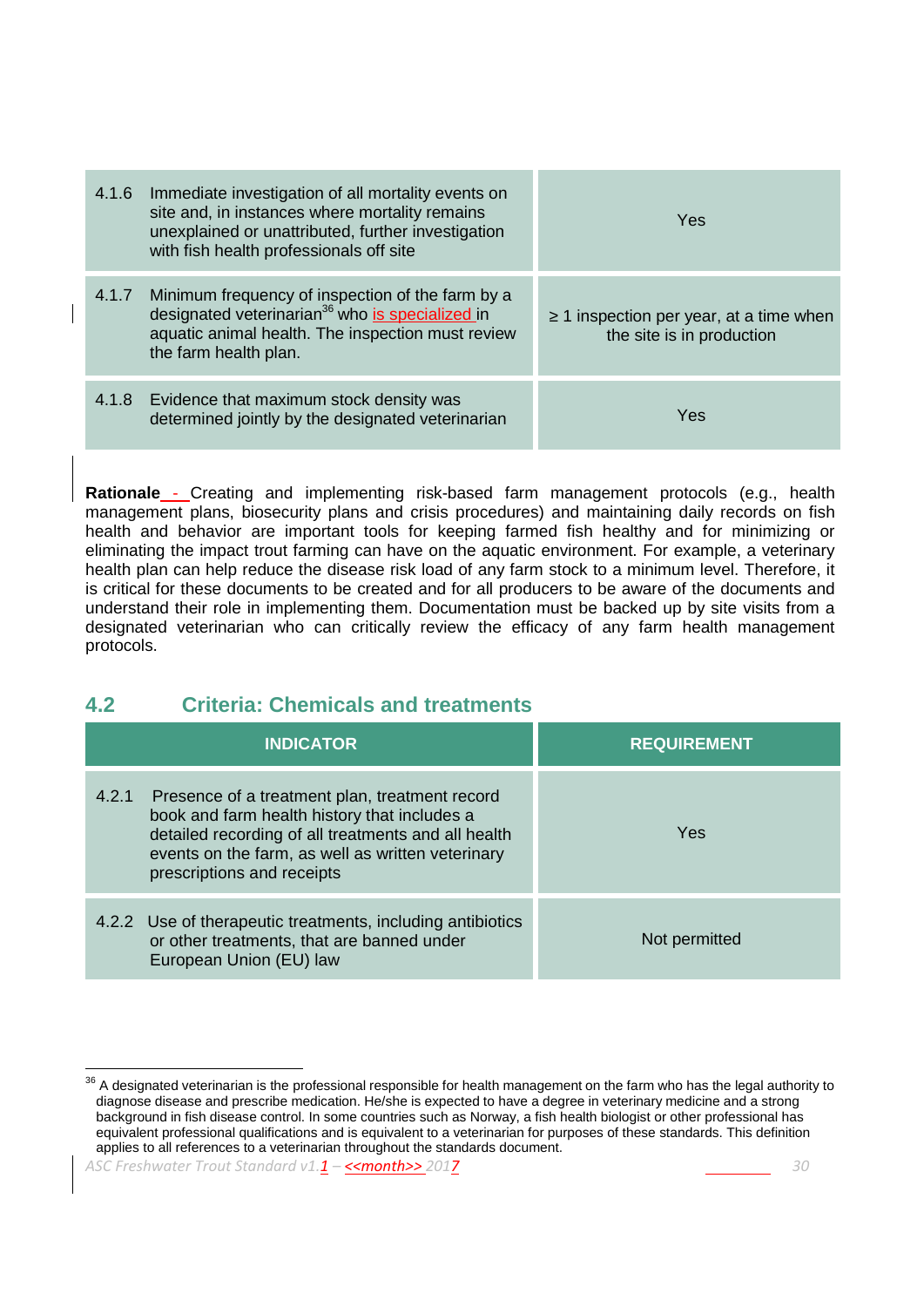|       | 4.1.6 Immediate investigation of all mortality events on<br>site and, in instances where mortality remains<br>unexplained or unattributed, further investigation<br>with fish health professionals off site | Yes                                                                |
|-------|-------------------------------------------------------------------------------------------------------------------------------------------------------------------------------------------------------------|--------------------------------------------------------------------|
| 4.1.7 | Minimum frequency of inspection of the farm by a<br>designated veterinarian <sup>36</sup> who is specialized in<br>aquatic animal health. The inspection must review<br>the farm health plan.               | 1 inspection per year, at a time when<br>the site is in production |
|       | 4.1.8 Evidence that maximum stock density was<br>determined jointly by the designated veterinarian                                                                                                          | Yes                                                                |

**Rationale** - Creating and implementing risk-based farm management protocols (e.g., health management plans, biosecurity plans and crisis procedures) and maintaining daily records on fish health and behavior are important tools for keeping farmed fish healthy and for minimizing or eliminating the impact trout farming can have on the aquatic environment. For example, a veterinary health plan can help reduce the disease risk load of any farm stock to a minimum level. Therefore, it is critical for these documents to be created and for all producers to be aware of the documents and understand their role in implementing them. Documentation must be backed up by site visits from a designated veterinarian who can critically review the efficacy of any farm health management protocols.

## **4.2 Criteria: Chemicals and treatments**

| <b>INDICATOR</b>                                                                                                                                                                                                                                  | <b>REQUIREMENT</b> |
|---------------------------------------------------------------------------------------------------------------------------------------------------------------------------------------------------------------------------------------------------|--------------------|
| 4.2.1<br>Presence of a treatment plan, treatment record<br>book and farm health history that includes a<br>detailed recording of all treatments and all health<br>events on the farm, as well as written veterinary<br>prescriptions and receipts | Yes                |
| 4.2.2 Use of therapeutic treatments, including antibiotics<br>or other treatments, that are banned under<br>European Union (EU) law                                                                                                               | Not permitted      |

<sup>&</sup>lt;sup>36</sup> A designated veterinarian is the professional responsible for health management on the farm who has the legal authority to diagnose disease and prescribe medication. He/she is expected to have a degree in veterinary medicine and a strong background in fish disease control. In some countries such as Norway, a fish health biologist or other professional has equivalent professional qualifications and is equivalent to a veterinarian for purposes of these standards. This definition applies to all references to a veterinarian throughout the standards document.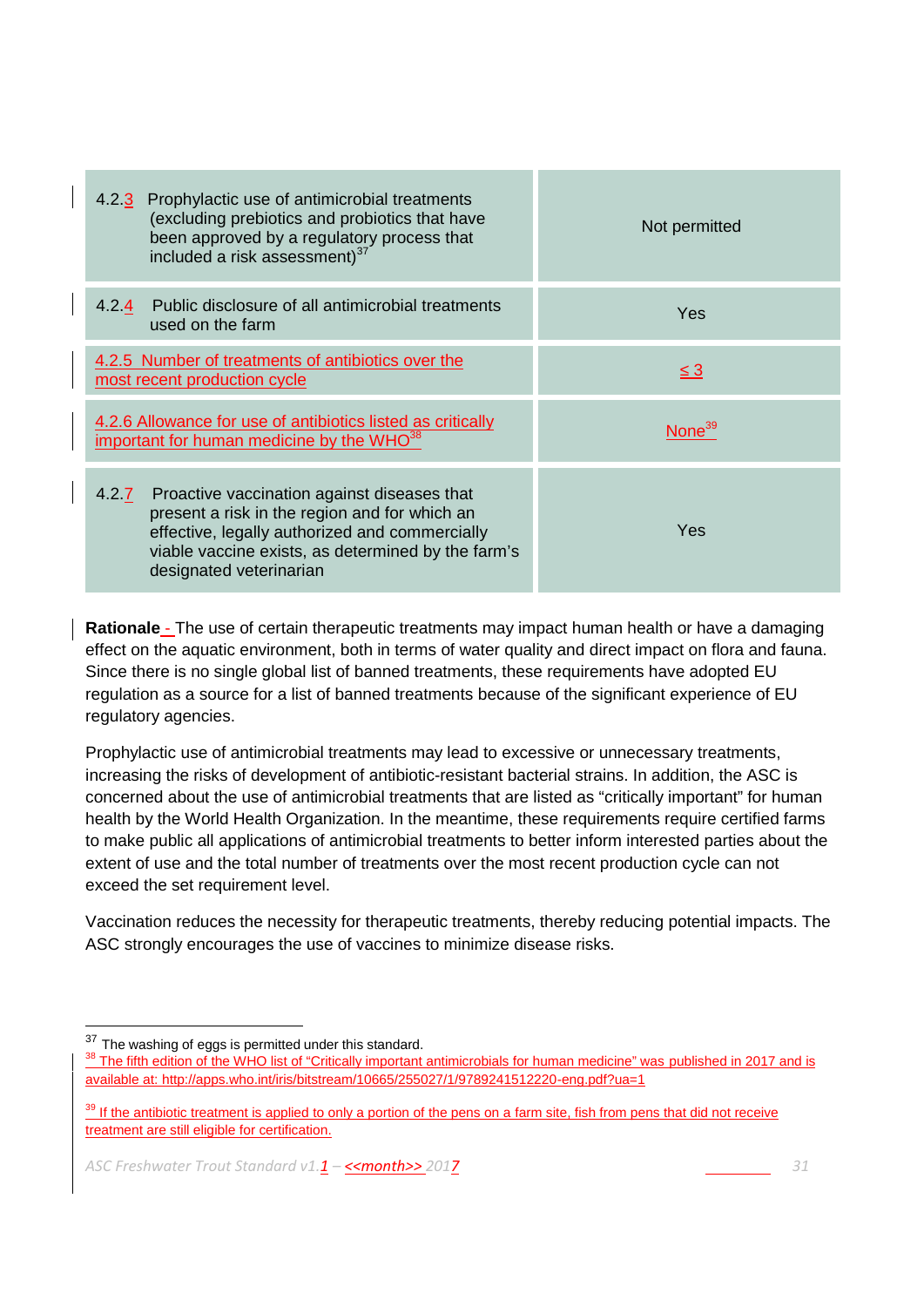| 4.2.3 Prophylactic use of antimicrobial treatments<br>(excluding prebiotics and probiotics that have<br>been approved by a regulatory process that<br>included a risk assessment) <sup>37</sup>                                          | Not permitted               |
|------------------------------------------------------------------------------------------------------------------------------------------------------------------------------------------------------------------------------------------|-----------------------------|
| Public disclosure of all antimicrobial treatments<br>4.2.4<br>used on the farm                                                                                                                                                           | Yes                         |
| 4.2.5 Number of treatments of antibiotics over the<br>most recent production cycle                                                                                                                                                       | $\mathbf{3}$                |
| 4.2.6 Allowance for use of antibiotics listed as critically<br>important for human medicine by the WHO <sup>38</sup>                                                                                                                     | $\mathsf{None}^\mathsf{39}$ |
| 4.2.7<br>Proactive vaccination against diseases that<br>present a risk in the region and for which an<br>effective, legally authorized and commercially<br>viable vaccine exists, as determined by the farm's<br>designated veterinarian | Yes                         |

**Rationale** - The use of certain therapeutic treatments may impact human health or have a damaging effect on the aquatic environment, both in terms of water quality and direct impact on flora and fauna. Since there is no single global list of banned treatments, these requirements have adopted EU regulation as a source for a list of banned treatments because of the significant experience of EU regulatory agencies.

Prophylactic use of antimicrobial treatments may lead to excessive or unnecessary treatments, increasing the risks of development of antibiotic-resistant bacterial strains. In addition, the ASC is concerned about the use of antimicrobial treatments that are listed as "critically important" for human health by the World Health Organization. In the meantime, these requirements require certified farms to make public all applications of antimicrobial treatments to better inform interested parties about the extent of use and the total number of treatments over the most recent production cycle can not exceed the set requirement level.

Vaccination reduces the necessity for therapeutic treatments, thereby reducing potential impacts. The ASC strongly encourages the use of vaccines to minimize disease risks.

<sup>&</sup>lt;sup>37</sup> The washing of eggs is permitted under this standard.<br><sup>38</sup> The fifth edition of the WHO list of "Critically important antimicrobials for human medicine" was published in 2017 and is available at: http://apps.who.int/iris/bitstream/10665/255027/1/9789241512220-eng.pdf?ua=1

<sup>&</sup>lt;sup>39</sup> If the antibiotic treatment is applied to only a portion of the pens on a farm site, fish from pens that did not receive treatment are still eligible for certification.

*ASC Freshwater Trout Standard v1.1 – <<month>> 2017 31*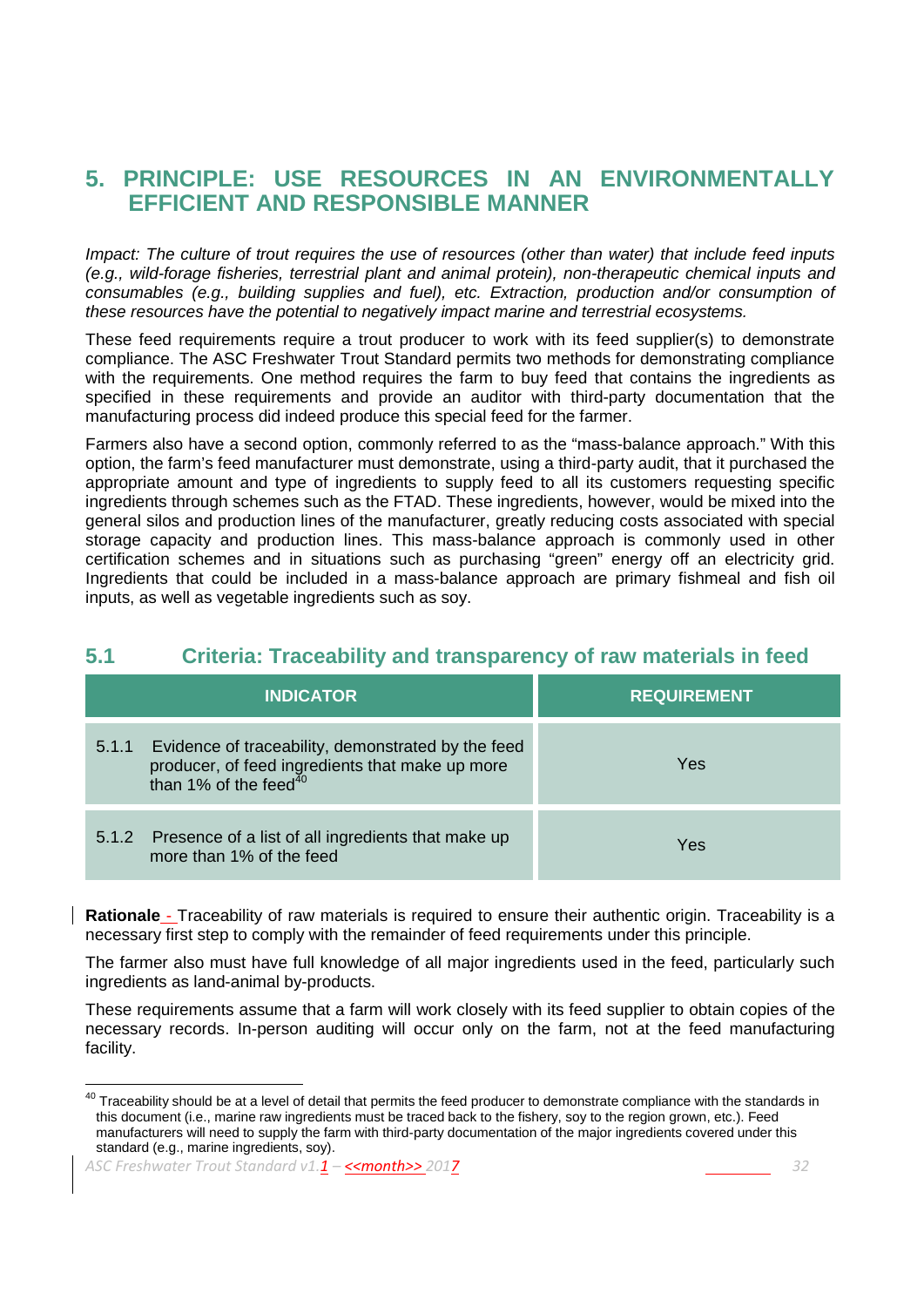## **5. PRINCIPLE: USE RESOURCES IN AN ENVIRONMENTALLY EFFICIENT AND RESPONSIBLE MANNER**

*Impact: The culture of trout requires the use of resources (other than water) that include feed inputs (e.g., wild-forage fisheries, terrestrial plant and animal protein), non-therapeutic chemical inputs and consumables (e.g., building supplies and fuel), etc. Extraction, production and/or consumption of these resources have the potential to negatively impact marine and terrestrial ecosystems.*

These feed requirements require a trout producer to work with its feed supplier(s) to demonstrate compliance. The ASC Freshwater Trout Standard permits two methods for demonstrating compliance with the requirements. One method requires the farm to buy feed that contains the ingredients as specified in these requirements and provide an auditor with third-party documentation that the manufacturing process did indeed produce this special feed for the farmer.

Farmers also have a second option, commonly referred to as the "mass-balance approach." With this option, the farm's feed manufacturer must demonstrate, using a third-party audit, that it purchased the appropriate amount and type of ingredients to supply feed to all its customers requesting specific ingredients through schemes such as the FTAD. These ingredients, however, would be mixed into the general silos and production lines of the manufacturer, greatly reducing costs associated with special storage capacity and production lines. This mass-balance approach is commonly used in other certification schemes and in situations such as purchasing "green" energy off an electricity grid. Ingredients that could be included in a mass-balance approach are primary fishmeal and fish oil inputs, as well as vegetable ingredients such as soy.

## **5.1 Criteria: Traceability and transparency of raw materials in feed**

|       | <b>INDICATOR</b>                                                                                                                           | <b>REQUIREMENT</b> |
|-------|--------------------------------------------------------------------------------------------------------------------------------------------|--------------------|
| 5.1.1 | Evidence of traceability, demonstrated by the feed<br>producer, of feed ingredients that make up more<br>than 1% of the feed <sup>40</sup> | Yes                |
| 5.1.2 | Presence of a list of all ingredients that make up<br>more than 1% of the feed                                                             | Yes                |

**Rationale** - Traceability of raw materials is required to ensure their authentic origin. Traceability is a necessary first step to comply with the remainder of feed requirements under this principle.

The farmer also must have full knowledge of all major ingredients used in the feed, particularly such ingredients as land-animal by-products.

These requirements assume that a farm will work closely with its feed supplier to obtain copies of the necessary records. In-person auditing will occur only on the farm, not at the feed manufacturing facility.

 $40$  Traceability should be at a level of detail that permits the feed producer to demonstrate compliance with the standards in this document (i.e., marine raw ingredients must be traced back to the fishery, soy to the region grown, etc.). Feed manufacturers will need to supply the farm with third-party documentation of the major ingredients covered under this standard (e.g., marine ingredients, soy).

*ASC Freshwater Trout Standard v1.1 – <<month>> 2017 32*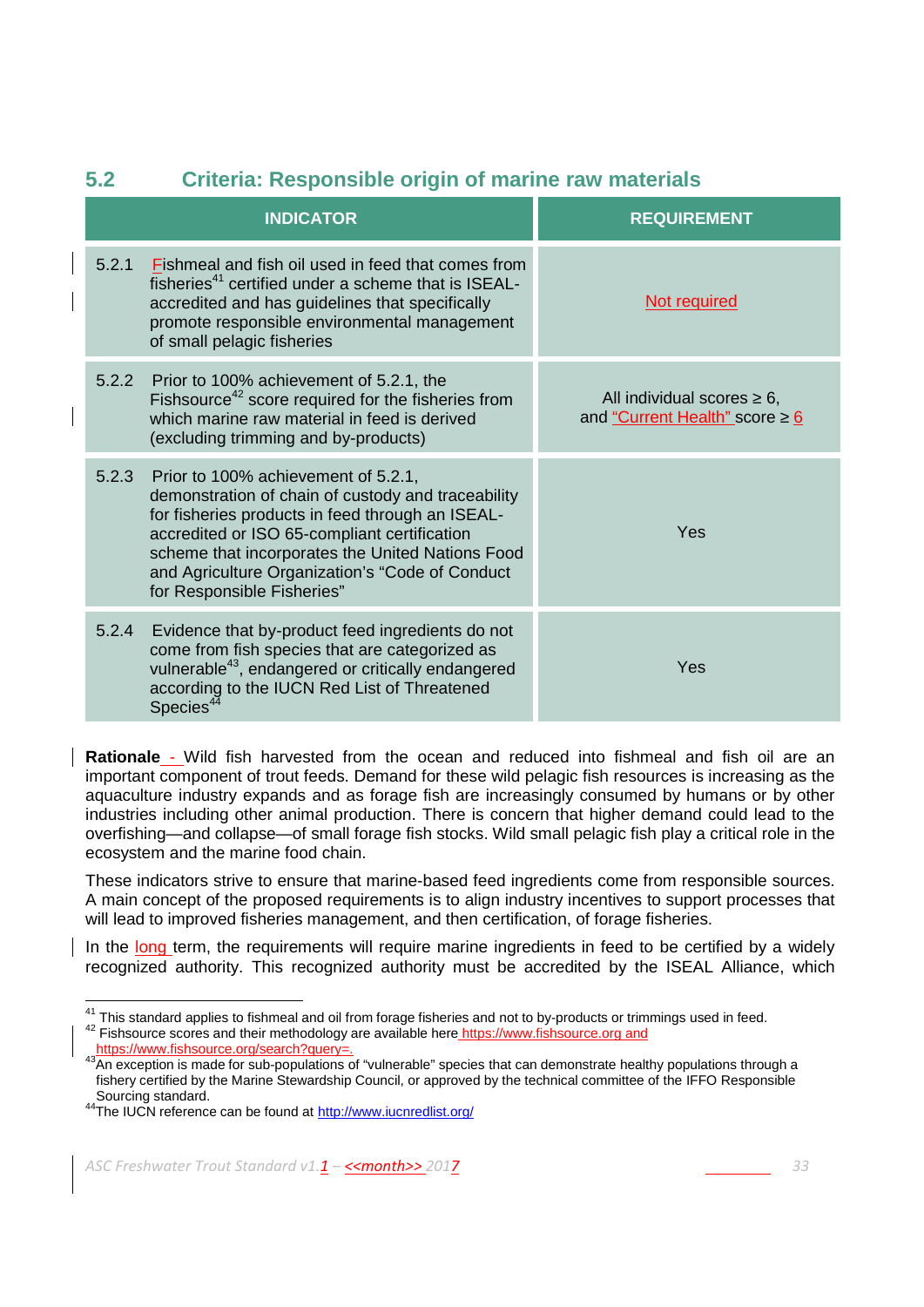## **5.2 Criteria: Responsible origin of marine raw materials**

|       | <b>INDICATOR</b>                                                                                                                                                                                                                                                                                                                   | <b>REQUIREMENT</b>                                          |
|-------|------------------------------------------------------------------------------------------------------------------------------------------------------------------------------------------------------------------------------------------------------------------------------------------------------------------------------------|-------------------------------------------------------------|
| 5.2.1 | Fishmeal and fish oil used in feed that comes from<br>fisheries <sup>41</sup> certified under a scheme that is ISEAL-<br>accredited and has guidelines that specifically<br>promote responsible environmental management<br>of small pelagic fisheries                                                                             | Not required                                                |
| 5.2.2 | Prior to 100% achievement of 5.2.1, the<br>Fishsource <sup>42</sup> score required for the fisheries from<br>which marine raw material in feed is derived<br>(excluding trimming and by-products)                                                                                                                                  | All individual scores 6,<br>and "Current Health" score<br>6 |
| 5.2.3 | Prior to 100% achievement of 5.2.1,<br>demonstration of chain of custody and traceability<br>for fisheries products in feed through an ISEAL-<br>accredited or ISO 65-compliant certification<br>scheme that incorporates the United Nations Food<br>and Agriculture Organization's "Code of Conduct<br>for Responsible Fisheries" | Yes                                                         |
| 5.2.4 | Evidence that by-product feed ingredients do not<br>come from fish species that are categorized as<br>vulnerable <sup>43</sup> , endangered or critically endangered<br>according to the IUCN Red List of Threatened<br>Species <sup>44</sup>                                                                                      | Yes                                                         |

**Rationale** - Wild fish harvested from the ocean and reduced into fishmeal and fish oil are an important component of trout feeds. Demand for these wild pelagic fish resources is increasing as the aquaculture industry expands and as forage fish are increasingly consumed by humans or by other industries including other animal production. There is concern that higher demand could lead to the overfishing—and collapse—of small forage fish stocks. Wild small pelagic fish play a critical role in the ecosystem and the marine food chain.

These indicators strive to ensure that marine-based feed ingredients come from responsible sources. A main concept of the proposed requirements is to align industry incentives to support processes that will lead to improved fisheries management, and then certification, of forage fisheries.

In the long term, the requirements will require marine ingredients in feed to be certified by a widely recognized authority. This recognized authority must be accredited by the ISEAL Alliance, which

<sup>&</sup>lt;sup>41</sup> This standard applies to fishmeal and oil from forage fisheries and not to by-products or trimmings used in feed.<br><sup>42</sup> Fishsource scores and their methodology are available here https://www.fishsource.org and

https://www.fishsource.org/search?query=.<br><sup>43</sup>An exception is made for sub-populations of "vulnerable" species that can demonstrate healthy populations through a fishery certified by the Marine Stewardship Council, or approved by the technical committee of the IFFO Responsible

<sup>44</sup>The IUCN reference can be found at http://www.iucnredlist.org/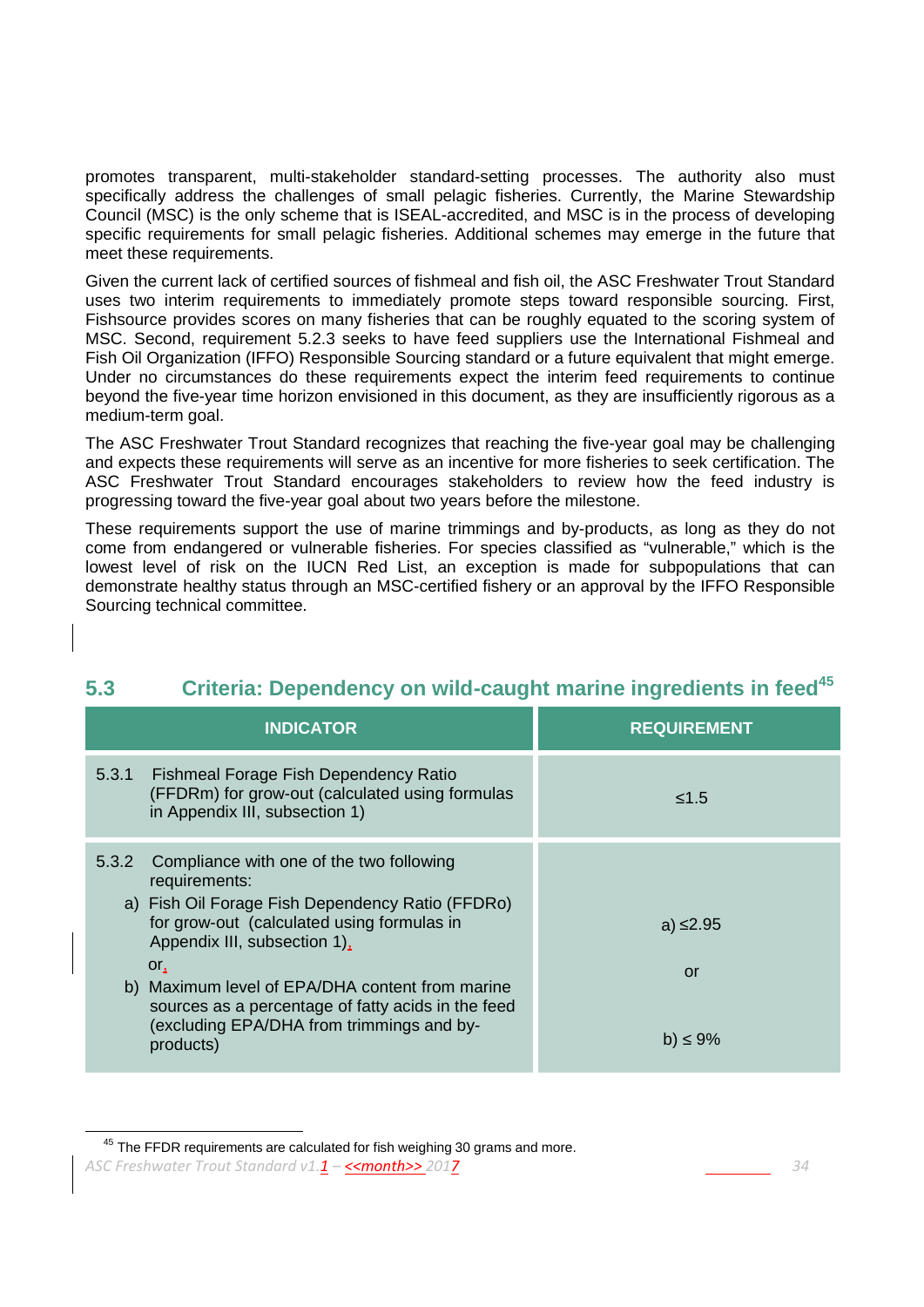promotes transparent, multi-stakeholder standard-setting processes. The authority also must specifically address the challenges of small pelagic fisheries. Currently, the Marine Stewardship Council (MSC) is the only scheme that is ISEAL-accredited, and MSC is in the process of developing specific requirements for small pelagic fisheries. Additional schemes may emerge in the future that meet these requirements.

Given the current lack of certified sources of fishmeal and fish oil, the ASC Freshwater Trout Standard uses two interim requirements to immediately promote steps toward responsible sourcing. First, Fishsource provides scores on many fisheries that can be roughly equated to the scoring system of MSC. Second, requirement 5.2.3 seeks to have feed suppliers use the International Fishmeal and Fish Oil Organization (IFFO) Responsible Sourcing standard or a future equivalent that might emerge. Under no circumstances do these requirements expect the interim feed requirements to continue beyond the five-year time horizon envisioned in this document, as they are insufficiently rigorous as a medium-term goal.

The ASC Freshwater Trout Standard recognizes that reaching the five-year goal may be challenging and expects these requirements will serve as an incentive for more fisheries to seek certification. The ASC Freshwater Trout Standard encourages stakeholders to review how the feed industry is progressing toward the five-year goal about two years before the milestone.

These requirements support the use of marine trimmings and by-products, as long as they do not come from endangered or vulnerable fisheries. For species classified as "vulnerable," which is the lowest level of risk on the IUCN Red List, an exception is made for subpopulations that can demonstrate healthy status through an MSC-certified fishery or an approval by the IFFO Responsible Sourcing technical committee.

| <b>INDICATOR</b>                                                                                                                                                                                                                                                                                                                                                               | <b>REQUIREMENT</b>          |
|--------------------------------------------------------------------------------------------------------------------------------------------------------------------------------------------------------------------------------------------------------------------------------------------------------------------------------------------------------------------------------|-----------------------------|
| 5.3.1<br><b>Fishmeal Forage Fish Dependency Ratio</b><br>(FFDRm) for grow-out (calculated using formulas<br>in Appendix III, subsection 1)                                                                                                                                                                                                                                     | 1.5                         |
| 5.3.2<br>Compliance with one of the two following<br>requirements:<br>a) Fish Oil Forage Fish Dependency Ratio (FFDRo)<br>for grow-out (calculated using formulas in<br>Appendix III, subsection 1),<br>or,<br>b) Maximum level of EPA/DHA content from marine<br>sources as a percentage of fatty acids in the feed<br>(excluding EPA/DHA from trimmings and by-<br>products) | a) $2.95$<br>or<br>9%<br>b) |

## **5.3 Criteria: Dependency on wild-caught marine ingredients in feed<sup>45</sup>**

*ASC Freshwater Trout Standard v1.1 – <<month>> 2017 34* <sup>45</sup> The FFDR requirements are calculated for fish weighing 30 grams and more.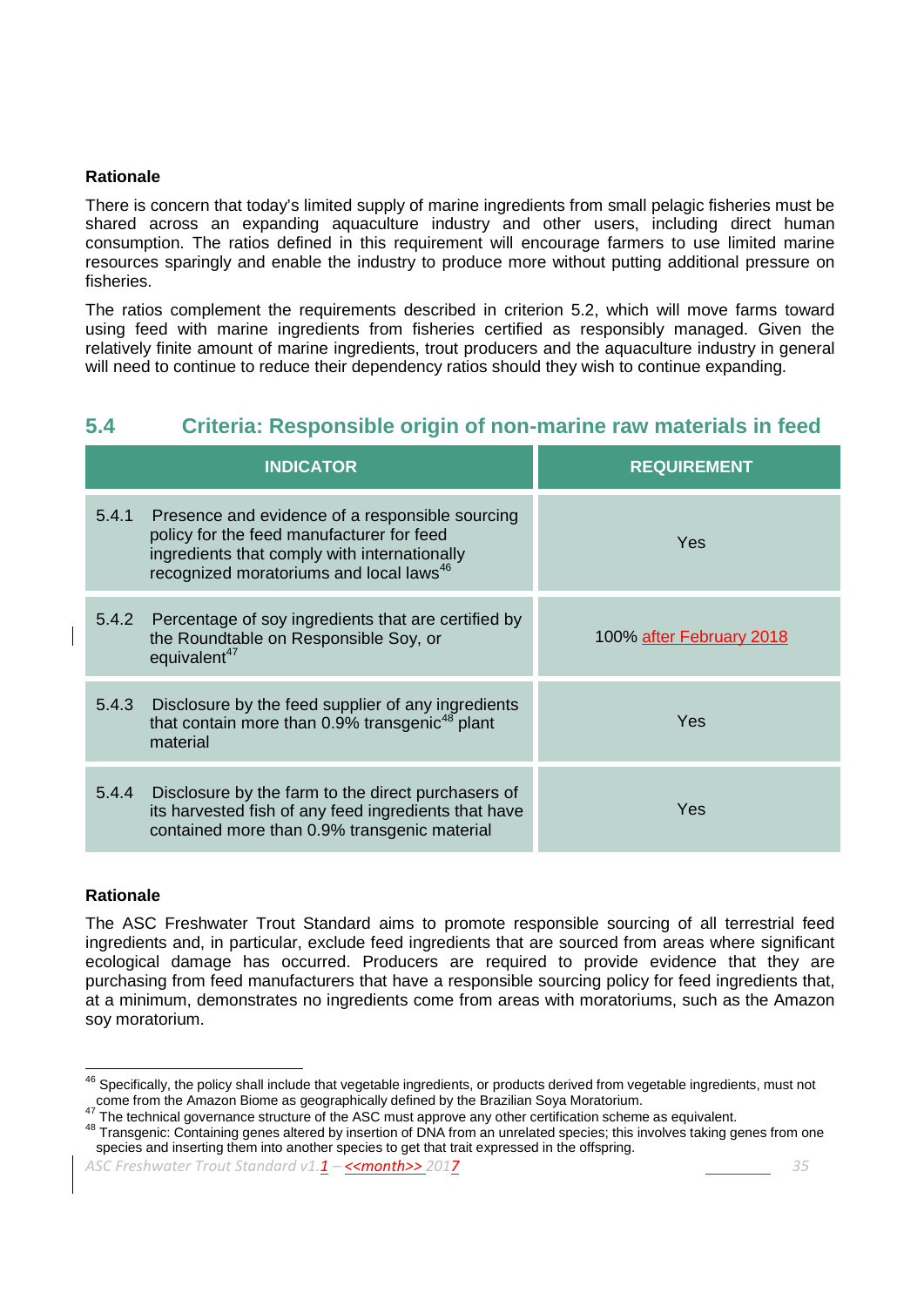### **Rationale**

There is concern that today's limited supply of marine ingredients from small pelagic fisheries must be shared across an expanding aquaculture industry and other users, including direct human consumption. The ratios defined in this requirement will encourage farmers to use limited marine resources sparingly and enable the industry to produce more without putting additional pressure on fisheries.

The ratios complement the requirements described in criterion 5.2, which will move farms toward using feed with marine ingredients from fisheries certified as responsibly managed. Given the relatively finite amount of marine ingredients, trout producers and the aquaculture industry in general will need to continue to reduce their dependency ratios should they wish to continue expanding.

## **5.4 Criteria: Responsible origin of non-marine raw materials in feed**

|       | <b>INDICATOR</b>                                                                                                                                                                                    | <b>REQUIREMENT</b>       |
|-------|-----------------------------------------------------------------------------------------------------------------------------------------------------------------------------------------------------|--------------------------|
| 5.4.1 | Presence and evidence of a responsible sourcing<br>policy for the feed manufacturer for feed<br>ingredients that comply with internationally<br>recognized moratoriums and local laws <sup>46</sup> | Yes.                     |
|       | 5.4.2 Percentage of soy ingredients that are certified by<br>the Roundtable on Responsible Soy, or<br>equivalent <sup>47</sup>                                                                      | 100% after February 2018 |
| 5.4.3 | Disclosure by the feed supplier of any ingredients<br>that contain more than 0.9% transgenic <sup>48</sup> plant<br>material                                                                        | <b>Yes</b>               |
| 5.4.4 | Disclosure by the farm to the direct purchasers of<br>its harvested fish of any feed ingredients that have<br>contained more than 0.9% transgenic material                                          | Yes                      |

### **Rationale**

The ASC Freshwater Trout Standard aims to promote responsible sourcing of all terrestrial feed ingredients and, in particular, exclude feed ingredients that are sourced from areas where significant ecological damage has occurred. Producers are required to provide evidence that they are purchasing from feed manufacturers that have a responsible sourcing policy for feed ingredients that, at a minimum, demonstrates no ingredients come from areas with moratoriums, such as the Amazon soy moratorium.

<sup>&</sup>lt;sup>46</sup> Specifically, the policy shall include that vegetable ingredients, or products derived from vegetable ingredients, must not come from the Amazon Biome as geographically defined by the Brazilian Soya Moratorium.

 $^{47}$  The technical governance structure of the ASC must approve any other certification scheme as equivalent.<br> $^{48}$  Transgenic: Containing genes altered by insertion of DNA from an unrelated species; this involves taki species and inserting them into another species to get that trait expressed in the offspring.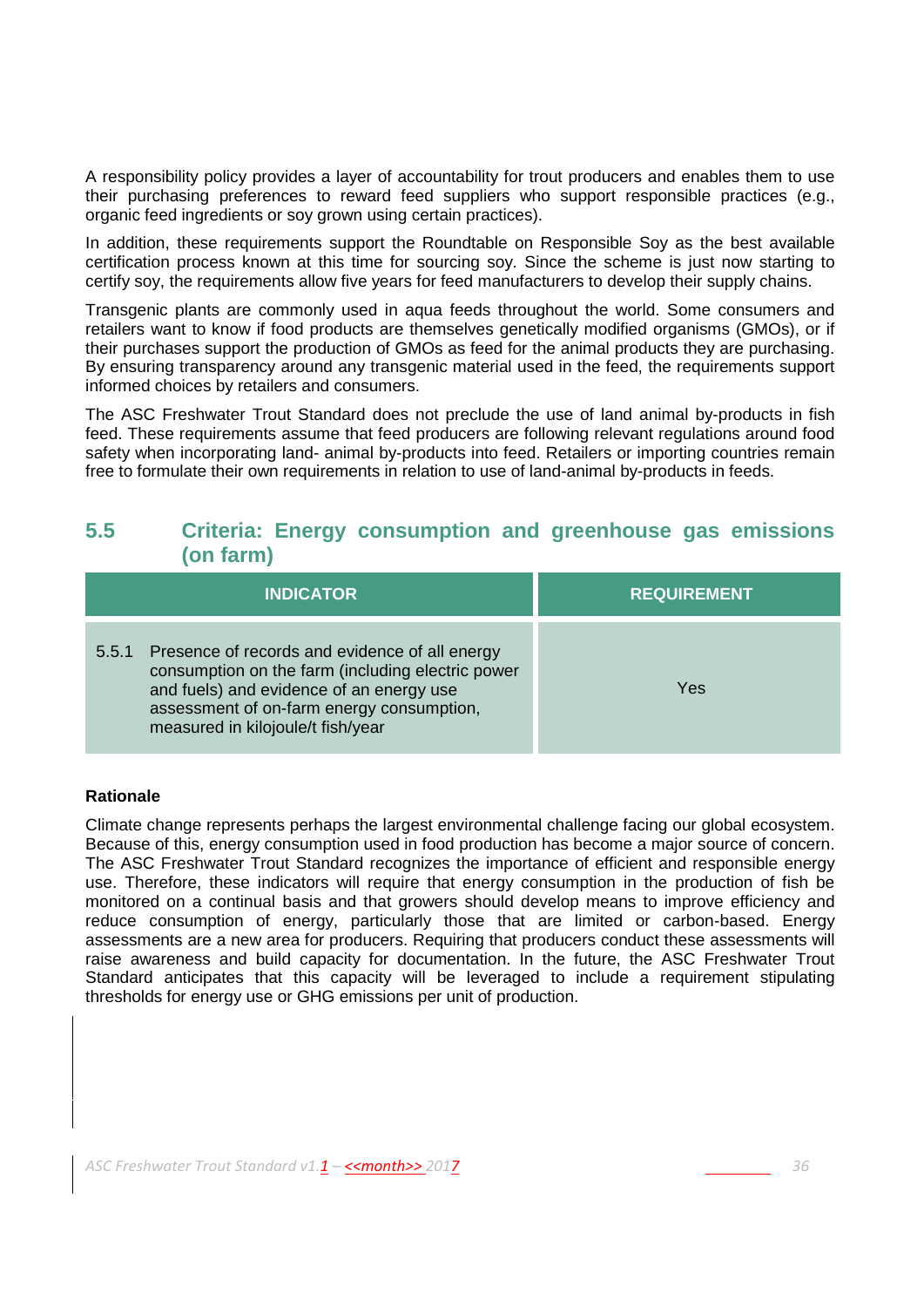A responsibility policy provides a layer of accountability for trout producers and enables them to use their purchasing preferences to reward feed suppliers who support responsible practices (e.g., organic feed ingredients or soy grown using certain practices).

In addition, these requirements support the Roundtable on Responsible Soy as the best available certification process known at this time for sourcing soy. Since the scheme is just now starting to certify soy, the requirements allow five years for feed manufacturers to develop their supply chains.

Transgenic plants are commonly used in aqua feeds throughout the world. Some consumers and retailers want to know if food products are themselves genetically modified organisms (GMOs), or if their purchases support the production of GMOs as feed for the animal products they are purchasing. By ensuring transparency around any transgenic material used in the feed, the requirements support informed choices by retailers and consumers.

The ASC Freshwater Trout Standard does not preclude the use of land animal by-products in fish feed. These requirements assume that feed producers are following relevant regulations around food safety when incorporating land- animal by-products into feed. Retailers or importing countries remain free to formulate their own requirements in relation to use of land-animal by-products in feeds.

### **5.5 Criteria: Energy consumption and greenhouse gas emissions (on farm)**

| <b>INDICATOR</b>                                                                                                                                                                                                                           | <b>REQUIREMENT</b> |
|--------------------------------------------------------------------------------------------------------------------------------------------------------------------------------------------------------------------------------------------|--------------------|
| Presence of records and evidence of all energy<br>5.5.1<br>consumption on the farm (including electric power<br>and fuels) and evidence of an energy use<br>assessment of on-farm energy consumption,<br>measured in kilojoule/t fish/year | Yes                |

### **Rationale**

Climate change represents perhaps the largest environmental challenge facing our global ecosystem. Because of this, energy consumption used in food production has become a major source of concern. The ASC Freshwater Trout Standard recognizes the importance of efficient and responsible energy use. Therefore, these indicators will require that energy consumption in the production of fish be monitored on a continual basis and that growers should develop means to improve efficiency and reduce consumption of energy, particularly those that are limited or carbon-based. Energy assessments are a new area for producers. Requiring that producers conduct these assessments will raise awareness and build capacity for documentation. In the future, the ASC Freshwater Trout Standard anticipates that this capacity will be leveraged to include a requirement stipulating thresholds for energy use or GHG emissions per unit of production.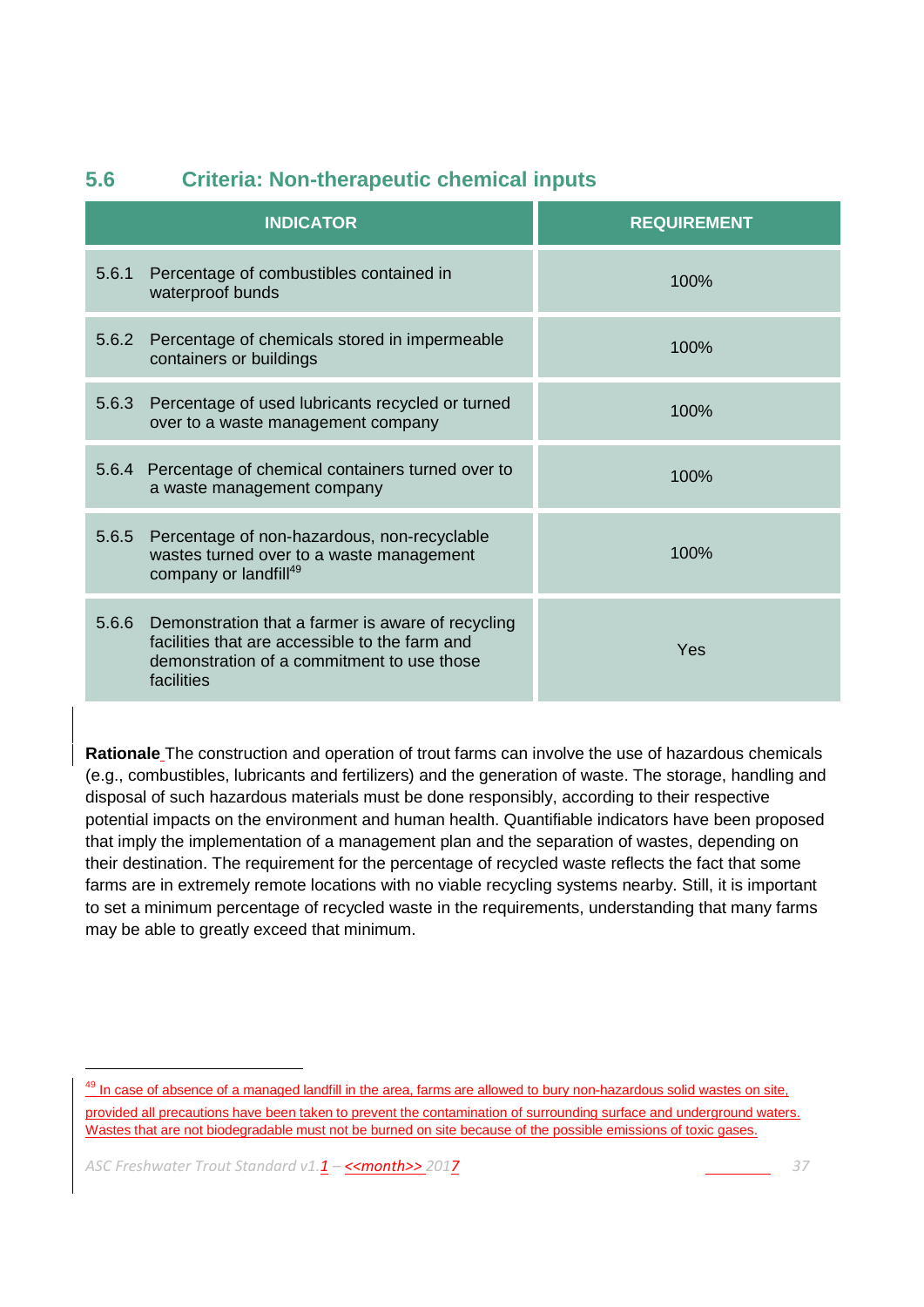## **5.6 Criteria: Non-therapeutic chemical inputs**

| <b>INDICATOR</b> |                                                                                                                                                                 | <b>REQUIREMENT</b> |  |
|------------------|-----------------------------------------------------------------------------------------------------------------------------------------------------------------|--------------------|--|
| 5.6.1            | Percentage of combustibles contained in<br>waterproof bunds                                                                                                     | 100%               |  |
| 5.6.2            | Percentage of chemicals stored in impermeable<br>containers or buildings                                                                                        | 100%               |  |
| 5.6.3            | Percentage of used lubricants recycled or turned<br>over to a waste management company                                                                          | 100%               |  |
|                  | 5.6.4 Percentage of chemical containers turned over to<br>a waste management company                                                                            | 100%               |  |
| 5.6.5            | Percentage of non-hazardous, non-recyclable<br>wastes turned over to a waste management<br>company or landfill <sup>49</sup>                                    | 100%               |  |
| 5.6.6            | Demonstration that a farmer is aware of recycling<br>facilities that are accessible to the farm and<br>demonstration of a commitment to use those<br>facilities | Yes                |  |

**Rationale** The construction and operation of trout farms can involve the use of hazardous chemicals (e.g., combustibles, lubricants and fertilizers) and the generation of waste. The storage, handling and disposal of such hazardous materials must be done responsibly, according to their respective potential impacts on the environment and human health. Quantifiable indicators have been proposed that imply the implementation of a management plan and the separation of wastes, depending on their destination. The requirement for the percentage of recycled waste reflects the fact that some farms are in extremely remote locations with no viable recycling systems nearby. Still, it is important to set a minimum percentage of recycled waste in the requirements, understanding that many farms may be able to greatly exceed that minimum.

 $49$  In case of absence of a managed landfill in the area, farms are allowed to bury non-hazardous solid wastes on site, provided all precautions have been taken to prevent the contamination of surrounding surface and und Wastes that are not biodegradable must not be burned on site because of the possible emissions of toxic gases.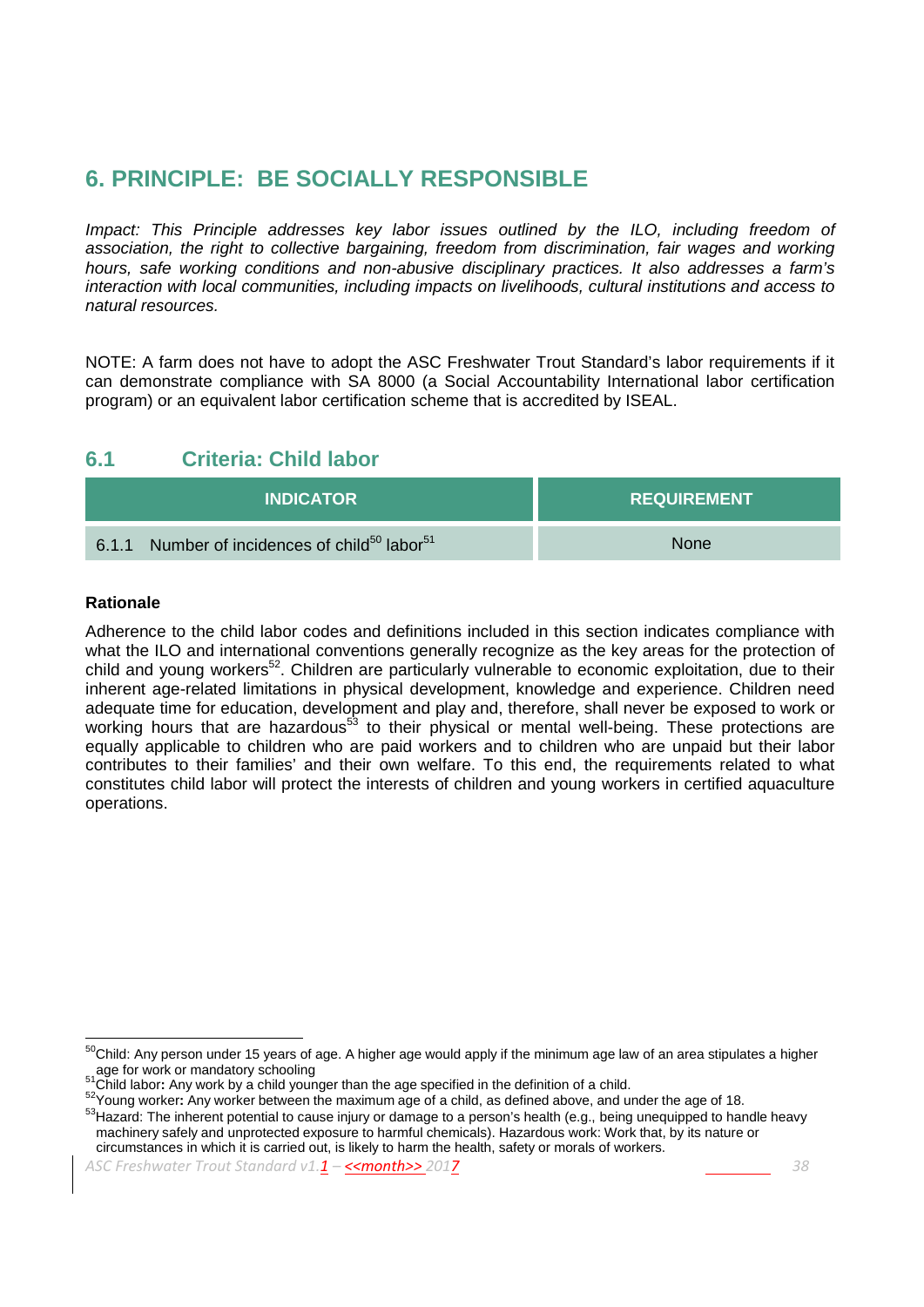## **6. PRINCIPLE: BE SOCIALLY RESPONSIBLE**

*Impact: This Principle addresses key labor issues outlined by the ILO, including freedom of association, the right to collective bargaining, freedom from discrimination, fair wages and working hours, safe working conditions and non-abusive disciplinary practices. It also addresses a farm's interaction with local communities, including impacts on livelihoods, cultural institutions and access to natural resources.*

NOTE: A farm does not have to adopt the ASC Freshwater Trout Standard's labor requirements if it can demonstrate compliance with SA 8000 (a Social Accountability International labor certification program) or an equivalent labor certification scheme that is accredited by ISEAL.

## **6.1 Criteria: Child labor**

| <b>INDICATOR</b>                                                      | <b>REQUIREMENT</b> |
|-----------------------------------------------------------------------|--------------------|
| 6.1.1 Number of incidences of child <sup>50</sup> labor <sup>51</sup> | <b>None</b>        |

### **Rationale**

Adherence to the child labor codes and definitions included in this section indicates compliance with what the ILO and international conventions generally recognize as the key areas for the protection of child and young workers<sup>52</sup>. Children are particularly vulnerable to economic exploitation, due to their inherent age-related limitations in physical development, knowledge and experience. Children need adequate time for education, development and play and, therefore, shall never be exposed to work or working hours that are hazardous<sup>53</sup> to their physical or mental well-being. These protections are equally applicable to children who are paid workers and to children who are unpaid but their labor contributes to their families' and their own welfare. To this end, the requirements related to what constitutes child labor will protect the interests of children and young workers in certified aquaculture operations.

<sup>&</sup>lt;sup>50</sup>Child: Any person under 15 years of age. A higher age would apply if the minimum age law of an area stipulates a higher age for work or mandatory schooling<br>
<sup>51</sup>Child labor: Any work by a child younger than the age specified in the definition of a child.

<sup>52</sup>Young worker: Any worker between the maximum age of a child, as defined above, and under the age of 18.<br>53Hazard: The inherent potential to cause injury or damage to a person's health (e.g., being unequipped to handle he

machinery safely and unprotected exposure to harmful chemicals). Hazardous work: Work that, by its nature or circumstances in which it is carried out, is likely to harm the health, safety or morals of workers.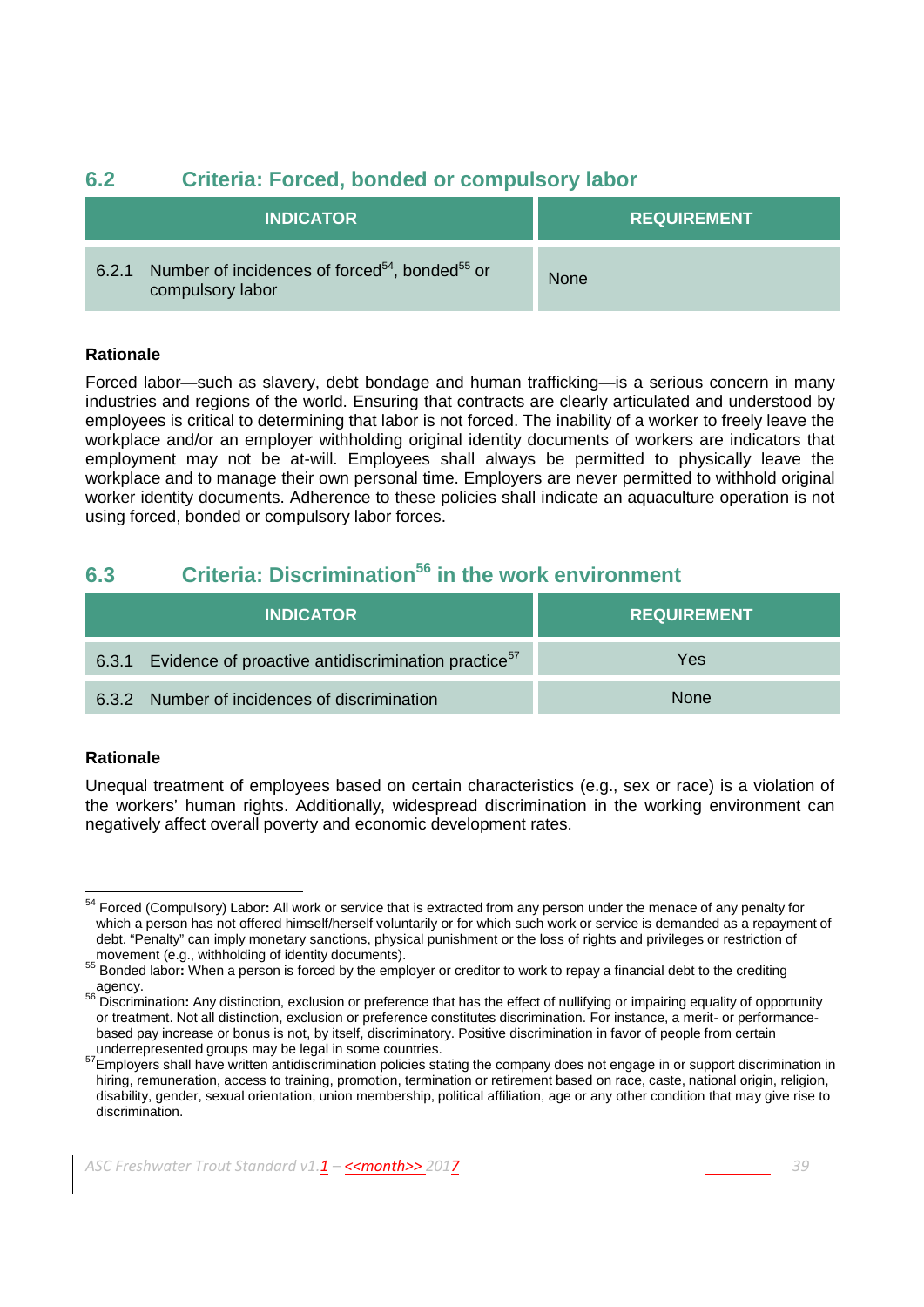## **6.2 Criteria: Forced, bonded or compulsory labor**

| <b>INDICATOR</b>                                                                                    | <b>REQUIREMENT</b> |
|-----------------------------------------------------------------------------------------------------|--------------------|
| Number of incidences of forced <sup>54</sup> , bonded <sup>55</sup> or<br>6.2.1<br>compulsory labor | <b>None</b>        |

### **Rationale**

Forced labor—such as slavery, debt bondage and human trafficking—is a serious concern in many industries and regions of the world. Ensuring that contracts are clearly articulated and understood by employees is critical to determining that labor is not forced. The inability of a worker to freely leave the workplace and/or an employer withholding original identity documents of workers are indicators that employment may not be at-will. Employees shall always be permitted to physically leave the workplace and to manage their own personal time. Employers are never permitted to withhold original worker identity documents. Adherence to these policies shall indicate an aquaculture operation is not using forced, bonded or compulsory labor forces.

## **6.3 Criteria: Discrimination<sup>56</sup> in the work environment**

| <b>INDICATOR</b>                                                         | <b>REQUIREMENT</b> |
|--------------------------------------------------------------------------|--------------------|
| Evidence of proactive antidiscrimination practice <sup>57</sup><br>6.3.1 | Yes                |
| 6.3.2 Number of incidences of discrimination                             | <b>None</b>        |

### **Rationale**

Unequal treatment of employees based on certain characteristics (e.g., sex or race) is a violation of the workers' human rights. Additionally, widespread discrimination in the working environment can negatively affect overall poverty and economic development rates.

<sup>54</sup> Forced (Compulsory) Labor**:** All work or service that is extracted from any person under the menace of any penalty for which a person has not offered himself/herself voluntarily or for which such work or service is demanded as a repayment of debt. "Penalty" can imply monetary sanctions, physical punishment or the loss of rights and privileges or restriction of movement (e.g., withholding of identity documents).<br><sup>55</sup> Bonded labor: When a person is forced by the employer or creditor to work to repay a financial debt to the crediting

agency.<br><sup>56</sup> Discrimination: Any distinction, exclusion or preference that has the effect of nullifying or impairing equality of opportunity

or treatment. Not all distinction, exclusion or preference constitutes discrimination. For instance, a merit- or performance based pay increase or bonus is not, by itself, discriminatory. Positive discrimination in favor of people from certain

underrepresented groups may be legal in some countries.<br> $57$ Employers shall have written antidiscrimination policies stating the company does not engage in or support discrimination in hiring, remuneration, access to training, promotion, termination or retirement based on race, caste, national origin, religion, disability, gender, sexual orientation, union membership, political affiliation, age or any other condition that may give rise to discrimination.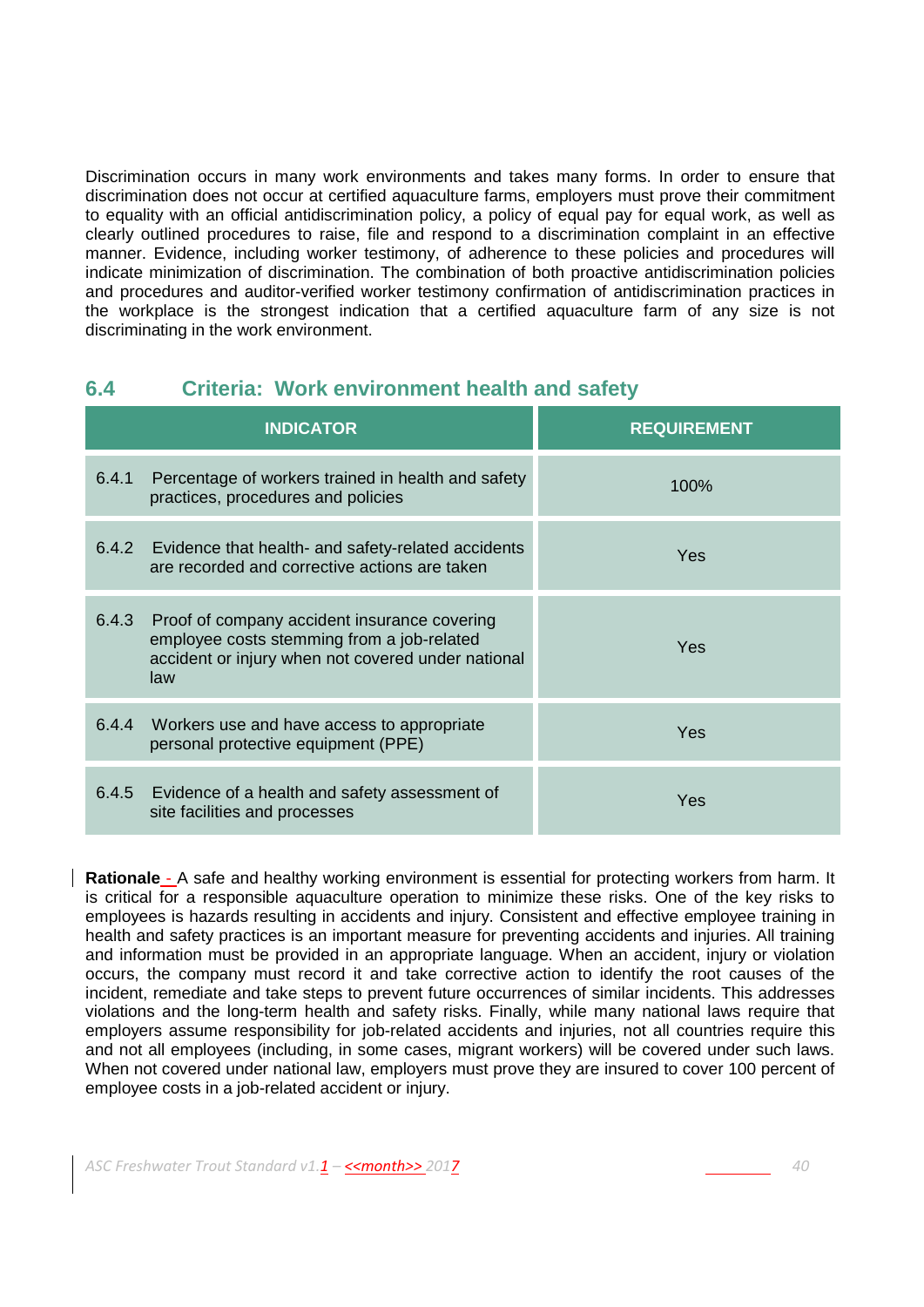Discrimination occurs in many work environments and takes many forms. In order to ensure that discrimination does not occur at certified aquaculture farms, employers must prove their commitment to equality with an official antidiscrimination policy, a policy of equal pay for equal work, as well as clearly outlined procedures to raise, file and respond to a discrimination complaint in an effective manner. Evidence, including worker testimony, of adherence to these policies and procedures will indicate minimization of discrimination. The combination of both proactive antidiscrimination policies and procedures and auditor-verified worker testimony confirmation of antidiscrimination practices in the workplace is the strongest indication that a certified aquaculture farm of any size is not discriminating in the work environment.

### **6.4 Criteria: Work environment health and safety**

| <b>INDICATOR</b>                                          |                                                                                                     | <b>REQUIREMENT</b> |
|-----------------------------------------------------------|-----------------------------------------------------------------------------------------------------|--------------------|
| 6.4.1<br>practices, procedures and policies               | Percentage of workers trained in health and safety                                                  | 100%               |
| 6.4.2                                                     | Evidence that health- and safety-related accidents<br>are recorded and corrective actions are taken | Yes                |
| 6.4.3 Proof of company accident insurance covering<br>law | employee costs stemming from a job-related<br>accident or injury when not covered under national    | Yes                |
| 6.4.4<br>personal protective equipment (PPE)              | Workers use and have access to appropriate                                                          | Yes                |
| 6.4.5<br>site facilities and processes                    | Evidence of a health and safety assessment of                                                       | Yes                |

**Rationale** - A safe and healthy working environment is essential for protecting workers from harm. It is critical for a responsible aquaculture operation to minimize these risks. One of the key risks to employees is hazards resulting in accidents and injury. Consistent and effective employee training in health and safety practices is an important measure for preventing accidents and injuries. All training and information must be provided in an appropriate language. When an accident, injury or violation occurs, the company must record it and take corrective action to identify the root causes of the incident, remediate and take steps to prevent future occurrences of similar incidents. This addresses violations and the long-term health and safety risks. Finally, while many national laws require that employers assume responsibility for job-related accidents and injuries, not all countries require this and not all employees (including, in some cases, migrant workers) will be covered under such laws. When not covered under national law, employers must prove they are insured to cover 100 percent of employee costs in a job-related accident or injury.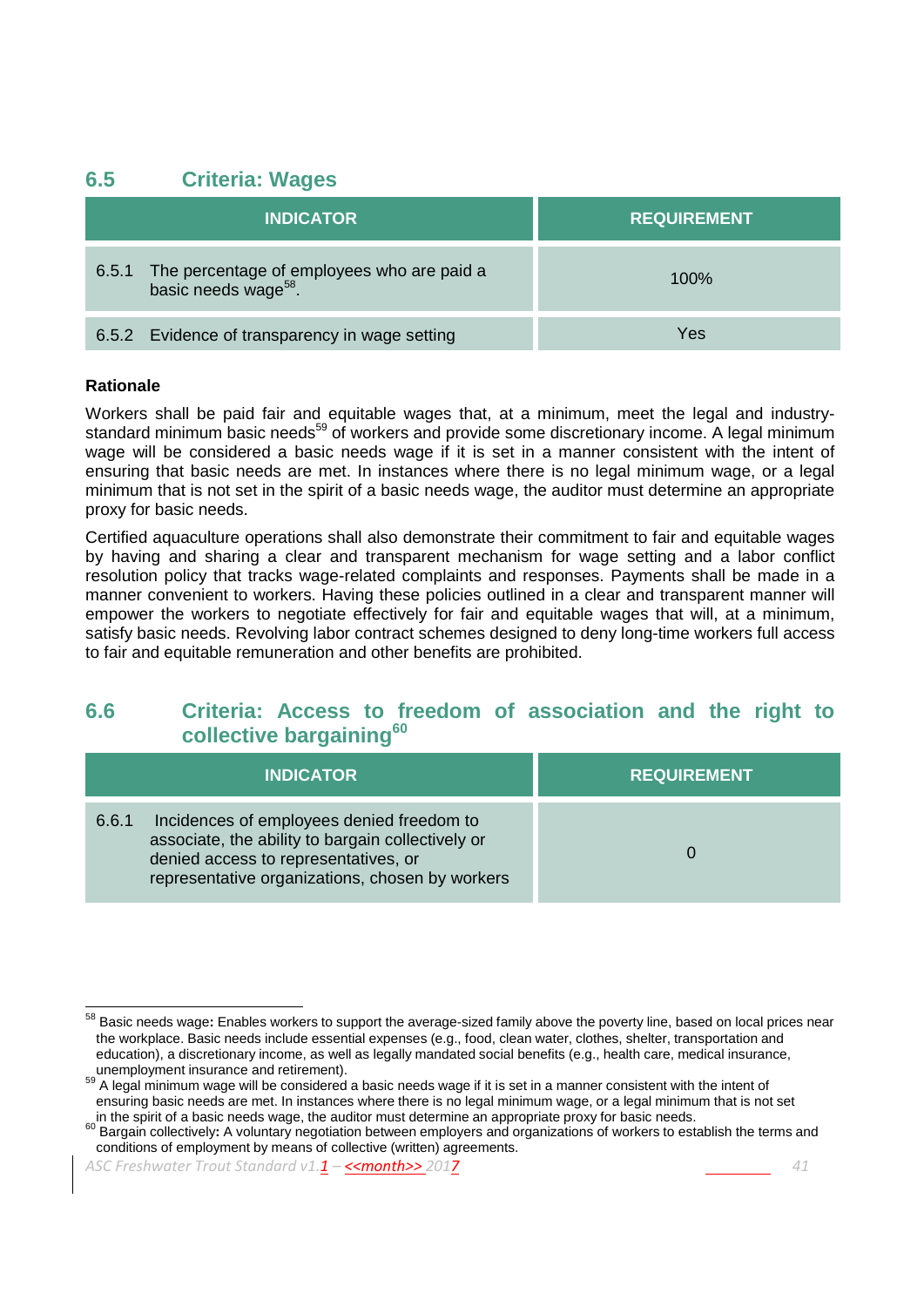## **6.5 Criteria: Wages**

| <b>INDICATOR</b>                                                                        | <b>REQUIREMENT</b> |
|-----------------------------------------------------------------------------------------|--------------------|
| The percentage of employees who are paid a<br>basic needs wage <sup>58</sup> .<br>6.5.1 | 100%               |
| 6.5.2 Evidence of transparency in wage setting                                          | Yes                |

### **Rationale**

Workers shall be paid fair and equitable wages that, at a minimum, meet the legal and industry standard minimum basic needs<sup>59</sup> of workers and provide some discretionary income. A legal minimum wage will be considered a basic needs wage if it is set in a manner consistent with the intent of ensuring that basic needs are met. In instances where there is no legal minimum wage, or a legal minimum that is not set in the spirit of a basic needs wage, the auditor must determine an appropriate proxy for basic needs.

Certified aquaculture operations shall also demonstrate their commitment to fair and equitable wages by having and sharing a clear and transparent mechanism for wage setting and a labor conflict resolution policy that tracks wage-related complaints and responses. Payments shall be made in a manner convenient to workers. Having these policies outlined in a clear and transparent manner will empower the workers to negotiate effectively for fair and equitable wages that will, at a minimum, satisfy basic needs. Revolving labor contract schemes designed to deny long-time workers full access to fair and equitable remuneration and other benefits are prohibited.

### **6.6 Criteria: Access to freedom of association and the right to collective bargaining<sup>60</sup>**

| <b>INDICATOR</b>                                                                                                                                                                                   | <b>REQUIREMENT</b> |
|----------------------------------------------------------------------------------------------------------------------------------------------------------------------------------------------------|--------------------|
| Incidences of employees denied freedom to<br>6.6.1<br>associate, the ability to bargain collectively or<br>denied access to representatives, or<br>representative organizations, chosen by workers | O                  |

<sup>58</sup> Basic needs wage**:** Enables workers to support the average-sized family above the poverty line, based on local prices near the workplace. Basic needs include essential expenses (e.g., food, clean water, clothes, shelter, transportation and education), a discretionary income, as well as legally mandated social benefits (e.g., health care, medical insurance,

unemployment insurance and retirement).<br><sup>59</sup> A legal minimum wage will be considered a basic needs wage if it is set in a manner consistent with the intent of ensuring basic needs are met. In instances where there is no legal minimum wage, or a legal minimum that is not set<br>in the spirit of a basic needs wage, the auditor must determine an appropriate proxy for basic needs.

<sup>&</sup>lt;sup>60</sup> Bargain collectively: A voluntary negotiation between employers and organizations of workers to establish the terms and conditions of employment by means of collective (written) agreements.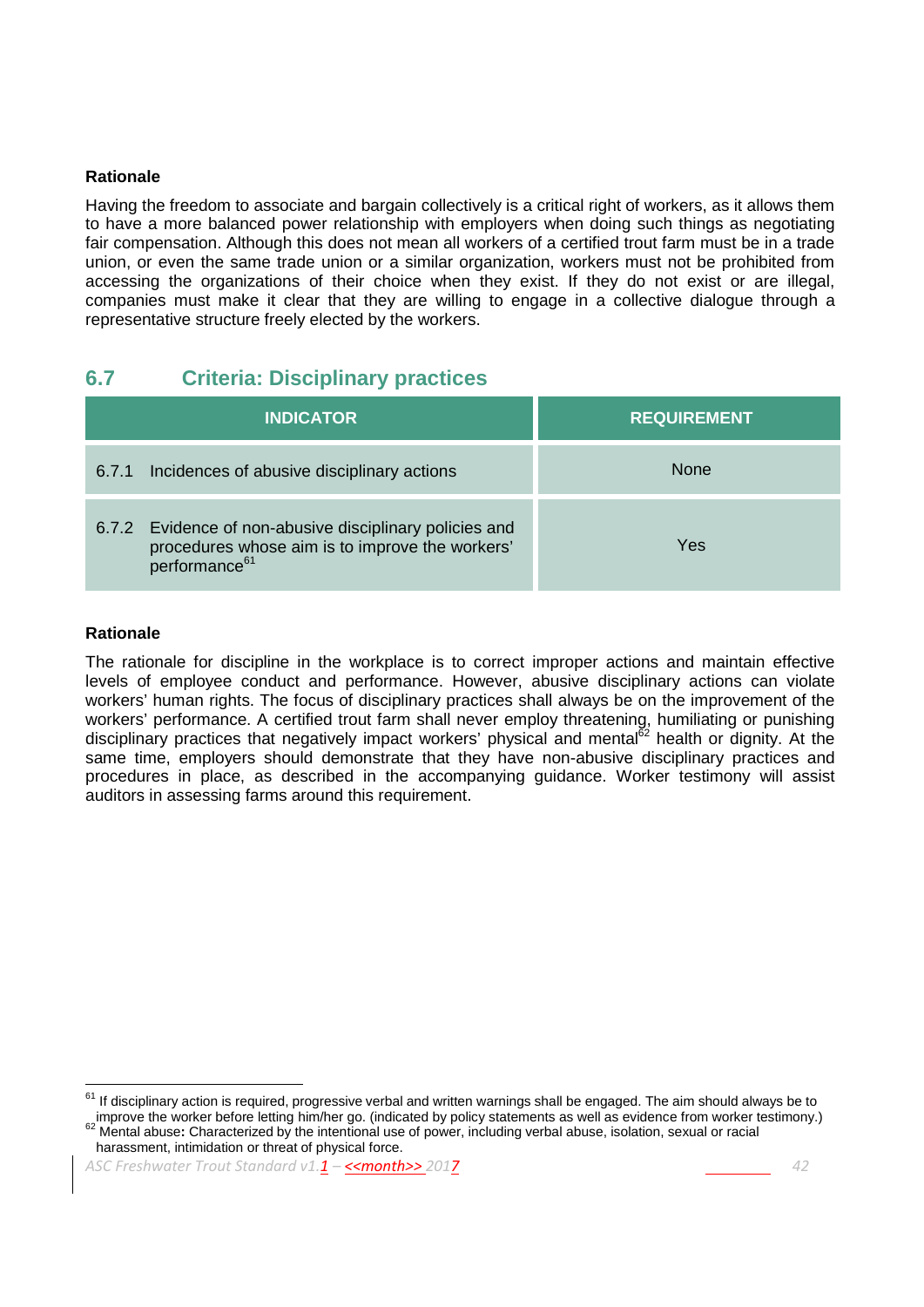### **Rationale**

Having the freedom to associate and bargain collectively is a critical right of workers, as it allows them to have a more balanced power relationship with employers when doing such things as negotiating fair compensation. Although this does not mean all workers of a certified trout farm must be in a trade union, or even the same trade union or a similar organization, workers must not be prohibited from accessing the organizations of their choice when they exist. If they do not exist or are illegal, companies must make it clear that they are willing to engage in a collective dialogue through a representative structure freely elected by the workers.

## **6.7 Criteria: Disciplinary practices**

| <b>INDICATOR</b>                                                                                                                        | <b>REQUIREMENT</b> |
|-----------------------------------------------------------------------------------------------------------------------------------------|--------------------|
| Incidences of abusive disciplinary actions<br>6.7.1                                                                                     | <b>None</b>        |
| 6.7.2 Evidence of non-abusive disciplinary policies and<br>procedures whose aim is to improve the workers'<br>performance <sup>61</sup> | Yes                |

### **Rationale**

The rationale for discipline in the workplace is to correct improper actions and maintain effective levels of employee conduct and performance. However, abusive disciplinary actions can violate workers' human rights. The focus of disciplinary practices shall always be on the improvement of the workers' performance. A certified trout farm shall never employ threatening, humiliating or punishing disciplinary practices that negatively impact workers' physical and mental<sup>62</sup> health or dignity. At the same time, employers should demonstrate that they have non-abusive disciplinary practices and procedures in place, as described in the accompanying guidance. Worker testimony will assist auditors in assessing farms around this requirement.

 $61$  If disciplinary action is required, progressive verbal and written warnings shall be engaged. The aim should always be to improve the worker before letting him/her go. (indicated by policy statements as well as evide <sup>62</sup> Mental abuse: Characterized by the intentional use of power, including verbal abuse, isolation, sexual or racial harassment, intimidation or threat of physical force.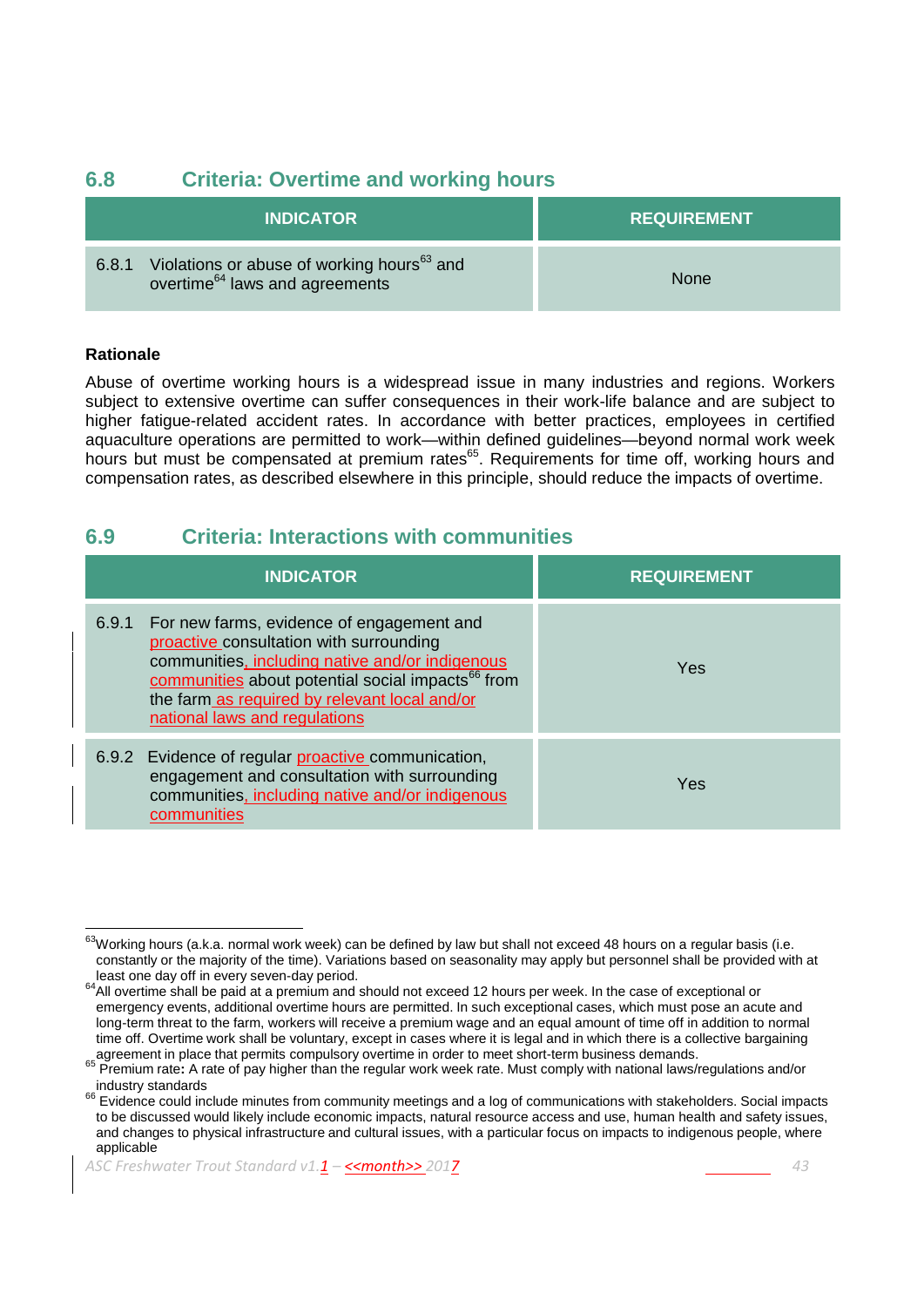## **6.8 Criteria: Overtime and working hours**

| <b>INDICATOR</b>                                                                                              | <b>REQUIREMENT</b> |
|---------------------------------------------------------------------------------------------------------------|--------------------|
| Violations or abuse of working hours <sup>63</sup> and<br>6.8.1<br>overtime <sup>64</sup> laws and agreements | <b>None</b>        |

### **Rationale**

Abuse of overtime working hours is a widespread issue in many industries and regions. Workers subject to extensive overtime can suffer consequences in their work-life balance and are subject to higher fatigue-related accident rates. In accordance with better practices, employees in certified aquaculture operations are permitted to work—within defined guidelines—beyond normal work week hours but must be compensated at premium rates<sup>65</sup>. Requirements for time off, working hours and compensation rates, as described elsewhere in this principle, should reduce the impacts of overtime.

## **6.9 Criteria: Interactions with communities**

| <b>INDICATOR</b>                                                                                                                                                                                                                                                                                 | <b>REQUIREMENT</b> |
|--------------------------------------------------------------------------------------------------------------------------------------------------------------------------------------------------------------------------------------------------------------------------------------------------|--------------------|
| 6.9.1 For new farms, evidence of engagement and<br>proactive consultation with surrounding<br>communities, including native and/or indigenous<br>communities about potential social impacts <sup>66</sup> from<br>the farm as required by relevant local and/or<br>national laws and regulations | Yes                |
| 6.9.2 Evidence of regular proactive communication,<br>engagement and consultation with surrounding<br>communities, including native and/or indigenous<br>communities                                                                                                                             | Yes                |

 $63$ Working hours (a.k.a. normal work week) can be defined by law but shall not exceed 48 hours on a regular basis (i.e. constantly or the majority of the time). Variations based on seasonality may apply but personnel shall be provided with at least one day off in every seven-day period.

<sup>&</sup>lt;sup>64</sup>All overtime shall be paid at a premium and should not exceed 12 hours per week. In the case of exceptional or emergency events, additional overtime hours are permitted. In such exceptional cases, which must pose an acute and long-term threat to the farm, workers will receive a premium wage and an equal amount of time off in addition to normal time off. Overtime work shall be voluntary, except in cases where it is legal and in which there is a collective bargaining

agreement in place that permits compulsory overtime in order to meet short-term business demands.<br><sup>65</sup> Premium rate: A rate of pay higher than the regular work week rate. Must comply with national laws/regulations and/or<br>i

industry standards<br><sup>66</sup> Evidence could include minutes from community meetings and a log of communications with stakeholders. Social impacts to be discussed would likely include economic impacts, natural resource access and use, human health and safety issues, and changes to physical infrastructure and cultural issues, with a particular focus on impacts to indigenous people, where applicable

*ASC Freshwater Trout Standard v1.1 – <<month>> 2017 43*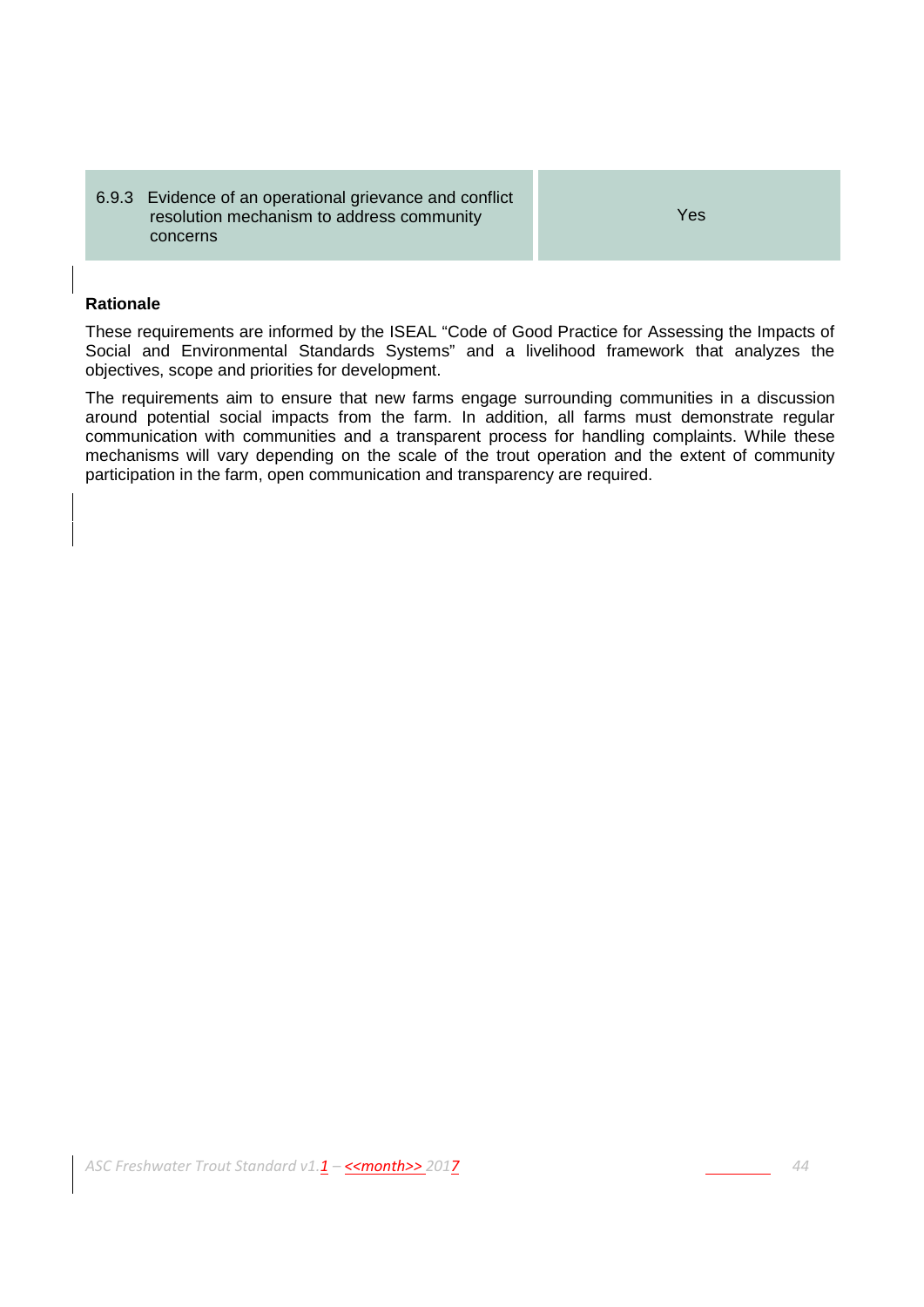6.9.3 Evidence of an operational grievance and conflict resolution mechanism to address community concerns

Yes

#### **Rationale**

These requirements are informed by the ISEAL "Code of Good Practice for Assessing the Impacts of Social and Environmental Standards Systems" and a livelihood framework that analyzes the objectives, scope and priorities for development.

The requirements aim to ensure that new farms engage surrounding communities in a discussion around potential social impacts from the farm. In addition, all farms must demonstrate regular communication with communities and a transparent process for handling complaints. While these mechanisms will vary depending on the scale of the trout operation and the extent of community participation in the farm, open communication and transparency are required.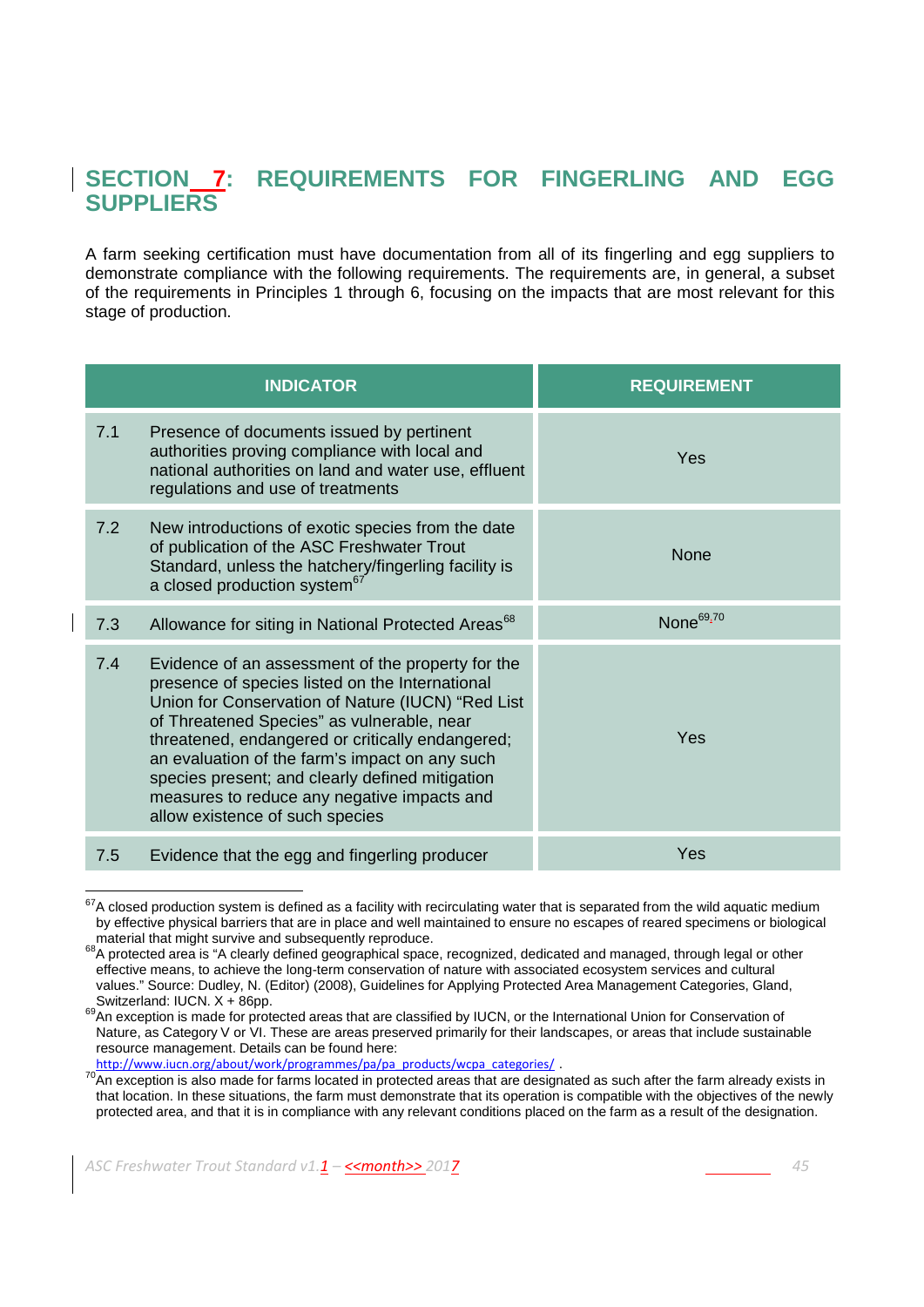## **SECTION 7: REQUIREMENTS FOR FINGERLING AND EGG SUPPLIERS**

A farm seeking certification must have documentation from all of its fingerling and egg suppliers to demonstrate compliance with the following requirements. The requirements are, in general, a subset of the requirements in Principles 1 through 6, focusing on the impacts that are most relevant for this stage of production.

|     | <b>INDICATOR</b>                                                                                                                                                                                                                                                                                                                                                                                                                                   | <b>REQUIREMENT</b>    |
|-----|----------------------------------------------------------------------------------------------------------------------------------------------------------------------------------------------------------------------------------------------------------------------------------------------------------------------------------------------------------------------------------------------------------------------------------------------------|-----------------------|
| 7.1 | Presence of documents issued by pertinent<br>authorities proving compliance with local and<br>national authorities on land and water use, effluent<br>regulations and use of treatments                                                                                                                                                                                                                                                            | Yes                   |
| 7.2 | New introductions of exotic species from the date<br>of publication of the ASC Freshwater Trout<br>Standard, unless the hatchery/fingerling facility is<br>a closed production system <sup>67</sup>                                                                                                                                                                                                                                                | <b>None</b>           |
| 7.3 | Allowance for siting in National Protected Areas <sup>68</sup>                                                                                                                                                                                                                                                                                                                                                                                     | None <sup>69,70</sup> |
| 7.4 | Evidence of an assessment of the property for the<br>presence of species listed on the International<br>Union for Conservation of Nature (IUCN) "Red List<br>of Threatened Species" as vulnerable, near<br>threatened, endangered or critically endangered;<br>an evaluation of the farm's impact on any such<br>species present; and clearly defined mitigation<br>measures to reduce any negative impacts and<br>allow existence of such species | Yes                   |
| 7.5 | Evidence that the egg and fingerling producer                                                                                                                                                                                                                                                                                                                                                                                                      | Yes                   |

 $67A$  closed production system is defined as a facility with recirculating water that is separated from the wild aquatic medium by effective physical barriers that are in place and well maintained to ensure no escapes of reared specimens or biological

<sup>68</sup>A protected area is "A clearly defined geographical space, recognized, dedicated and managed, through legal or other effective means, to achieve the long-term conservation of nature with associated ecosystem services and cultural values." Source: Dudley, N. (Editor) (2008), Guidelines for Applying Protected Area Management Categories, Gland,

Switzerland: IUCN.  $X + 86$ pp.<br><sup>69</sup>An exception is made for protected areas that are classified by IUCN, or the International Union for Conservation of Nature, as Category V or VI. These are areas preserved primarily for their landscapes, or areas that include sustainable resource management. Details can be found here:<br>http://www.iucn.org/about/work/programmes/pa/pa\_products/wcpa\_categories/.

<sup>&</sup>lt;sup>70</sup>An exception is also made for farms located in protected areas that are designated as such after the farm already exists in that location. In these situations, the farm must demonstrate that its operation is compatible with the objectives of the newly protected area, and that it is in compliance with any relevant conditions placed on the farm as a result of the designation.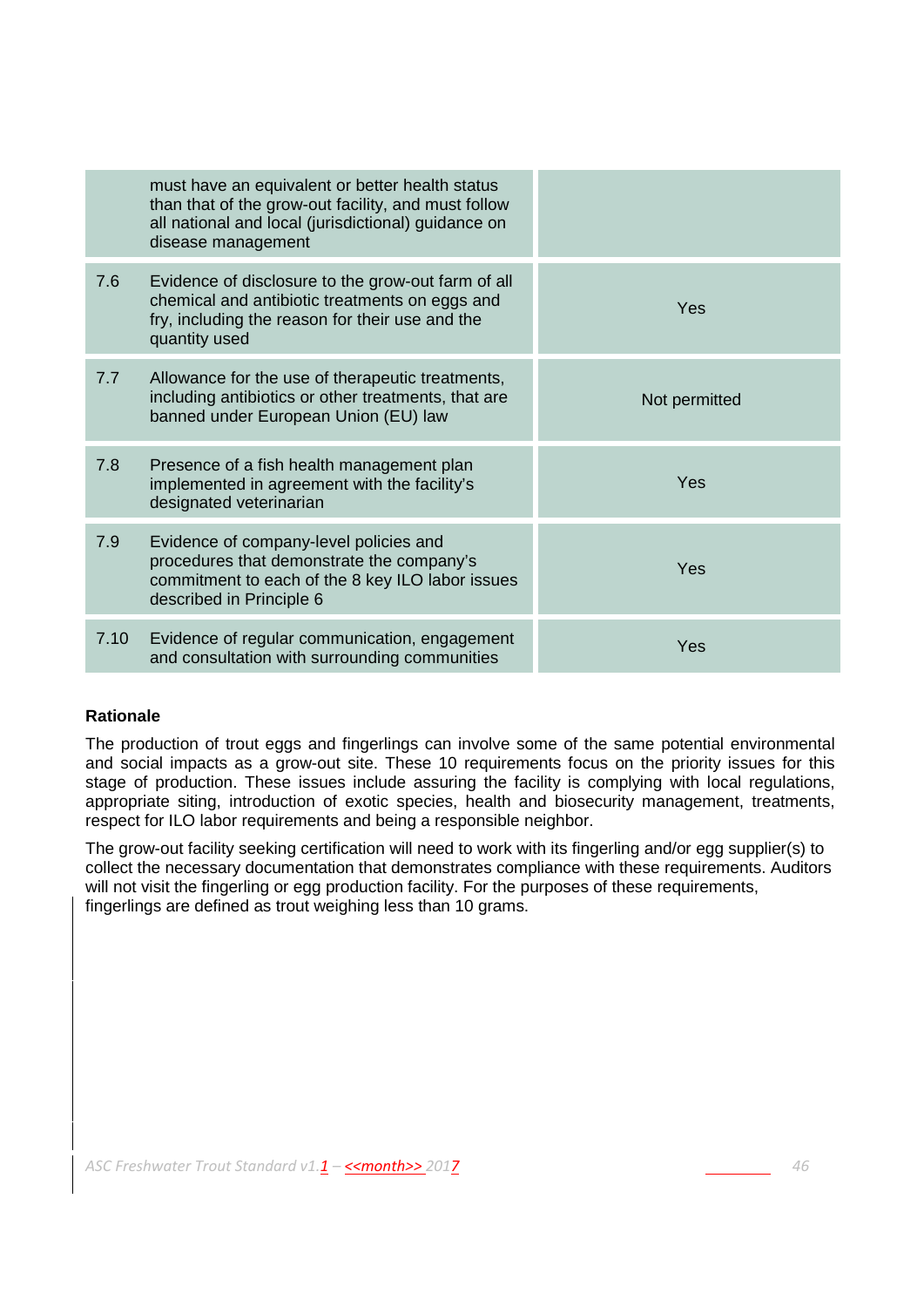|      | must have an equivalent or better health status<br>than that of the grow-out facility, and must follow<br>all national and local (jurisdictional) guidance on<br>disease management |               |
|------|-------------------------------------------------------------------------------------------------------------------------------------------------------------------------------------|---------------|
| 7.6  | Evidence of disclosure to the grow-out farm of all<br>chemical and antibiotic treatments on eggs and<br>fry, including the reason for their use and the<br>quantity used            | Yes           |
| 7.7  | Allowance for the use of therapeutic treatments,<br>including antibiotics or other treatments, that are<br>banned under European Union (EU) law                                     | Not permitted |
| 7.8  | Presence of a fish health management plan<br>implemented in agreement with the facility's<br>designated veterinarian                                                                | Yes           |
| 7.9  | Evidence of company-level policies and<br>procedures that demonstrate the company's<br>commitment to each of the 8 key ILO labor issues<br>described in Principle 6                 | Yes           |
| 7.10 | Evidence of regular communication, engagement<br>and consultation with surrounding communities                                                                                      | Yes           |

### **Rationale**

The production of trout eggs and fingerlings can involve some of the same potential environmental and social impacts as a grow-out site. These 10 requirements focus on the priority issues for this stage of production. These issues include assuring the facility is complying with local regulations, appropriate siting, introduction of exotic species, health and biosecurity management, treatments, respect for ILO labor requirements and being a responsible neighbor.

The grow-out facility seeking certification will need to work with its fingerling and/or egg supplier(s) to collect the necessary documentation that demonstrates compliance with these requirements. Auditors will not visit the fingerling or egg production facility. For the purposes of these requirements, fingerlings are defined as trout weighing less than 10 grams.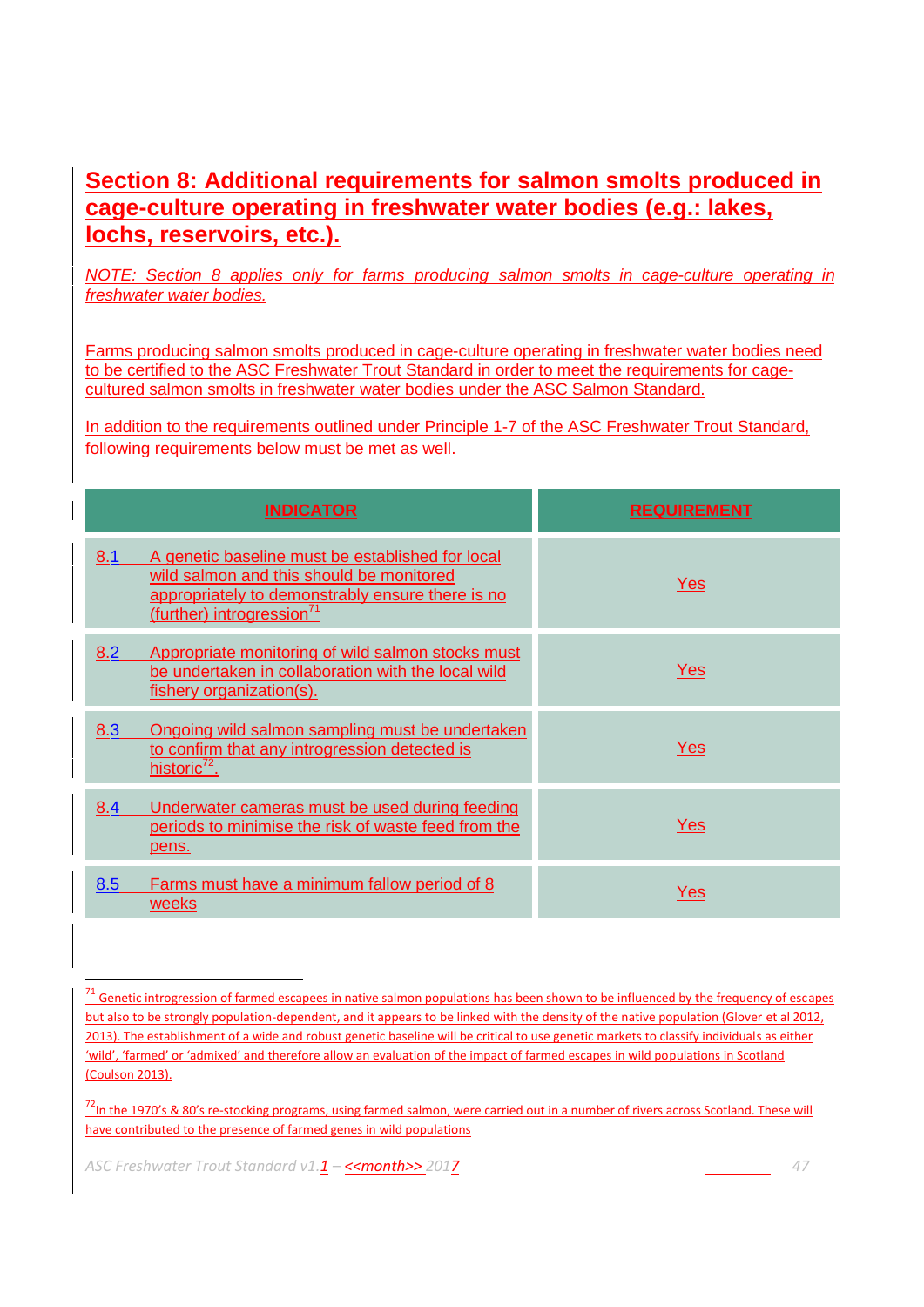## **Section 8: Additional requirements for salmon smolts produced in cage-culture operating in freshwater water bodies (e.g.: lakes, lochs, reservoirs, etc.).**

*NOTE: Section 8 applies only for farms producing salmon smolts in cage-culture operating in freshwater water bodies.*

Farms producing salmon smolts produced in cage-culture operating in freshwater water bodies need to be certified to the ASC Freshwater Trout Standard in order to meet the requirements for cage cultured salmon smolts in freshwater water bodies under the ASC Salmon Standard.

In addition to the requirements outlined under Principle 1-7 of the ASC Freshwater Trout Standard, following requirements below must be met as well.

| <b>INDICATOR</b>                                                                                                                                                                                 | <b>REQUIREMENT</b> |
|--------------------------------------------------------------------------------------------------------------------------------------------------------------------------------------------------|--------------------|
| 8.1<br>A genetic baseline must be established for local<br>wild salmon and this should be monitored<br>appropriately to demonstrably ensure there is no<br>(further) introgression <sup>71</sup> | Yes                |
| 8.2<br>Appropriate monitoring of wild salmon stocks must<br>be undertaken in collaboration with the local wild<br>fishery organization(s).                                                       | Yes                |
| 8.3<br>Ongoing wild salmon sampling must be undertaken<br>to confirm that any introgression detected is<br>historic <sup>72</sup> .                                                              | Yes                |
| 8.4<br>Underwater cameras must be used during feeding<br>periods to minimise the risk of waste feed from the<br>pens.                                                                            | Yes                |
| 8.5<br>Farms must have a minimum fallow period of 8<br>weeks                                                                                                                                     | Yes                |

<sup>72</sup>In the 1970's & 80's re-stocking programs, using farmed salmon, were carried out in a number of rivers across Scotland. These will have contributed to the presence of farmed genes in wild populations

<sup>&</sup>lt;sup>71</sup> Genetic introgression of farmed escapees in native salmon populations has been shown to be influenced by the frequency of escapes but also to be strongly population-dependent, and it appears to be linked with the density of the native population (Glover et al 2012, 2013). The establishment of a wide and robust genetic baseline will be critical to use genetic markets to classify individuals as either 'wild', 'farmed' or 'admixed' and therefore allow an evaluation of the impact of farmed escapes in wild populations in Scotland (Coulson 2013).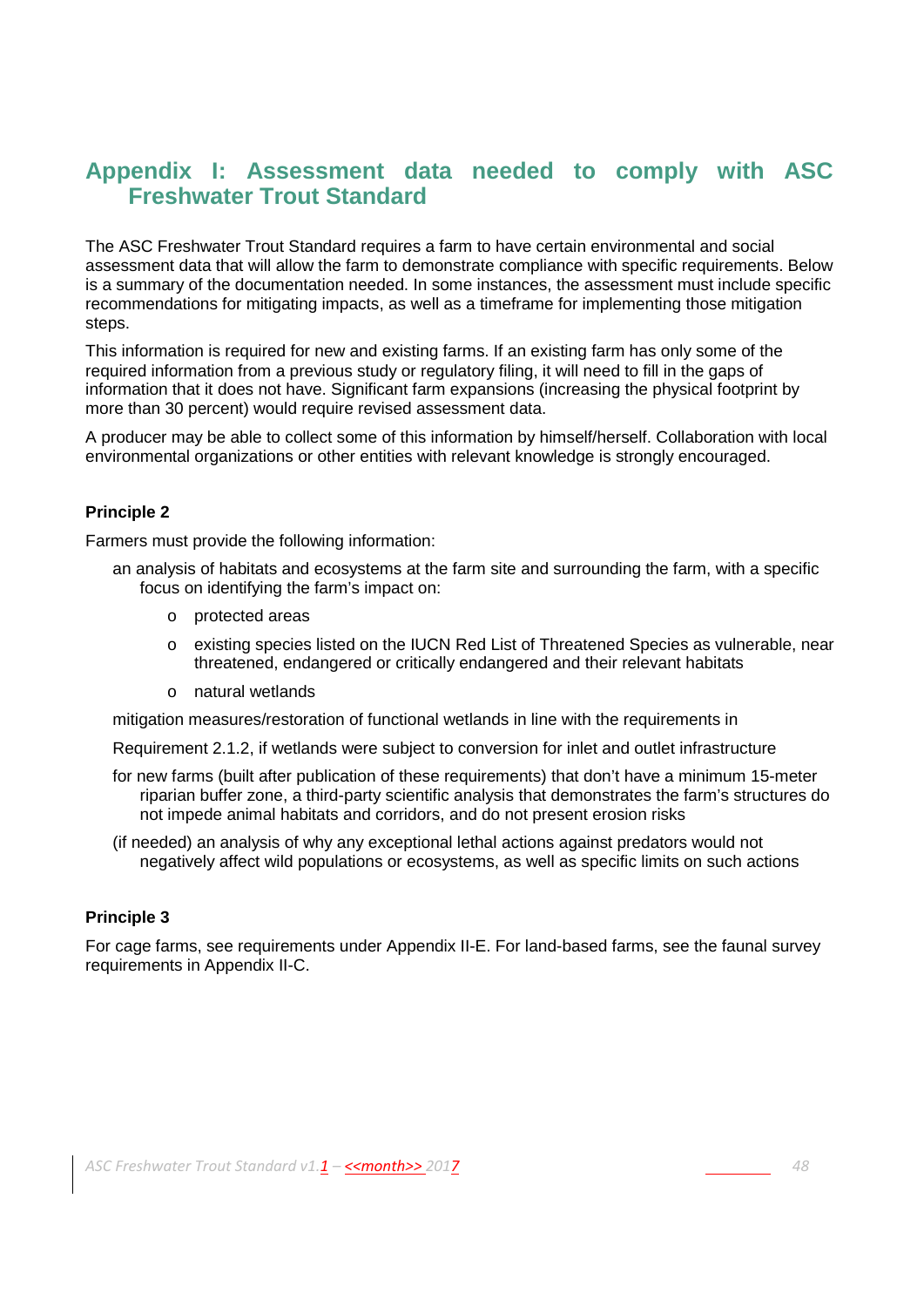## **Appendix I: Assessment data needed to comply with ASC Freshwater Trout Standard**

The ASC Freshwater Trout Standard requires a farm to have certain environmental and social assessment data that will allow the farm to demonstrate compliance with specific requirements. Below is a summary of the documentation needed. In some instances, the assessment must include specific recommendations for mitigating impacts, as well as a timeframe for implementing those mitigation steps.

This information is required for new and existing farms. If an existing farm has only some of the required information from a previous study or regulatory filing, it will need to fill in the gaps of information that it does not have. Significant farm expansions (increasing the physical footprint by more than 30 percent) would require revised assessment data.

A producer may be able to collect some of this information by himself/herself. Collaboration with local environmental organizations or other entities with relevant knowledge is strongly encouraged.

### **Principle 2**

Farmers must provide the following information:

- an analysis of habitats and ecosystems at the farm site and surrounding the farm, with a specific focus on identifying the farm's impact on:
	- o protected areas
	- o existing species listed on the IUCN Red List of Threatened Species as vulnerable, near threatened, endangered or critically endangered and their relevant habitats
	- o natural wetlands

mitigation measures/restoration of functional wetlands in line with the requirements in

Requirement 2.1.2, if wetlands were subject to conversion for inlet and outlet infrastructure

- for new farms (built after publication of these requirements) that don't have a minimum 15-meter riparian buffer zone, a third-party scientific analysis that demonstrates the farm's structures do not impede animal habitats and corridors, and do not present erosion risks
- (if needed) an analysis of why any exceptional lethal actions against predators would not negatively affect wild populations or ecosystems, as well as specific limits on such actions

### **Principle 3**

For cage farms, see requirements under Appendix II-E. For land-based farms, see the faunal survey requirements in Appendix II-C.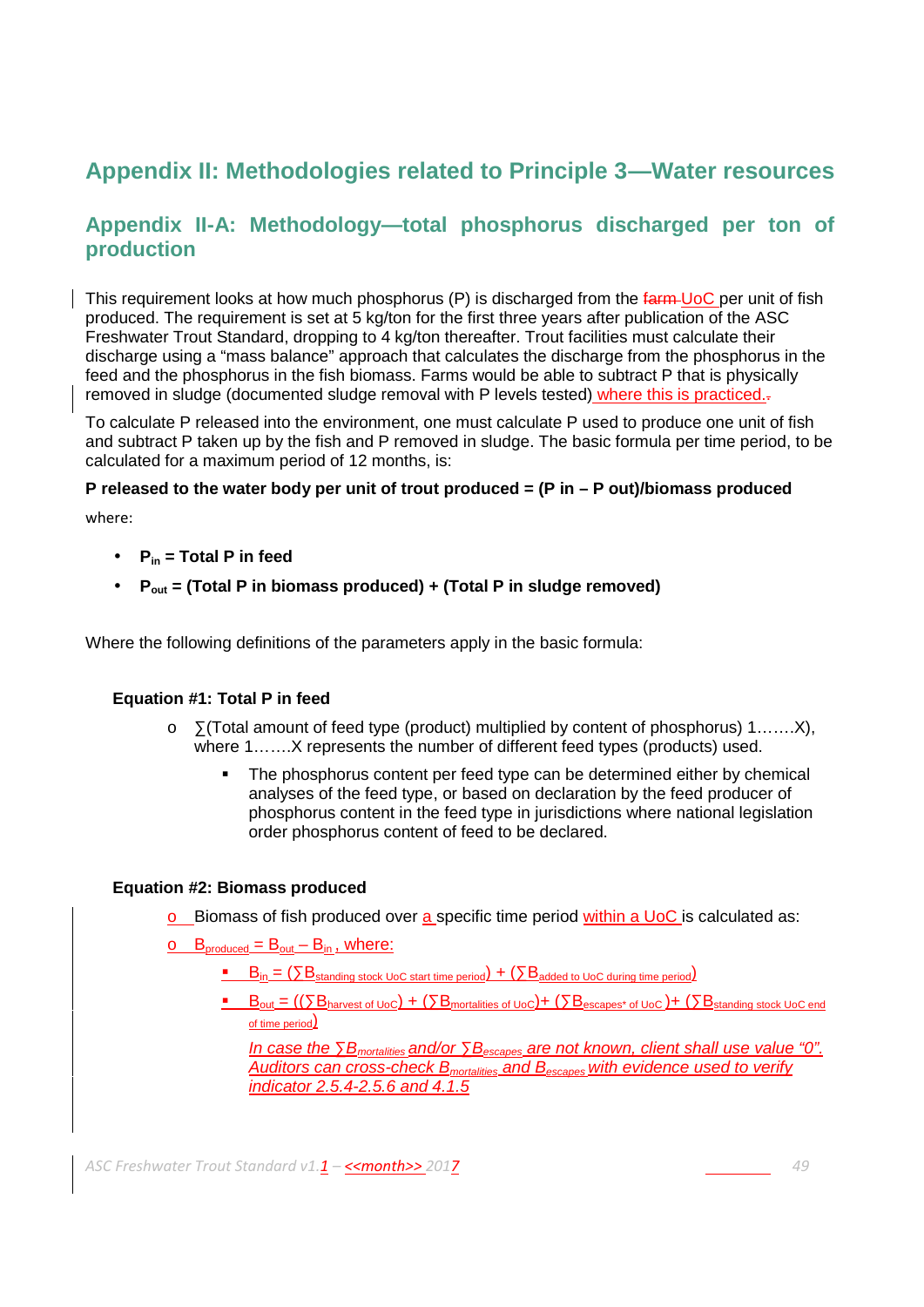## **Appendix II: Methodologies related to Principle 3—Water resources**

## **Appendix II-A: Methodology—total phosphorus discharged per ton of production**

This requirement looks at how much phosphorus (P) is discharged from the farm-UoC per unit of fish produced. The requirement is set at 5 kg/ton for the first three years after publication of the ASC Freshwater Trout Standard, dropping to 4 kg/ton thereafter. Trout facilities must calculate their discharge using a "mass balance" approach that calculates the discharge from the phosphorus in the feed and the phosphorus in the fish biomass. Farms would be able to subtract P that is physically removed in sludge (documented sludge removal with P levels tested) where this is practiced.-

To calculate P released into the environment, one must calculate P used to produce one unit of fish and subtract P taken up by the fish and P removed in sludge. The basic formula per time period, to be calculated for a maximum period of 12 months, is:

### **P released to the water body per unit of trout produced = (P in – P out)/biomass produced**

where:

- **Pin = Total P in feed**
- **Pout = (Total P in biomass produced) + (Total P in sludge removed)**

Where the following definitions of the parameters apply in the basic formula:

### **Equation #1: Total P in feed**

- o ∑(Total amount of feed type (product) multiplied by content of phosphorus) 1…….X), where 1…….X represents the number of different feed types (products) used.
	- The phosphorus content per feed type can be determined either by chemical analyses of the feed type, or based on declaration by the feed producer of phosphorus content in the feed type in jurisdictions where national legislation order phosphorus content of feed to be declared.

### **Equation #2: Biomass produced**

- o Biomass of fish produced over a specific time period within a UoC is calculated as:
- $\circ$  B<sub>produced</sub> =  $B_{out} B_{in}$ , where:
	- **B**<sub>in</sub> =  $(B_{\text{standing stock UoC start time period}) + (B_{\text{added to UoC during time period})$
	- B<sub>out</sub> =  $((B<sub>harvest of UoC</sub>) + (B<sub>motalities of UoC</sub>) + (B<sub>escanes* of UoC</sub>) + (B<sub>standina stock UoC end</sub>)$ of time period)

*In case the ∑Bmortalities and/or ∑Bescapes are not known, client shall use value "0". Auditors can cross-check Bmortalities and Bescapes with evidence used to verify indicator 2.5.4-2.5.6 and 4.1.5*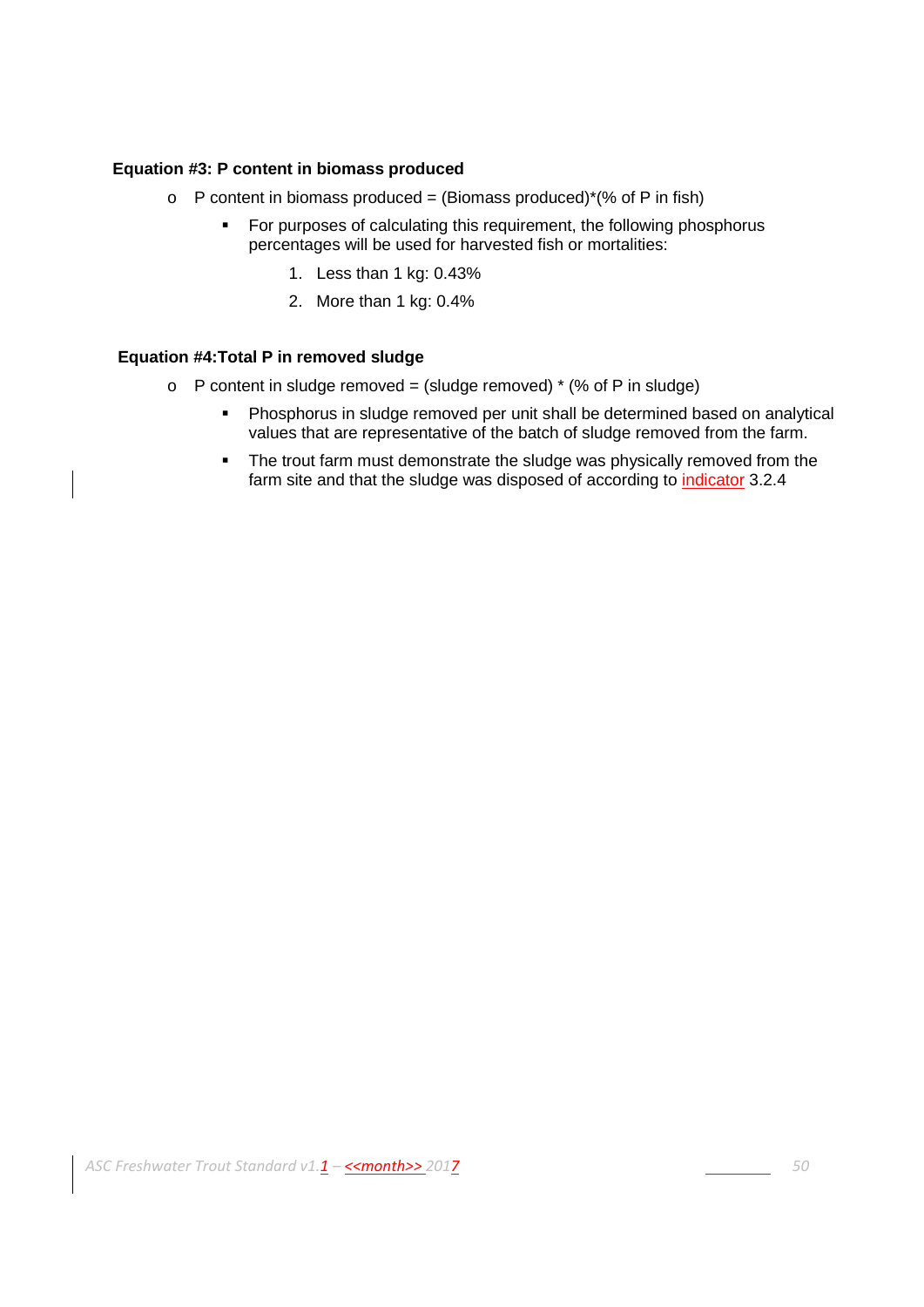### **Equation #3: P content in biomass produced**

- $\circ$  P content in biomass produced = (Biomass produced)\*(% of P in fish)
	- For purposes of calculating this requirement, the following phosphorus percentages will be used for harvested fish or mortalities:
		- 1. Less than 1 kg: 0.43%
		- 2. More than 1 kg: 0.4%

### **Equation #4:Total P in removed sludge**

- $\circ$  P content in sludge removed = (sludge removed) \* (% of P in sludge)
	- **Phosphorus in sludge removed per unit shall be determined based on analytical** values that are representative of the batch of sludge removed from the farm.
	- The trout farm must demonstrate the sludge was physically removed from the farm site and that the sludge was disposed of according to indicator 3.2.4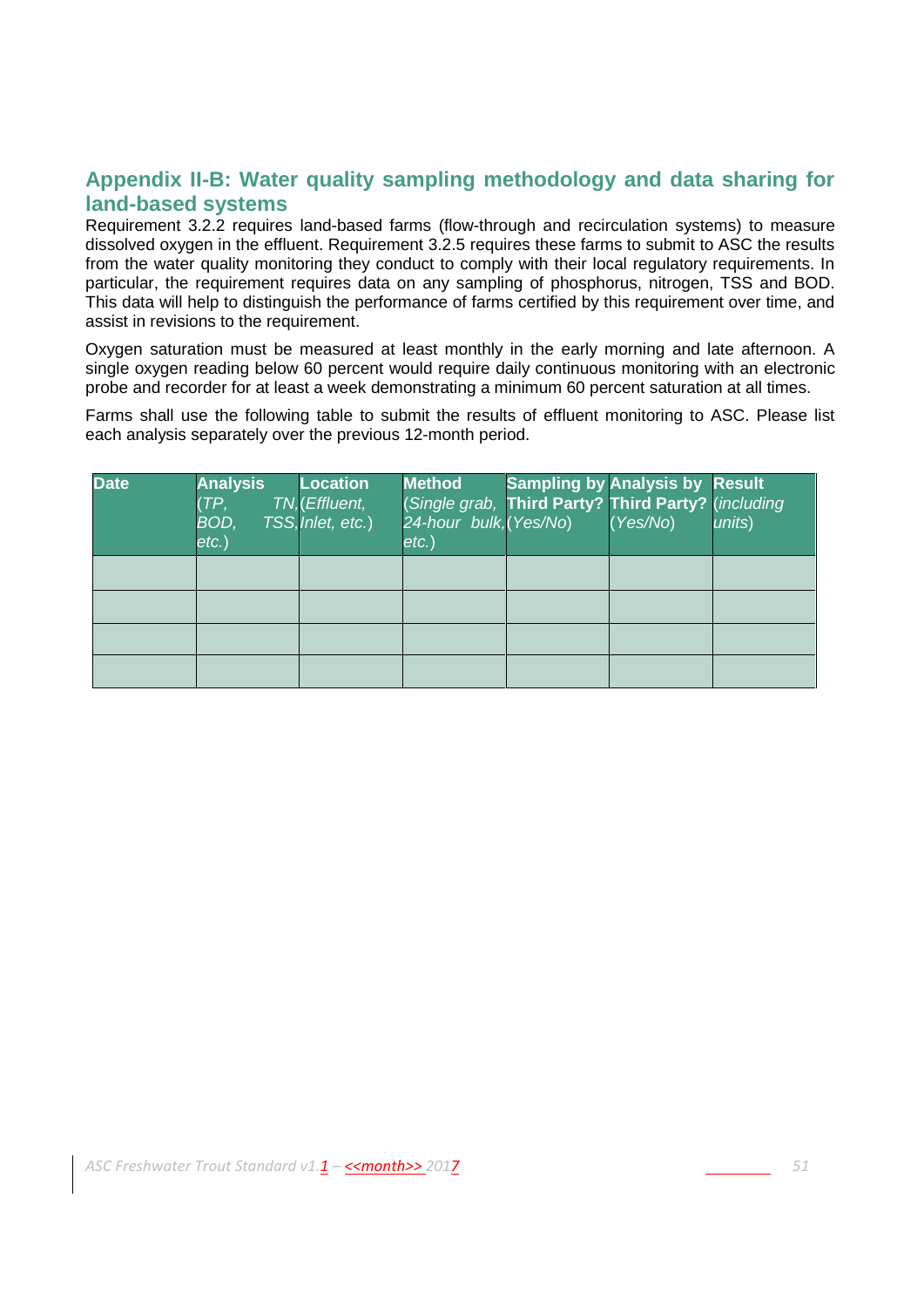## **Appendix II-B: Water quality sampling methodology and data sharing for land-based systems**

Requirement 3.2.2 requires land-based farms (flow-through and recirculation systems) to measure dissolved oxygen in the effluent. Requirement 3.2.5 requires these farms to submit to ASC the results from the water quality monitoring they conduct to comply with their local regulatory requirements. In particular, the requirement requires data on any sampling of phosphorus, nitrogen, TSS and BOD. This data will help to distinguish the performance of farms certified by this requirement over time, and assist in revisions to the requirement.

Oxygen saturation must be measured at least monthly in the early morning and late afternoon. A single oxygen reading below 60 percent would require daily continuous monitoring with an electronic probe and recorder for at least a week demonstrating a minimum 60 percent saturation at all times.

Farms shall use the following table to submit the results of effluent monitoring to ASC. Please list each analysis separately over the previous 12-month period.

| <b>Date</b> | <b>Analysis</b><br>TP, I<br>BOD,<br> etc. | Location<br>TN, (Effluent,<br>TSS, Inlet, etc.) | <b>Method</b><br>(Single grab, Third Party? Third Party? (including<br>24-hour bulk, (Yes/No)<br>$etc.$ ) | <b>Sampling by Analysis by Result</b> | (Yes/No) | units) |
|-------------|-------------------------------------------|-------------------------------------------------|-----------------------------------------------------------------------------------------------------------|---------------------------------------|----------|--------|
|             |                                           |                                                 |                                                                                                           |                                       |          |        |
|             |                                           |                                                 |                                                                                                           |                                       |          |        |
|             |                                           |                                                 |                                                                                                           |                                       |          |        |
|             |                                           |                                                 |                                                                                                           |                                       |          |        |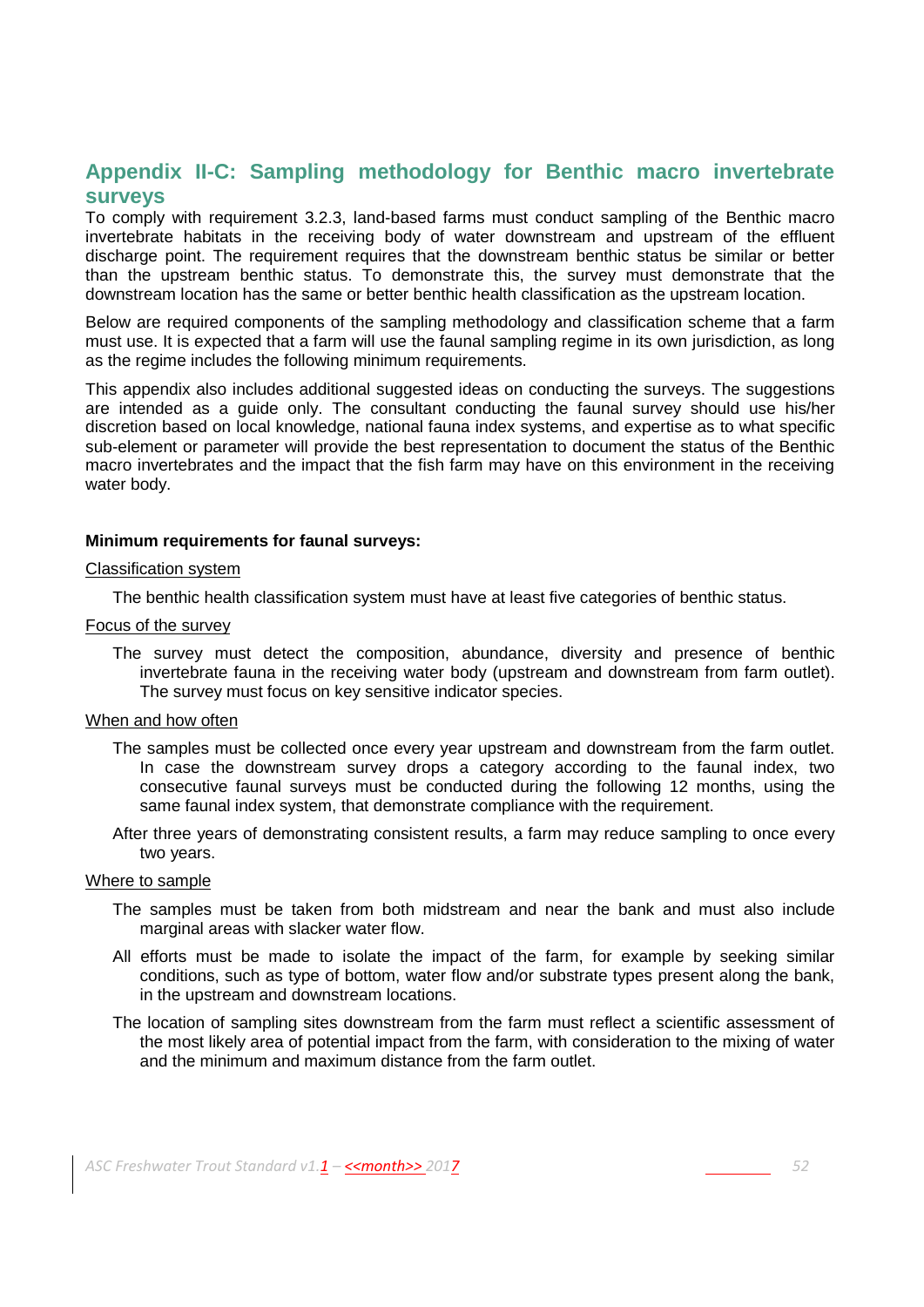### **Appendix II-C: Sampling methodology for Benthic macro invertebrate surveys**

To comply with requirement 3.2.3, land-based farms must conduct sampling of the Benthic macro invertebrate habitats in the receiving body of water downstream and upstream of the effluent discharge point. The requirement requires that the downstream benthic status be similar or better than the upstream benthic status. To demonstrate this, the survey must demonstrate that the downstream location has the same or better benthic health classification as the upstream location.

Below are required components of the sampling methodology and classification scheme that a farm must use. It is expected that a farm will use the faunal sampling regime in its own jurisdiction, as long as the regime includes the following minimum requirements.

This appendix also includes additional suggested ideas on conducting the surveys. The suggestions are intended as a guide only. The consultant conducting the faunal survey should use his/her discretion based on local knowledge, national fauna index systems, and expertise as to what specific sub-element or parameter will provide the best representation to document the status of the Benthic macro invertebrates and the impact that the fish farm may have on this environment in the receiving water body.

#### **Minimum requirements for faunal surveys:**

#### Classification system

The benthic health classification system must have at least five categories of benthic status.

#### Focus of the survey

The survey must detect the composition, abundance, diversity and presence of benthic invertebrate fauna in the receiving water body (upstream and downstream from farm outlet). The survey must focus on key sensitive indicator species.

### When and how often

- The samples must be collected once every year upstream and downstream from the farm outlet. In case the downstream survey drops a category according to the faunal index, two consecutive faunal surveys must be conducted during the following 12 months, using the same faunal index system, that demonstrate compliance with the requirement.
- After three years of demonstrating consistent results, a farm may reduce sampling to once every two years.

#### Where to sample

- The samples must be taken from both midstream and near the bank and must also include marginal areas with slacker water flow.
- All efforts must be made to isolate the impact of the farm, for example by seeking similar conditions, such as type of bottom, water flow and/or substrate types present along the bank, in the upstream and downstream locations.
- The location of sampling sites downstream from the farm must reflect a scientific assessment of the most likely area of potential impact from the farm, with consideration to the mixing of water and the minimum and maximum distance from the farm outlet.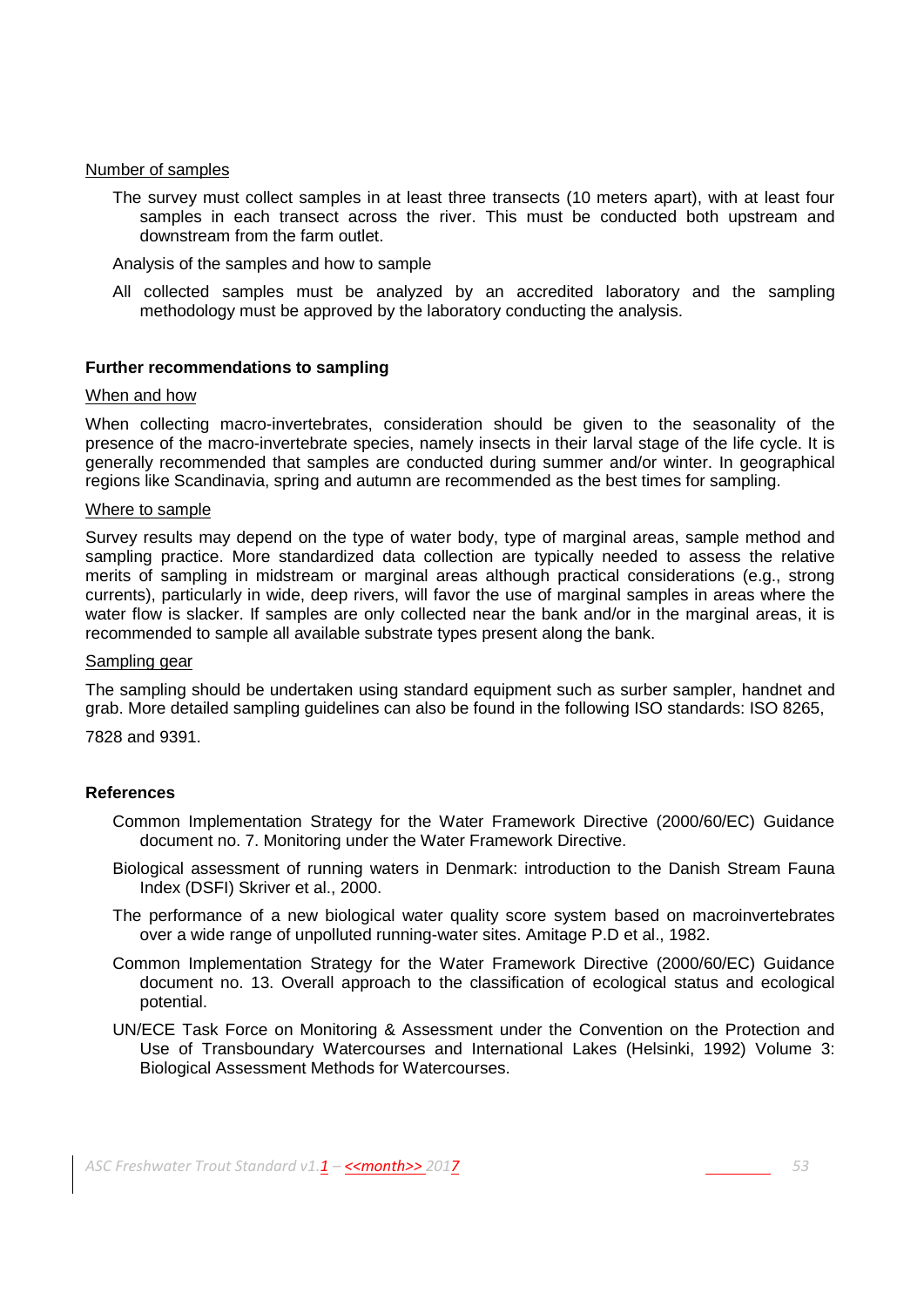#### Number of samples

The survey must collect samples in at least three transects (10 meters apart), with at least four samples in each transect across the river. This must be conducted both upstream and downstream from the farm outlet.

Analysis of the samples and how to sample

All collected samples must be analyzed by an accredited laboratory and the sampling methodology must be approved by the laboratory conducting the analysis.

#### **Further recommendations to sampling**

#### When and how

When collecting macro-invertebrates, consideration should be given to the seasonality of the presence of the macro-invertebrate species, namely insects in their larval stage of the life cycle. It is generally recommended that samples are conducted during summer and/or winter. In geographical regions like Scandinavia, spring and autumn are recommended as the best times for sampling.

#### Where to sample

Survey results may depend on the type of water body, type of marginal areas, sample method and sampling practice. More standardized data collection are typically needed to assess the relative merits of sampling in midstream or marginal areas although practical considerations (e.g., strong currents), particularly in wide, deep rivers, will favor the use of marginal samples in areas where the water flow is slacker. If samples are only collected near the bank and/or in the marginal areas, it is recommended to sample all available substrate types present along the bank.

#### Sampling gear

The sampling should be undertaken using standard equipment such as surber sampler, handnet and grab. More detailed sampling guidelines can also be found in the following ISO standards: ISO 8265,

7828 and 9391.

#### **References**

- Common Implementation Strategy for the Water Framework Directive (2000/60/EC) Guidance document no. 7. Monitoring under the Water Framework Directive.
- Biological assessment of running waters in Denmark: introduction to the Danish Stream Fauna Index (DSFI) Skriver et al., 2000.
- The performance of a new biological water quality score system based on macroinvertebrates over a wide range of unpolluted running-water sites. Amitage P.D et al., 1982.
- Common Implementation Strategy for the Water Framework Directive (2000/60/EC) Guidance document no. 13. Overall approach to the classification of ecological status and ecological potential.
- UN/ECE Task Force on Monitoring & Assessment under the Convention on the Protection and Use of Transboundary Watercourses and International Lakes (Helsinki, 1992) Volume 3: Biological Assessment Methods for Watercourses.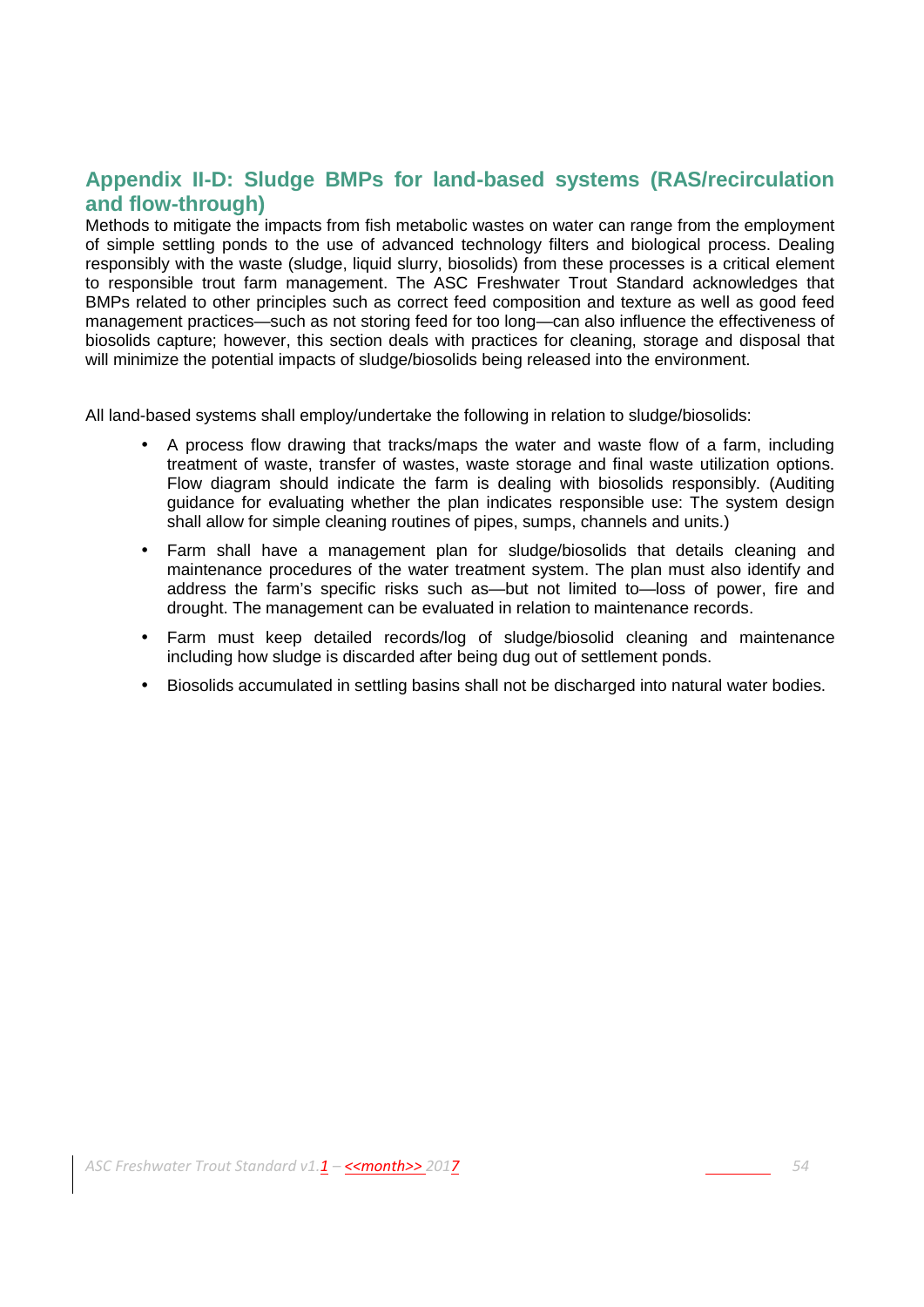## **Appendix II-D: Sludge BMPs for land-based systems (RAS/recirculation and flow-through)**

Methods to mitigate the impacts from fish metabolic wastes on water can range from the employment of simple settling ponds to the use of advanced technology filters and biological process. Dealing responsibly with the waste (sludge, liquid slurry, biosolids) from these processes is a critical element to responsible trout farm management. The ASC Freshwater Trout Standard acknowledges that BMPs related to other principles such as correct feed composition and texture as well as good feed management practices—such as not storing feed for too long—can also influence the effectiveness of biosolids capture; however, this section deals with practices for cleaning, storage and disposal that will minimize the potential impacts of sludge/biosolids being released into the environment.

All land-based systems shall employ/undertake the following in relation to sludge/biosolids:

- A process flow drawing that tracks/maps the water and waste flow of a farm, including treatment of waste, transfer of wastes, waste storage and final waste utilization options. Flow diagram should indicate the farm is dealing with biosolids responsibly. (Auditing guidance for evaluating whether the plan indicates responsible use: The system design shall allow for simple cleaning routines of pipes, sumps, channels and units.)
- Farm shall have a management plan for sludge/biosolids that details cleaning and maintenance procedures of the water treatment system. The plan must also identify and address the farm's specific risks such as—but not limited to—loss of power, fire and drought. The management can be evaluated in relation to maintenance records.
- Farm must keep detailed records/log of sludge/biosolid cleaning and maintenance including how sludge is discarded after being dug out of settlement ponds.
- Biosolids accumulated in settling basins shall not be discharged into natural water bodies.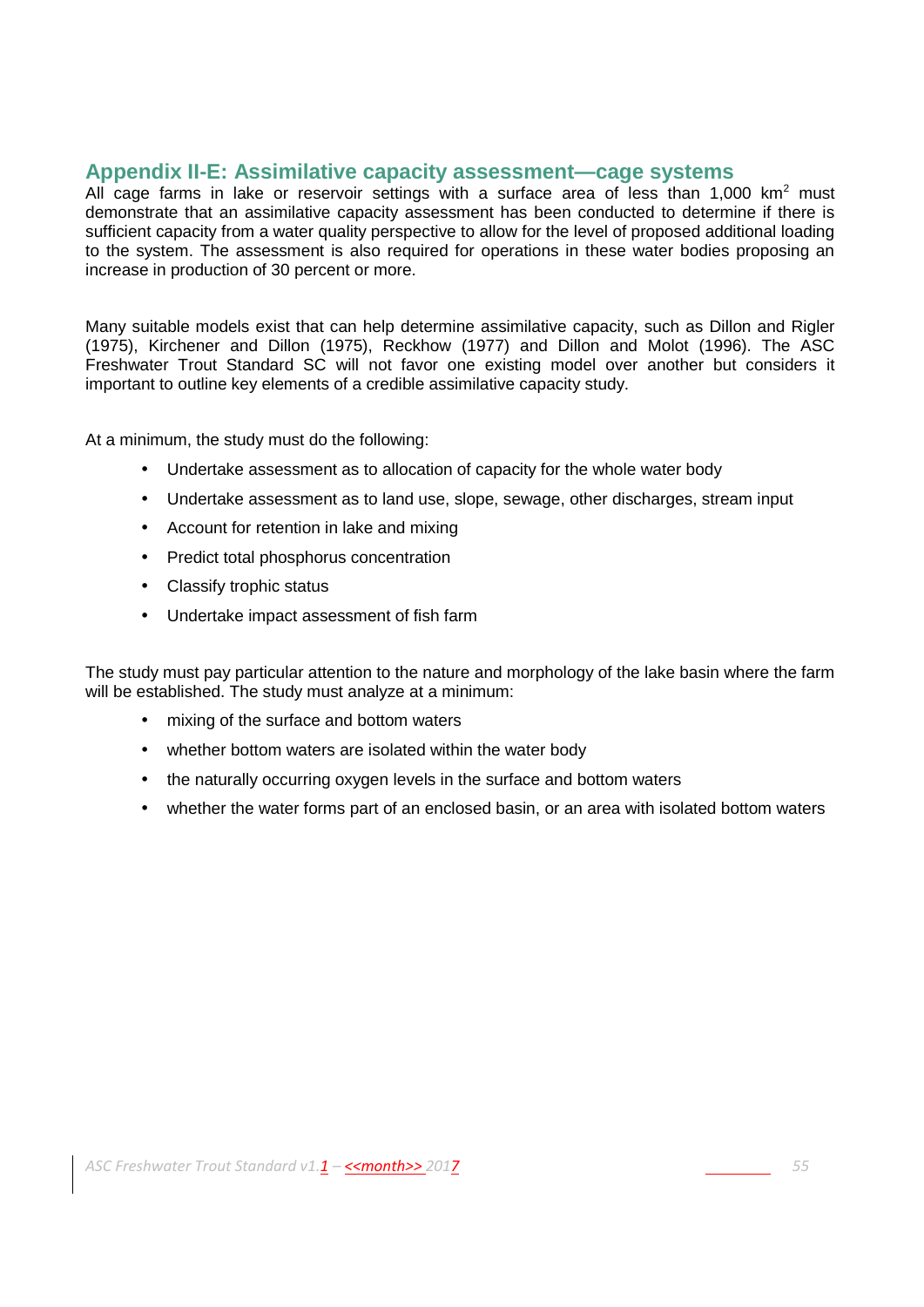### **Appendix II-E: Assimilative capacity assessment—cage systems**

All cage farms in lake or reservoir settings with a surface area of less than 1,000  $km<sup>2</sup>$  must demonstrate that an assimilative capacity assessment has been conducted to determine if there is sufficient capacity from a water quality perspective to allow for the level of proposed additional loading to the system. The assessment is also required for operations in these water bodies proposing an increase in production of 30 percent or more.

Many suitable models exist that can help determine assimilative capacity, such as Dillon and Rigler (1975), Kirchener and Dillon (1975), Reckhow (1977) and Dillon and Molot (1996). The ASC Freshwater Trout Standard SC will not favor one existing model over another but considers it important to outline key elements of a credible assimilative capacity study.

At a minimum, the study must do the following:

- Undertake assessment as to allocation of capacity for the whole water body
- Undertake assessment as to land use, slope, sewage, other discharges, stream input
- Account for retention in lake and mixing
- Predict total phosphorus concentration
- Classify trophic status
- Undertake impact assessment of fish farm

The study must pay particular attention to the nature and morphology of the lake basin where the farm will be established. The study must analyze at a minimum:

- mixing of the surface and bottom waters
- whether bottom waters are isolated within the water body
- the naturally occurring oxygen levels in the surface and bottom waters
- whether the water forms part of an enclosed basin, or an area with isolated bottom waters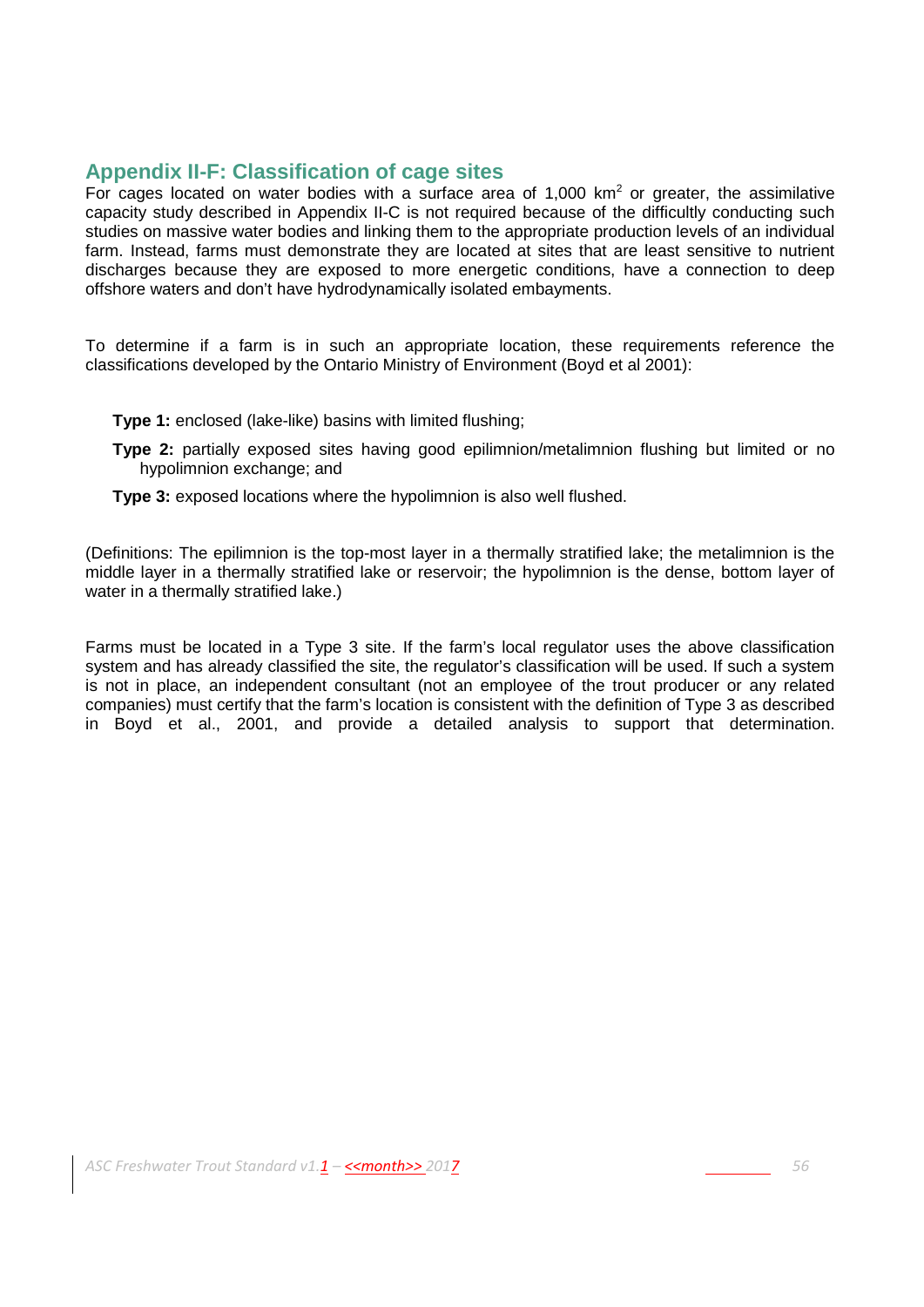### **Appendix II-F: Classification of cage sites**

For cages located on water bodies with a surface area of 1,000  $km^2$  or greater, the assimilative capacity study described in Appendix II-C is not required because of the difficultly conducting such studies on massive water bodies and linking them to the appropriate production levels of an individual farm. Instead, farms must demonstrate they are located at sites that are least sensitive to nutrient discharges because they are exposed to more energetic conditions, have a connection to deep offshore waters and don't have hydrodynamically isolated embayments.

To determine if a farm is in such an appropriate location, these requirements reference the classifications developed by the Ontario Ministry of Environment (Boyd et al 2001):

- **Type 1:** enclosed (lake-like) basins with limited flushing;
- **Type 2:** partially exposed sites having good epilimnion/metalimnion flushing but limited or no hypolimnion exchange; and
- **Type 3:** exposed locations where the hypolimnion is also well flushed.

(Definitions: The epilimnion is the top-most layer in a thermally stratified lake; the metalimnion is the middle layer in a thermally stratified lake or reservoir; the hypolimnion is the dense, bottom layer of water in a thermally stratified lake.)

Farms must be located in a Type 3 site. If the farm's local regulator uses the above classification system and has already classified the site, the regulator's classification will be used. If such a system is not in place, an independent consultant (not an employee of the trout producer or any related companies) must certify that the farm's location is consistent with the definition of Type 3 as described in Boyd et al., 2001, and provide a detailed analysis to support that determination.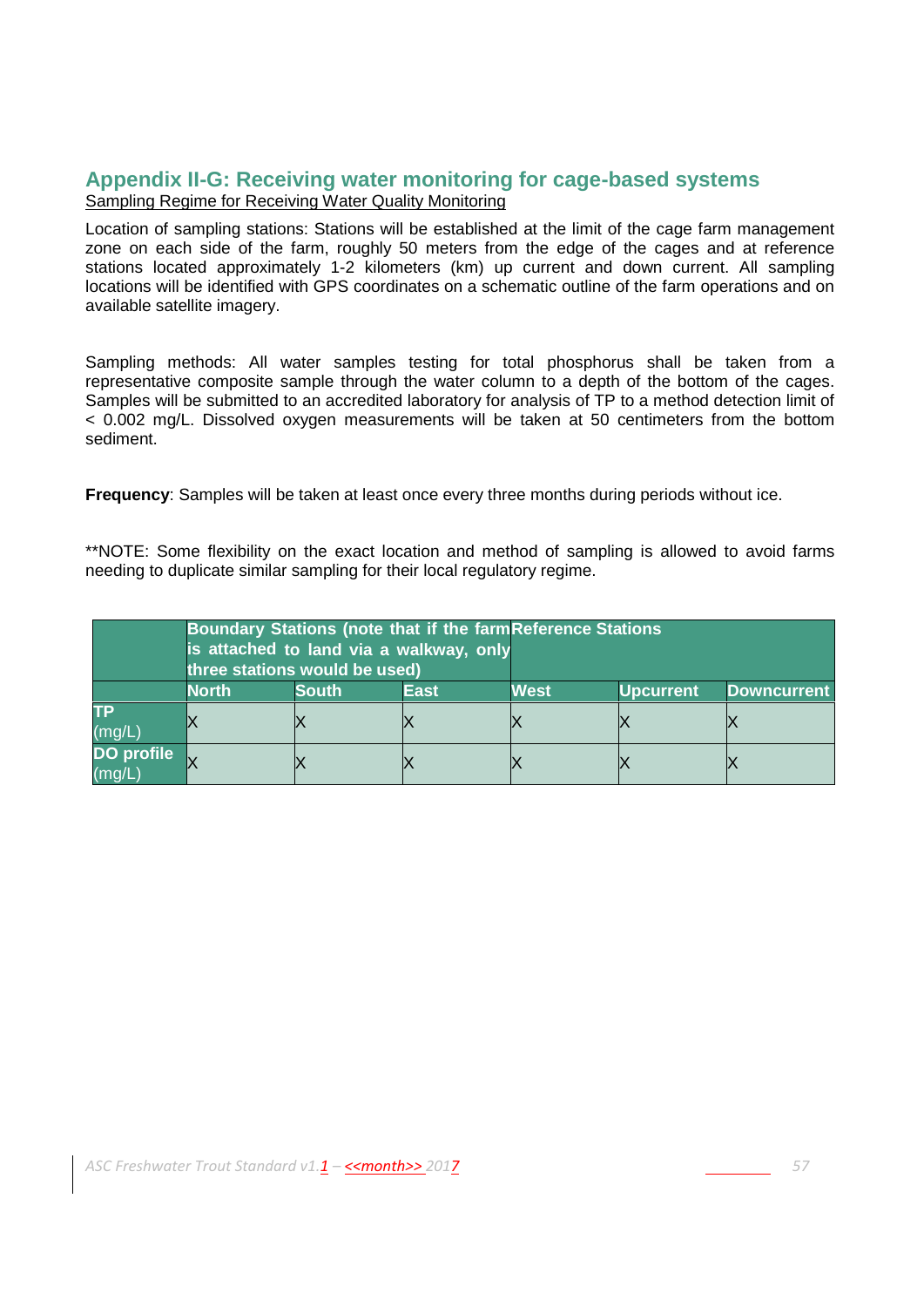### **Appendix II-G: Receiving water monitoring for cage-based systems**

Sampling Regime for Receiving Water Quality Monitoring

Location of sampling stations: Stations will be established at the limit of the cage farm management zone on each side of the farm, roughly 50 meters from the edge of the cages and at reference stations located approximately 1-2 kilometers (km) up current and down current. All sampling locations will be identified with GPS coordinates on a schematic outline of the farm operations and on available satellite imagery.

Sampling methods: All water samples testing for total phosphorus shall be taken from a representative composite sample through the water column to a depth of the bottom of the cages. Samples will be submitted to an accredited laboratory for analysis of TP to a method detection limit of < 0.002 mg/L. Dissolved oxygen measurements will be taken at 50 centimeters from the bottom sediment.

**Frequency**: Samples will be taken at least once every three months during periods without ice.

\*\*NOTE: Some flexibility on the exact location and method of sampling is allowed to avoid farms needing to duplicate similar sampling for their local regulatory regime.

|                            | <b>Boundary Stations (note that if the farm Reference Stations</b><br>is attached to land via a walkway, only<br>three stations would be used) |              |             |      |                  |                    |
|----------------------------|------------------------------------------------------------------------------------------------------------------------------------------------|--------------|-------------|------|------------------|--------------------|
|                            | North                                                                                                                                          | <b>South</b> | <b>East</b> | West | <b>Upcurrent</b> | <b>Downcurrent</b> |
| <b>TP</b><br>(mg/L)        |                                                                                                                                                |              | ↗           |      |                  |                    |
| <b>DO profile</b><br>(mg/L |                                                                                                                                                |              | ↗           |      |                  |                    |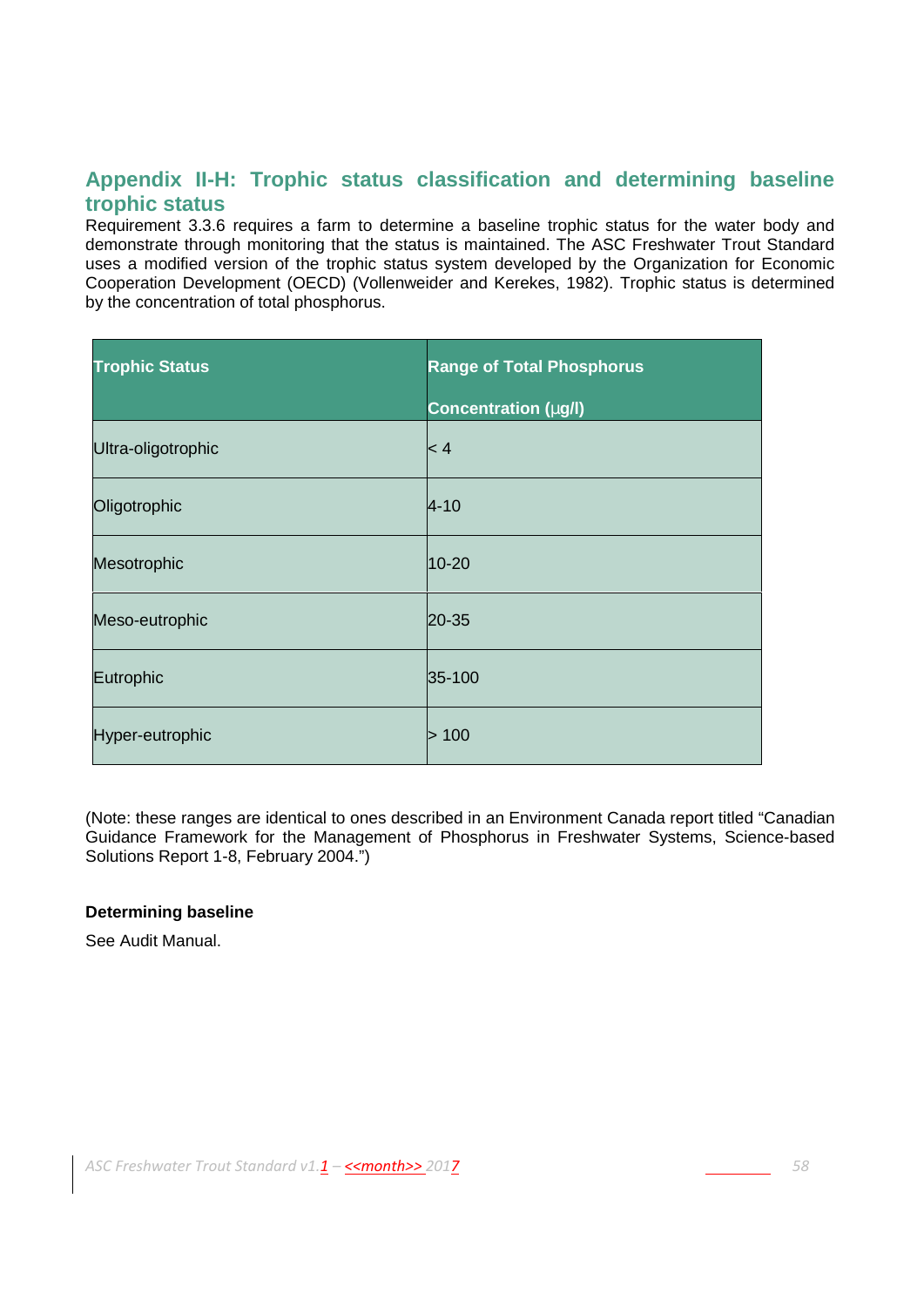## **Appendix II-H: Trophic status classification and determining baseline trophic status**

Requirement 3.3.6 requires a farm to determine a baseline trophic status for the water body and demonstrate through monitoring that the status is maintained. The ASC Freshwater Trout Standard uses a modified version of the trophic status system developed by the Organization for Economic Cooperation Development (OECD) (Vollenweider and Kerekes, 1982). Trophic status is determined by the concentration of total phosphorus.

| <b>Trophic Status</b> | <b>Range of Total Phosphorus</b> |
|-----------------------|----------------------------------|
|                       | <b>Concentration (µg/l)</b>      |
| Ultra-oligotrophic    | $\lt 4$                          |
| Oligotrophic          | $4 - 10$                         |
| Mesotrophic           | $10 - 20$                        |
| Meso-eutrophic        | 20-35                            |
| Eutrophic             | 35-100                           |
| Hyper-eutrophic       | > 100                            |

(Note: these ranges are identical to ones described in an Environment Canada report titled "Canadian Guidance Framework for the Management of Phosphorus in Freshwater Systems, Science-based Solutions Report 1-8, February 2004.")

### **Determining baseline**

See Audit Manual.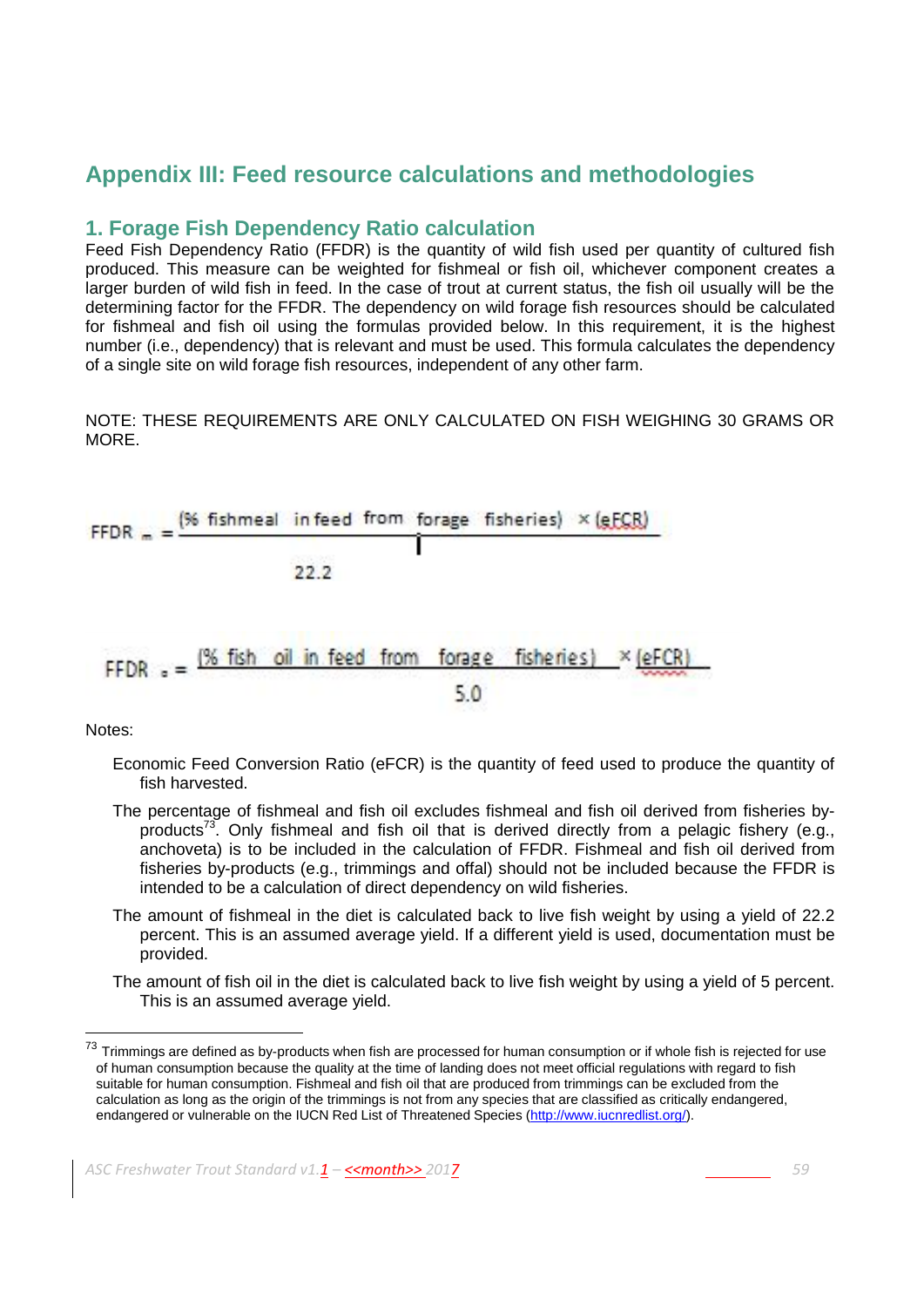## **Appendix III: Feed resource calculations and methodologies**

### **1. Forage Fish Dependency Ratio calculation**

Feed Fish Dependency Ratio (FFDR) is the quantity of wild fish used per quantity of cultured fish produced. This measure can be weighted for fishmeal or fish oil, whichever component creates a larger burden of wild fish in feed. In the case of trout at current status, the fish oil usually will be the determining factor for the FFDR. The dependency on wild forage fish resources should be calculated for fishmeal and fish oil using the formulas provided below. In this requirement, it is the highest number (i.e., dependency) that is relevant and must be used. This formula calculates the dependency of a single site on wild forage fish resources, independent of any other farm.

NOTE: THESE REQUIREMENTS ARE ONLY CALCULATED ON FISH WEIGHING 30 GRAMS OR MORE.



Notes:

- Economic Feed Conversion Ratio (eFCR) is the quantity of feed used to produce the quantity of fish harvested.
- The percentage of fishmeal and fish oil excludes fishmeal and fish oil derived from fisheries by products<sup>73</sup>. Only fishmeal and fish oil that is derived directly from a pelagic fishery (e.g., anchoveta) is to be included in the calculation of FFDR. Fishmeal and fish oil derived from fisheries by-products (e.g., trimmings and offal) should not be included because the FFDR is intended to be a calculation of direct dependency on wild fisheries.
- The amount of fishmeal in the diet is calculated back to live fish weight by using a yield of 22.2 percent. This is an assumed average yield. If a different yield is used, documentation must be provided.
- The amount of fish oil in the diet is calculated back to live fish weight by using a yield of 5 percent. This is an assumed average yield.

 $^{73}$  Trimmings are defined as by-products when fish are processed for human consumption or if whole fish is rejected for use of human consumption because the quality at the time of landing does notmeet official regulations with regard to fish suitable for human consumption. Fishmeal and fish oil that are produced from trimmings can be excluded from the calculation as long as the origin of the trimmings is not from any species that are classified as critically endangered, endangered or vulnerable on the IUCN Red List of Threatened Species (http://www.iucnredlist.org/).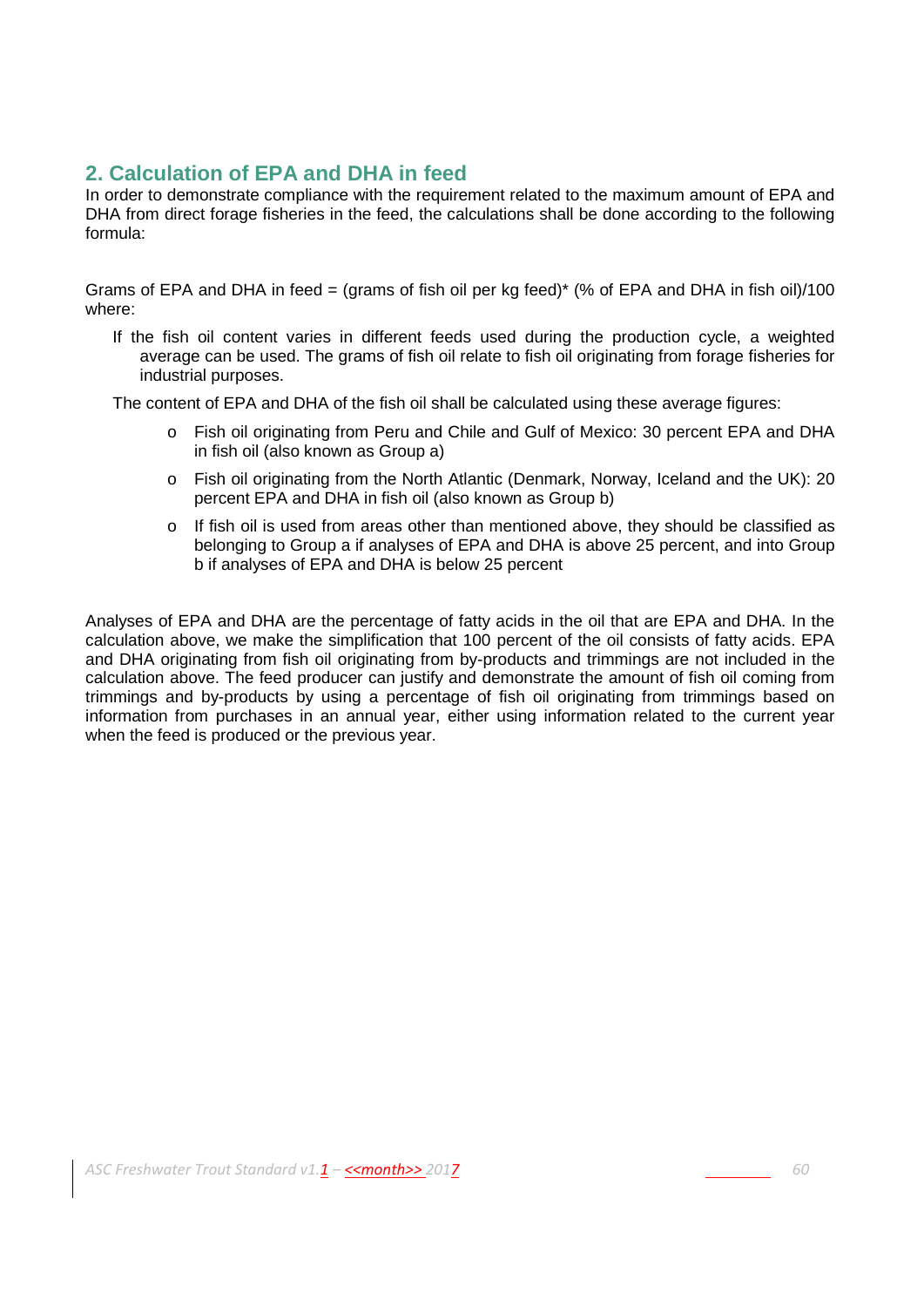## **2. Calculation of EPA and DHA in feed**

In order to demonstrate compliance with the requirement related to the maximum amount of EPA and DHA from direct forage fisheries in the feed, the calculations shall be done according to the following formula:

Grams of EPA and DHA in feed = (grams of fish oil per kg feed)\* (% of EPA and DHA in fish oil)/100 where:

If the fish oil content varies in different feeds used during the production cycle, a weighted average can be used. The grams of fish oil relate to fish oil originating from forage fisheries for industrial purposes.

The content of EPA and DHA of the fish oil shall be calculated using these average figures:

- o Fish oil originating from Peru and Chile and Gulf of Mexico: 30 percent EPA and DHA in fish oil (also known as Group a)
- $\circ$  Fish oil originating from the North Atlantic (Denmark, Norway, Iceland and the UK): 20 percent EPA and DHA in fish oil (also known as Group b)
- $\circ$  If fish oil is used from areas other than mentioned above, they should be classified as belonging to Group a if analyses of EPA and DHA is above 25 percent, and into Group b if analyses of EPA and DHA is below 25 percent

Analyses of EPA and DHA are the percentage of fatty acids in the oil that are EPA and DHA. In the calculation above, we make the simplification that 100 percent of the oil consists of fatty acids. EPA and DHA originating from fish oil originating from by-products and trimmings are not included in the calculation above. The feed producer can justify and demonstrate the amount of fish oil coming from trimmings and by-products by using a percentage of fish oil originating from trimmings based on information from purchases in an annual year, either using information related to the current year when the feed is produced or the previous year.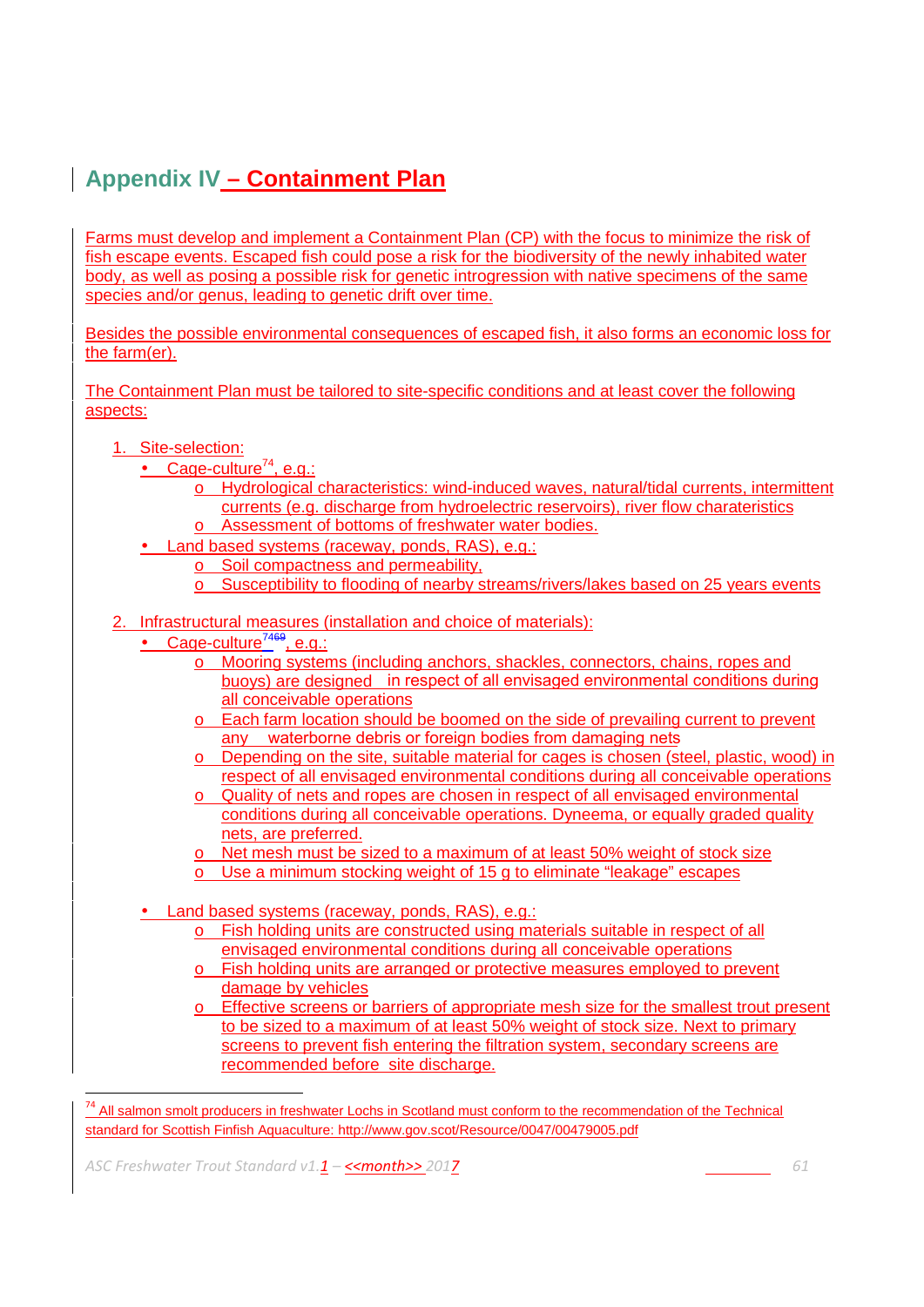## **Appendix IV –Containment Plan**

Farms must develop and implement a Containment Plan (CP) with the focus to minimize the risk of fish escape events. Escaped fish could pose a risk for the biodiversity of the newly inhabited water body, as well as posing a possible risk for genetic introgression with native specimens of the same species and/or genus, leading to genetic drift over time.

Besides the possible environmental consequences of escaped fish, it also forms an economic loss for the farm(er).

The Containment Plan must be tailored to site-specific conditions and at least cover the following aspects:

- 1. Site-selection:
	- Cage-culture<sup> $74$ </sup>, e.g.:
		- o Hydrological characteristics: wind-induced waves, natural/tidal currents, intermittent currents (e.g. discharge from hydroelectric reservoirs), river flow charateristics o Assessment of bottoms of freshwater water bodies.
	- Land based systems (raceway, ponds, RAS), e.g.:
		- o Soil compactness and permeability,
			- o Susceptibility to flooding of nearby streams/rivers/lakes based on 25 years events
- 2. Infrastructural measures (installation and choice of materials):
	- $\bullet$  Cage-culture<sup>7469</sup>, e.g.:
		- o Mooring systems (including anchors, shackles, connectors, chains, ropes and buoys) are designed in respect of all envisaged environmental conditions during all conceivable operations
		- o Each farm location should be boomed on the side of prevailing current to prevent any waterborne debris or foreign bodies from damaging nets
		- o Depending on the site, suitable material for cages is chosen (steel, plastic, wood) in respect of all envisaged environmental conditions during all conceivable operations
		- o Quality of nets and ropes are chosen in respect of all envisaged environmental conditions during all conceivable operations. Dyneema, or equally graded quality nets, are preferred.
		- o Net mesh must be sized to a maximum of at least 50% weight of stock size
		- o Use a minimum stocking weight of 15 g to eliminate "leakage" escapes
	- Land based systems (raceway, ponds, RAS), e.g.:
		- o Fish holding units are constructed using materials suitable in respect of all envisaged environmental conditions during all conceivable operations
		- o Fish holding units are arranged or protective measures employed to prevent damage by vehicles
		- o Effective screens or barriers of appropriate mesh size for the smallest trout present to be sized to a maximum of at least 50% weight of stock size. Next to primary screens to prevent fish entering the filtration system, secondary screens are recommended before site discharge.

<sup>&</sup>lt;sup>74</sup> All salmon smolt producers in freshwater Lochs in Scotland must conform to the recommendation of the Technical standard for Scottish Finfish Aquaculture: http://www.gov.scot/Resource/0047/00479005.pdf